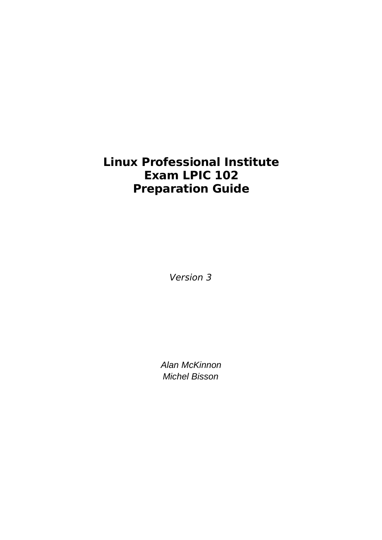# **Linux Professional Institute Exam LPIC 102 Preparation Guide**

Version 3

Alan McKinnon Michel Bisson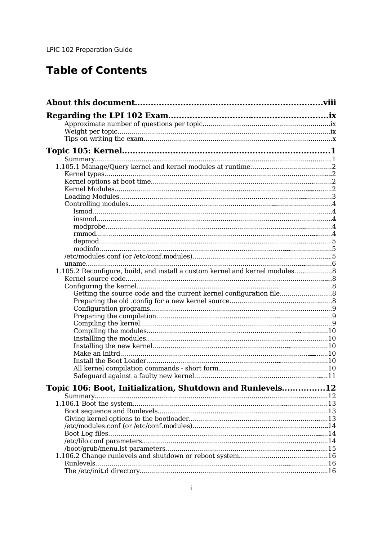# **Table of Contents**

| 1.105.2 Reconfigure, build, and install a custom kernel and kernel modules 8 |  |
|------------------------------------------------------------------------------|--|
|                                                                              |  |
|                                                                              |  |
|                                                                              |  |
|                                                                              |  |
|                                                                              |  |
|                                                                              |  |
|                                                                              |  |
|                                                                              |  |
|                                                                              |  |
|                                                                              |  |
|                                                                              |  |
|                                                                              |  |
|                                                                              |  |
|                                                                              |  |
| Topic 106: Boot, Initialization, Shutdown and Runlevels12                    |  |
|                                                                              |  |
|                                                                              |  |
|                                                                              |  |
|                                                                              |  |
|                                                                              |  |
|                                                                              |  |
|                                                                              |  |
|                                                                              |  |
|                                                                              |  |
|                                                                              |  |
|                                                                              |  |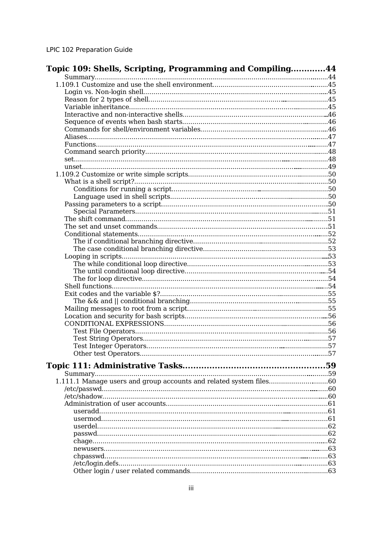| Topic 109: Shells, Scripting, Programming and Compiling44 |  |
|-----------------------------------------------------------|--|
|                                                           |  |
|                                                           |  |
|                                                           |  |
|                                                           |  |
|                                                           |  |
|                                                           |  |
|                                                           |  |
|                                                           |  |
|                                                           |  |
|                                                           |  |
|                                                           |  |
|                                                           |  |
|                                                           |  |
|                                                           |  |
|                                                           |  |
|                                                           |  |
|                                                           |  |
|                                                           |  |
|                                                           |  |
|                                                           |  |
|                                                           |  |
|                                                           |  |
|                                                           |  |
|                                                           |  |
|                                                           |  |
|                                                           |  |
|                                                           |  |
|                                                           |  |
|                                                           |  |
|                                                           |  |
|                                                           |  |
|                                                           |  |
|                                                           |  |
|                                                           |  |
|                                                           |  |
|                                                           |  |
|                                                           |  |
|                                                           |  |
|                                                           |  |
|                                                           |  |
|                                                           |  |
|                                                           |  |
|                                                           |  |
|                                                           |  |
|                                                           |  |
|                                                           |  |
|                                                           |  |
|                                                           |  |
|                                                           |  |
|                                                           |  |
|                                                           |  |
|                                                           |  |
|                                                           |  |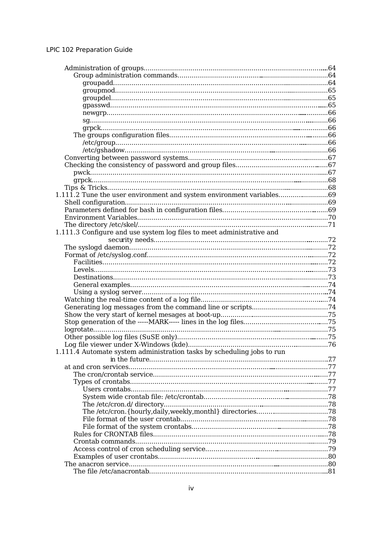| 1.111.2 Tune the user environment and system environment variables69   |  |
|------------------------------------------------------------------------|--|
|                                                                        |  |
|                                                                        |  |
|                                                                        |  |
|                                                                        |  |
| 1.111.3 Configure and use system log files to meet administrative and  |  |
|                                                                        |  |
|                                                                        |  |
|                                                                        |  |
|                                                                        |  |
|                                                                        |  |
|                                                                        |  |
|                                                                        |  |
|                                                                        |  |
|                                                                        |  |
|                                                                        |  |
|                                                                        |  |
|                                                                        |  |
|                                                                        |  |
|                                                                        |  |
|                                                                        |  |
| 1.111.4 Automate system administration tasks by scheduling jobs to run |  |
|                                                                        |  |
|                                                                        |  |
|                                                                        |  |
|                                                                        |  |
|                                                                        |  |
|                                                                        |  |
|                                                                        |  |
|                                                                        |  |
|                                                                        |  |
|                                                                        |  |
|                                                                        |  |
|                                                                        |  |
|                                                                        |  |
|                                                                        |  |
|                                                                        |  |
|                                                                        |  |
|                                                                        |  |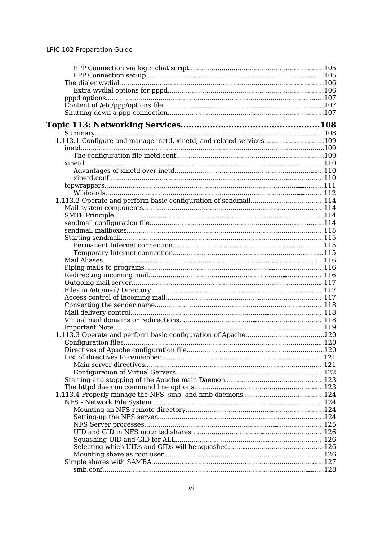| 1.113.1 Configure and manage inetd, xinetd, and related services109 |  |
|---------------------------------------------------------------------|--|
|                                                                     |  |
|                                                                     |  |
|                                                                     |  |
|                                                                     |  |
|                                                                     |  |
|                                                                     |  |
|                                                                     |  |
|                                                                     |  |
|                                                                     |  |
|                                                                     |  |
|                                                                     |  |
|                                                                     |  |
|                                                                     |  |
|                                                                     |  |
|                                                                     |  |
|                                                                     |  |
|                                                                     |  |
|                                                                     |  |
|                                                                     |  |
|                                                                     |  |
|                                                                     |  |
|                                                                     |  |
|                                                                     |  |
|                                                                     |  |
|                                                                     |  |
|                                                                     |  |
|                                                                     |  |
|                                                                     |  |
|                                                                     |  |
|                                                                     |  |
|                                                                     |  |
|                                                                     |  |
|                                                                     |  |
|                                                                     |  |
|                                                                     |  |
|                                                                     |  |
|                                                                     |  |
|                                                                     |  |
|                                                                     |  |
|                                                                     |  |
|                                                                     |  |
|                                                                     |  |
|                                                                     |  |
|                                                                     |  |
|                                                                     |  |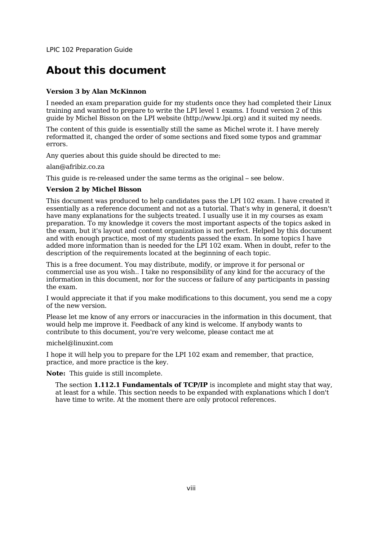# **About this document**

#### **Version 3 by Alan McKinnon**

I needed an exam preparation guide for my students once they had completed their Linux training and wanted to prepare to write the LPI level 1 exams. I found version 2 of this guide by Michel Bisson on the LPI website (http://www.lpi.org) and it suited my needs.

The content of this guide is essentially still the same as Michel wrote it. I have merely reformatted it, changed the order of some sections and fixed some typos and grammar errors.

Any queries about this guide should be directed to me:

alan@afribiz.co.za

This guide is re-released under the same terms as the original – see below.

#### **Version 2 by Michel Bisson**

This document was produced to help candidates pass the LPI 102 exam. I have created it essentially as a reference document and not as a tutorial. That's why in general, it doesn't have many explanations for the subjects treated. I usually use it in my courses as exam preparation. To my knowledge it covers the most important aspects of the topics asked in the exam, but it's layout and content organization is not perfect. Helped by this document and with enough practice, most of my students passed the exam. In some topics I have added more information than is needed for the LPI 102 exam. When in doubt, refer to the description of the requirements located at the beginning of each topic.

This is a free document. You may distribute, modify, or improve it for personal or commercial use as you wish.. I take no responsibility of any kind for the accuracy of the information in this document, nor for the success or failure of any participants in passing the exam.

I would appreciate it that if you make modifications to this document, you send me a copy of the new version.

Please let me know of any errors or inaccuracies in the information in this document, that would help me improve it. Feedback of any kind is welcome. If anybody wants to contribute to this document, you're very welcome, please contact me at

michel@linuxint.com

I hope it will help you to prepare for the LPI 102 exam and remember, that practice, practice, and more practice is the key.

**Note:** This guide is still incomplete.

The section **1.112.1 Fundamentals of TCP/IP** is incomplete and might stay that way, at least for a while. This section needs to be expanded with explanations which I don't have time to write. At the moment there are only protocol references.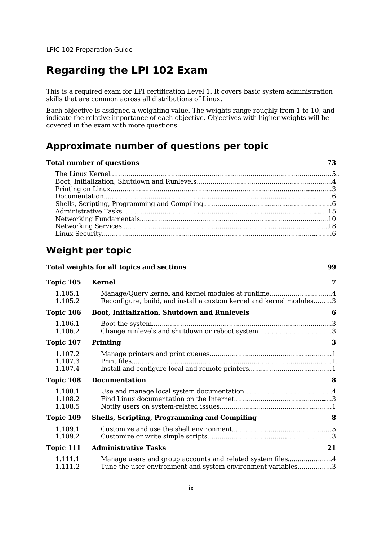# **Regarding the LPI 102 Exam**

This is a required exam for LPI certification Level 1. It covers basic system administration skills that are common across all distributions of Linux.

Each objective is assigned a weighting value. The weights range roughly from 1 to 10, and indicate the relative importance of each objective. Objectives with higher weights will be covered in the exam with more questions.

### **Approximate number of questions per topic**

# **Total number of questions 73**

## **Weight per topic**

|                               | Total weights for all topics and sections                                                                                 | 99 |
|-------------------------------|---------------------------------------------------------------------------------------------------------------------------|----|
| Topic 105                     | <b>Kernel</b>                                                                                                             | 7  |
| 1.105.1<br>1.105.2            | Manage/Query kernel and kernel modules at runtime4<br>Reconfigure, build, and install a custom kernel and kernel modules3 |    |
| Topic 106                     | <b>Boot, Initialization, Shutdown and Runlevels</b>                                                                       | 6  |
| 1.106.1<br>1.106.2            | Change runlevels and shutdown or reboot system3                                                                           |    |
| Topic 107                     | Printing                                                                                                                  | 3  |
| 1.107.2<br>1.107.3<br>1.107.4 | Print files                                                                                                               |    |
| Topic 108                     | <b>Documentation</b>                                                                                                      | 8  |
| 1.108.1<br>1.108.2<br>1.108.5 |                                                                                                                           |    |
| Topic 109                     | <b>Shells, Scripting, Programming and Compiling</b>                                                                       | 8  |
| 1.109.1<br>1.109.2            |                                                                                                                           |    |
| Topic 111                     | <b>Administrative Tasks</b>                                                                                               | 21 |
| 1.111.1<br>1.111.2            | Manage users and group accounts and related system files4<br>Tune the user environment and system environment variables3  |    |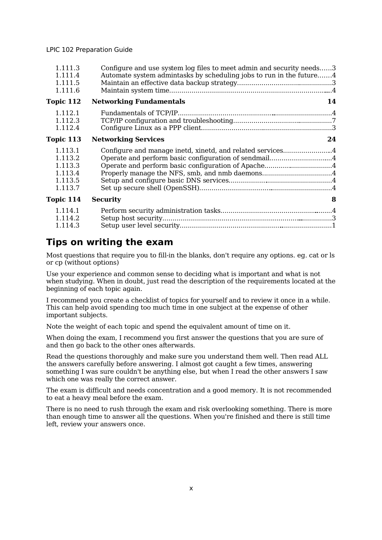| 1.111.3<br>1.111.4<br>1.111.5                                  | Configure and use system log files to meet admin and security needs3<br>Automate system admintasks by scheduling jobs to run in the future4 |    |
|----------------------------------------------------------------|---------------------------------------------------------------------------------------------------------------------------------------------|----|
| 1.111.6<br>Topic 112                                           | <b>Networking Fundamentals</b>                                                                                                              | 14 |
| 1.112.1<br>1.112.3<br>1.112.4                                  |                                                                                                                                             |    |
| Topic 113                                                      | <b>Networking Services</b>                                                                                                                  | 24 |
| 1.113.1<br>1.113.2<br>1.113.3<br>1.113.4<br>1.113.5<br>1.113.7 | Configure and manage inetd, xinetd, and related services4<br>Operate and perform basic configuration of sendmail4                           |    |
| Topic 114                                                      | <b>Security</b>                                                                                                                             | 8  |
| 1.114.1<br>1.114.2<br>1.114.3                                  |                                                                                                                                             |    |
|                                                                |                                                                                                                                             |    |

### **Tips on writing the exam**

Most questions that require you to fill-in the blanks, don't require any options. eg. cat or ls or cp (without options)

Use your experience and common sense to deciding what is important and what is not when studying. When in doubt, just read the description of the requirements located at the beginning of each topic again.

I recommend you create a checklist of topics for yourself and to review it once in a while. This can help avoid spending too much time in one subject at the expense of other important subjects.

Note the weight of each topic and spend the equivalent amount of time on it.

When doing the exam, I recommend you first answer the questions that you are sure of and then go back to the other ones afterwards.

Read the questions thoroughly and make sure you understand them well. Then read ALL the answers carefully before answering. I almost got caught a few times, answering something I was sure couldn't be anything else, but when I read the other answers I saw which one was really the correct answer.

The exam is difficult and needs concentration and a good memory. It is not recommended to eat a heavy meal before the exam.

There is no need to rush through the exam and risk overlooking something. There is more than enough time to answer all the questions. When you're finished and there is still time left, review your answers once.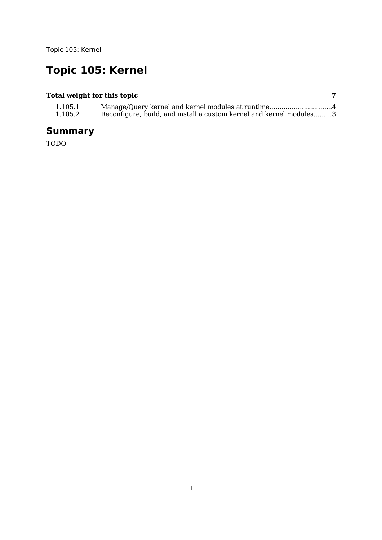# **Topic 105: Kernel**

### **Total weight for this topic 7**

| 1.105.1 | Manage/Query kernel and kernel modules at runtime4                  |  |
|---------|---------------------------------------------------------------------|--|
| 1.105.2 | Reconfigure, build, and install a custom kernel and kernel modules3 |  |

# **Summary**

TODO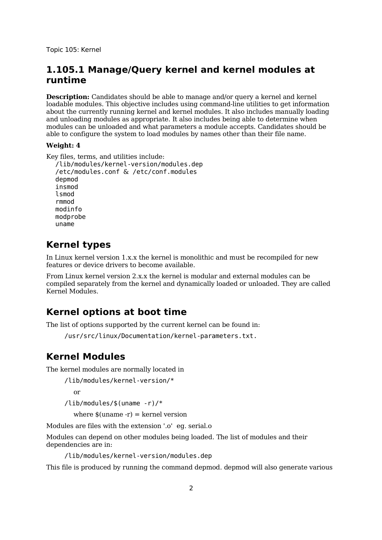### **1.105.1 Manage/Query kernel and kernel modules at runtime**

**Description:** Candidates should be able to manage and/or query a kernel and kernel loadable modules. This objective includes using command-line utilities to get information about the currently running kernel and kernel modules. It also includes manually loading and unloading modules as appropriate. It also includes being able to determine when modules can be unloaded and what parameters a module accepts. Candidates should be able to configure the system to load modules by names other than their file name.

#### **Weight: 4**

```
Key files, terms, and utilities include:
```

```
/lib/modules/kernel-version/modules.dep
/etc/modules.conf & /etc/conf.modules
depmod
insmod
lsmod
rmmod
modinfo
modprobe
uname
```
### **Kernel types**

In Linux kernel version 1.x.x the kernel is monolithic and must be recompiled for new features or device drivers to become available.

From Linux kernel version 2.x.x the kernel is modular and external modules can be compiled separately from the kernel and dynamically loaded or unloaded. They are called Kernel Modules.

### **Kernel options at boot time**

The list of options supported by the current kernel can be found in:

/usr/src/linux/Documentation/kernel-parameters.txt.

### **Kernel Modules**

The kernel modules are normally located in

```
/lib/modules/kernel-version/*
```
or

```
/lib/modules/$(uname -r)/*
```
where  $\$($ uname -r $)$  = kernel version

Modules are files with the extension '.o' eg. serial.o

Modules can depend on other modules being loaded. The list of modules and their dependencies are in:

/lib/modules/kernel-version/modules.dep

This file is produced by running the command depmod. depmod will also generate various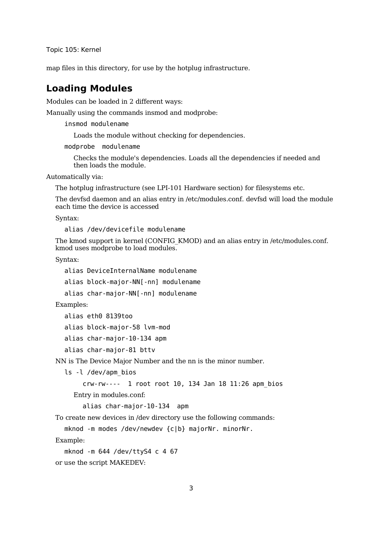map files in this directory, for use by the hotplug infrastructure.

### **Loading Modules**

Modules can be loaded in 2 different ways:

Manually using the commands insmod and modprobe:

insmod modulename

Loads the module without checking for dependencies.

modprobe modulename

Checks the module's dependencies. Loads all the dependencies if needed and then loads the module.

Automatically via:

The hotplug infrastructure (see LPI-101 Hardware section) for filesystems etc.

The devfsd daemon and an alias entry in /etc/modules.conf. devfsd will load the module each time the device is accessed

Syntax:

alias /dev/devicefile modulename

The kmod support in kernel (CONFIG\_KMOD) and an alias entry in /etc/modules.conf. kmod uses modprobe to load modules.

Syntax:

```
alias DeviceInternalName modulename
```
alias block-major-NN[-nn] modulename

```
alias char-major-NN[-nn] modulename
```
Examples:

```
alias eth0 8139too
```

```
alias block-major-58 lvm-mod
```

```
alias char-major-10-134 apm
```

```
alias char-major-81 bttv
```
NN is The Device Major Number and the nn is the minor number.

ls -l /dev/apm\_bios

```
crw-rw---- 1 root root 10, 134 Jan 18 11:26 apm_bios
```
Entry in modules.conf:

alias char-major-10-134 apm

To create new devices in /dev directory use the following commands:

mknod -m modes /dev/newdev {c|b} majorNr. minorNr.

Example:

```
mknod -m 644 /dev/ttyS4 c 4 67
```
or use the script MAKEDEV: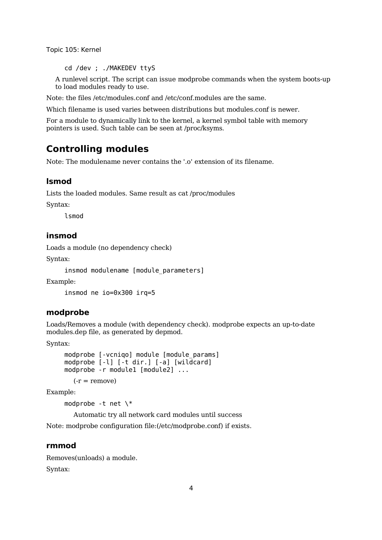cd /dev ; ./MAKEDEV ttyS

A runlevel script. The script can issue modprobe commands when the system boots-up to load modules ready to use.

Note: the files /etc/modules.conf and /etc/conf.modules are the same.

Which filename is used varies between distributions but modules.conf is newer.

For a module to dynamically link to the kernel, a kernel symbol table with memory pointers is used. Such table can be seen at /proc/ksyms.

### **Controlling modules**

Note: The modulename never contains the '.o' extension of its filename.

#### **lsmod**

Lists the loaded modules. Same result as cat /proc/modules

Syntax:

lsmod

#### **insmod**

Loads a module (no dependency check)

Syntax:

insmod modulename [module parameters]

Example:

insmod ne io=0x300 irq=5

#### **modprobe**

Loads/Removes a module (with dependency check). modprobe expects an up-to-date modules.dep file, as generated by depmod.

Syntax:

```
modprobe [-vcniqo] module [module params]
modprobe [-1] [-t dir.] [-a] [wil\bar{d}card]modprobe -r module1 [module2] ...
```
 $(-r =$ remove)

Example:

modprobe -t net \\*

Automatic try all network card modules until success

Note: modprobe configuration file:(/etc/modprobe.conf) if exists.

#### **rmmod**

Removes(unloads) a module. Syntax: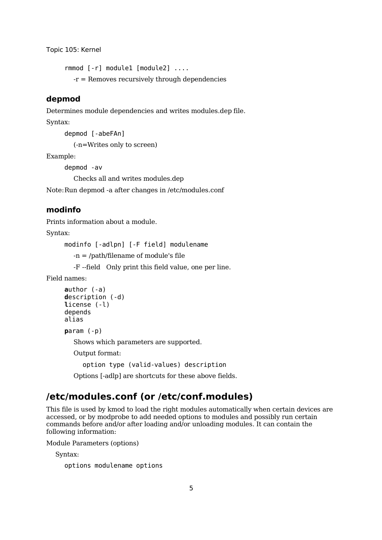rmmod [-r] module1 [module2] .... -r = Removes recursively through dependencies

#### **depmod**

Determines module dependencies and writes modules.dep file.

Syntax:

depmod [-abeFAn]

(-n=Writes only to screen)

Example:

depmod -av

Checks all and writes modules.dep

Note:Run depmod -a after changes in /etc/modules.conf

#### **modinfo**

Prints information about a module.

Syntax:

modinfo [-adlpn] [-F field] modulename

-n = /path/filename of module's file

-F --field Only print this field value, one per line.

Field names:

```
author (-a)
description (-d)
license (-l)
depends
alias
```
**p**aram (-p)

Shows which parameters are supported.

Output format:

option type (valid-values) description

Options [-adlp] are shortcuts for these above fields.

### **/etc/modules.conf (or /etc/conf.modules)**

This file is used by kmod to load the right modules automatically when certain devices are accessed, or by modprobe to add needed options to modules and possibly run certain commands before and/or after loading and/or unloading modules. It can contain the following information:

Module Parameters (options)

Syntax:

options modulename options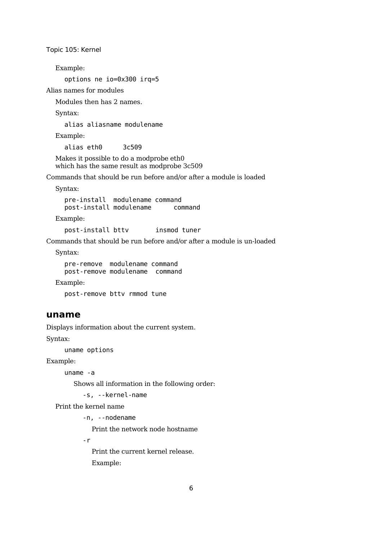Example:

options ne io=0x300 irq=5

Alias names for modules

Modules then has 2 names.

Syntax:

alias aliasname modulename

Example:

alias eth0 3c509

Makes it possible to do a modprobe eth0 which has the same result as modprobe 3c509

Commands that should be run before and/or after a module is loaded

Syntax:

pre-install modulename command<br>post-install modulename command post-install modulename

Example:

post-install bttv insmod tuner

Commands that should be run before and/or after a module is un-loaded

Syntax:

pre-remove modulename command post-remove modulename command

Example:

post-remove bttv rmmod tune

#### **uname**

Displays information about the current system.

Syntax:

uname options

Example:

uname -a

Shows all information in the following order:

-s, --kernel-name

Print the kernel name

-n, --nodename

Print the network node hostname

-r

Print the current kernel release. Example: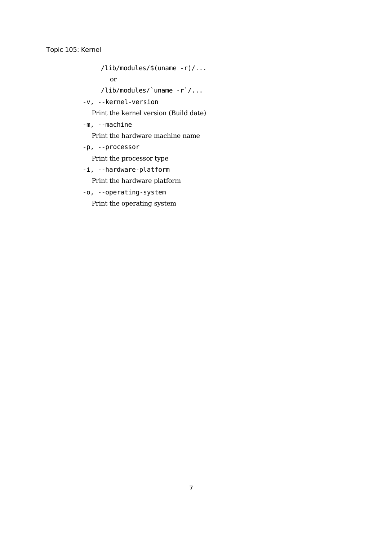/lib/modules/\$(uname -r)/...

or

/lib/modules/`uname -r`/...

-v, --kernel-version

Print the kernel version (Build date)

-m, --machine

Print the hardware machine name

-p, --processor

Print the processor type

-i, --hardware-platform

Print the hardware platform

-o, --operating-system

Print the operating system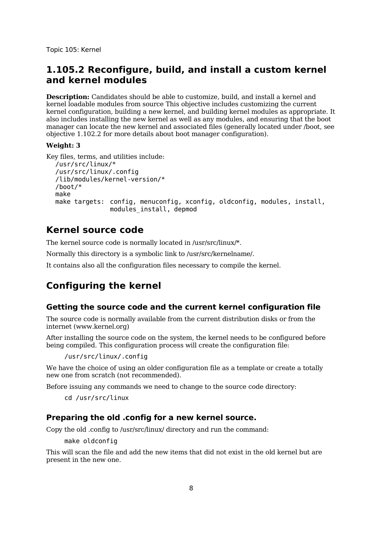### **1.105.2 Reconfigure, build, and install a custom kernel and kernel modules**

**Description:** Candidates should be able to customize, build, and install a kernel and kernel loadable modules from source This objective includes customizing the current kernel configuration, building a new kernel, and building kernel modules as appropriate. It also includes installing the new kernel as well as any modules, and ensuring that the boot manager can locate the new kernel and associated files (generally located under /boot, see objective 1.102.2 for more details about boot manager configuration).

#### **Weight: 3**

```
Key files, terms, and utilities include:
  /usr/src/linux/*
  /usr/src/linux/.config
  /lib/modules/kernel-version/*
  /boot/*
  make
  make targets: config, menuconfig, xconfig, oldconfig, modules, install,
                 modules_install, depmod
```
### **Kernel source code**

The kernel source code is normally located in /usr/src/linux/\*.

Normally this directory is a symbolic link to /usr/src/kernelname/.

It contains also all the configuration files necessary to compile the kernel.

### **Configuring the kernel**

#### **Getting the source code and the current kernel configuration file**

The source code is normally available from the current distribution disks or from the internet (www.kernel.org)

After installing the source code on the system, the kernel needs to be configured before being compiled. This configuration process will create the configuration file:

/usr/src/linux/.config

We have the choice of using an older configuration file as a template or create a totally new one from scratch (not recommended).

Before issuing any commands we need to change to the source code directory:

cd /usr/src/linux

#### **Preparing the old .config for a new kernel source.**

Copy the old .config to /usr/src/linux/ directory and run the command:

make oldconfig

This will scan the file and add the new items that did not exist in the old kernel but are present in the new one.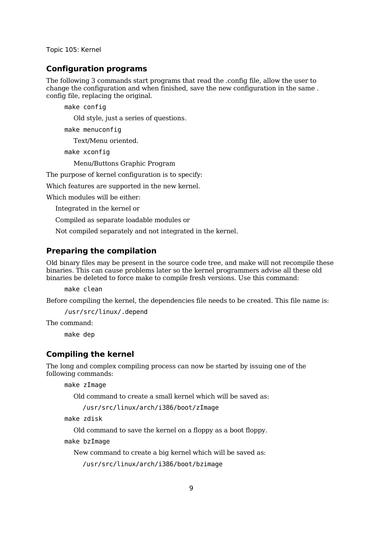#### **Configuration programs**

The following 3 commands start programs that read the .config file, allow the user to change the configuration and when finished, save the new configuration in the same . config file, replacing the original.

make config

Old style, just a series of questions.

make menuconfig

Text/Menu oriented.

make xconfig

Menu/Buttons Graphic Program

The purpose of kernel configuration is to specify:

Which features are supported in the new kernel.

Which modules will be either:

Integrated in the kernel or

Compiled as separate loadable modules or

Not compiled separately and not integrated in the kernel.

#### **Preparing the compilation**

Old binary files may be present in the source code tree, and make will not recompile these binaries. This can cause problems later so the kernel programmers advise all these old binaries be deleted to force make to compile fresh versions. Use this command:

make clean

Before compiling the kernel, the dependencies file needs to be created. This file name is:

/usr/src/linux/.depend

The command:

make dep

#### **Compiling the kernel**

The long and complex compiling process can now be started by issuing one of the following commands:

make zImage

Old command to create a small kernel which will be saved as:

/usr/src/linux/arch/i386/boot/zImage

make zdisk

Old command to save the kernel on a floppy as a boot floppy.

make bzImage

New command to create a big kernel which will be saved as:

/usr/src/linux/arch/i386/boot/bzimage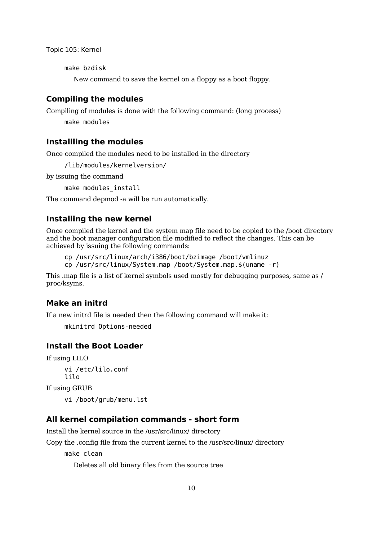make bzdisk

New command to save the kernel on a floppy as a boot floppy.

#### **Compiling the modules**

Compiling of modules is done with the following command: (long process)

make modules

#### **Installling the modules**

Once compiled the modules need to be installed in the directory

/lib/modules/kernelversion/

by issuing the command

make modules install

The command depmod -a will be run automatically.

#### **Installing the new kernel**

Once compiled the kernel and the system map file need to be copied to the /boot directory and the boot manager configuration file modified to reflect the changes. This can be achieved by issuing the following commands:

```
cp /usr/src/linux/arch/i386/boot/bzimage /boot/vmlinuz
```
cp /usr/src/linux/System.map /boot/System.map.\$(uname -r)

This .map file is a list of kernel symbols used mostly for debugging purposes, same as / proc/ksyms.

#### **Make an initrd**

If a new initrd file is needed then the following command will make it:

mkinitrd Options-needed

#### **Install the Boot Loader**

If using LILO

vi /etc/lilo.conf lilo

If using GRUB

vi /boot/grub/menu.lst

#### **All kernel compilation commands - short form**

Install the kernel source in the /usr/src/linux/ directory

Copy the .config file from the current kernel to the /usr/src/linux/ directory

make clean

Deletes all old binary files from the source tree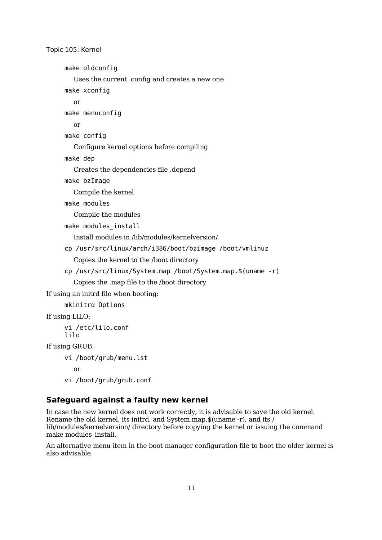```
make oldconfig
        Uses the current .config and creates a new one
     make xconfig
       or
     make menuconfig
       or
     make config
       Configure kernel options before compiling
     make dep
       Creates the dependencies file .depend
     make bzImage
       Compile the kernel
     make modules
        Compile the modules
     make modules install
        Install modules in /lib/modules/kernelversion/
     cp /usr/src/linux/arch/i386/boot/bzimage /boot/vmlinuz
        Copies the kernel to the /boot directory
     cp /usr/src/linux/System.map /boot/System.map.$(uname -r)
        Copies the .map file to the /boot directory
If using an initrd file when booting:
     mkinitrd Options
If using LILO:
     vi /etc/lilo.conf
     lilo
If using GRUB:
```

```
vi /boot/grub/menu.lst
```
or

vi /boot/grub/grub.conf

#### **Safeguard against a faulty new kernel**

In case the new kernel does not work correctly, it is advisable to save the old kernel. Rename the old kernel, its initrd, and System.map.\$(uname -r), and its / lib/modules/kernelversion/ directory before copying the kernel or issuing the command make modules\_install.

An alternative menu item in the boot manager configuration file to boot the older kernel is also advisable.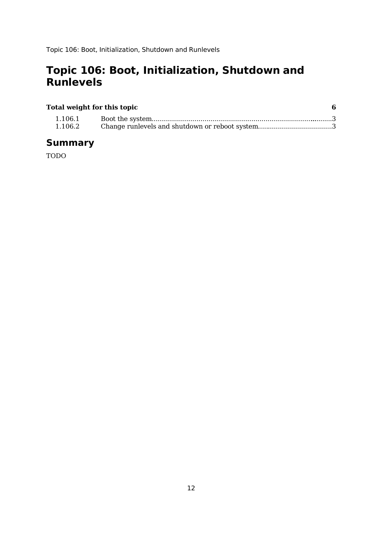# **Topic 106: Boot, Initialization, Shutdown and Runlevels**

#### **Total weight for this topic 6** 1.106.1 Boot the system.........................................................................................3 1.106.2 Change runlevels and shutdown or reboot system.....................................3

### **Summary**

TODO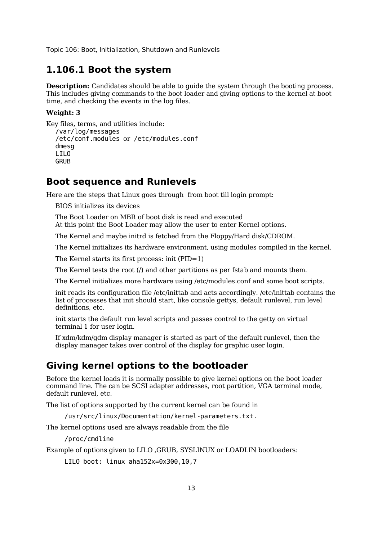#### **1.106.1 Boot the system**

**Description:** Candidates should be able to quide the system through the booting process. This includes giving commands to the boot loader and giving options to the kernel at boot time, and checking the events in the log files.

#### **Weight: 3**

```
Key files, terms, and utilities include:
  /var/log/messages
  /etc/conf.modules or /etc/modules.conf
  dmesa
  LILO
  GRUB
```
#### **Boot sequence and Runlevels**

Here are the steps that Linux goes through from boot till login prompt:

BIOS initializes its devices

The Boot Loader on MBR of boot disk is read and executed At this point the Boot Loader may allow the user to enter Kernel options.

The Kernel and maybe initrd is fetched from the Floppy/Hard disk/CDROM.

The Kernel initializes its hardware environment, using modules compiled in the kernel.

The Kernel starts its first process: init (PID=1)

The Kernel tests the root (/) and other partitions as per fstab and mounts them.

The Kernel initializes more hardware using /etc/modules.conf and some boot scripts.

init reads its configuration file /etc/inittab and acts accordingly. /etc/inittab contains the list of processes that init should start, like console gettys, default runlevel, run level definitions, etc.

init starts the default run level scripts and passes control to the getty on virtual terminal 1 for user login.

If xdm/kdm/gdm display manager is started as part of the default runlevel, then the display manager takes over control of the display for graphic user login.

### **Giving kernel options to the bootloader**

Before the kernel loads it is normally possible to give kernel options on the boot loader command line. The can be SCSI adapter addresses, root partition, VGA terminal mode, default runlevel, etc.

The list of options supported by the current kernel can be found in

/usr/src/linux/Documentation/kernel-parameters.txt.

The kernel options used are always readable from the file

/proc/cmdline

Example of options given to LILO ,GRUB, SYSLINUX or LOADLIN bootloaders:

LILO boot: linux aha152x=0x300,10,7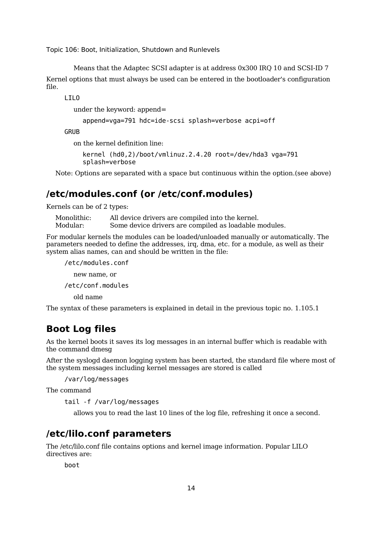Means that the Adaptec SCSI adapter is at address 0x300 IRQ 10 and SCSI-ID 7 Kernel options that must always be used can be entered in the bootloader's configuration file.

LILO

under the keyword: append=

```
append=vga=791 hdc=ide-scsi splash=verbose acpi=off
```
**GRUB** 

on the kernel definition line:

```
kernel (hd0,2)/boot/vmlinuz.2.4.20 root=/dev/hda3 vga=791
splash=verbose
```
Note: Options are separated with a space but continuous within the option.(see above)

### **/etc/modules.conf (or /etc/conf.modules)**

Kernels can be of 2 types:

Monolithic: All device drivers are compiled into the kernel. Modular: Some device drivers are compiled as loadable modules.

For modular kernels the modules can be loaded/unloaded manually or automatically. The parameters needed to define the addresses, irq, dma, etc. for a module, as well as their system alias names, can and should be written in the file:

/etc/modules.conf new name, or /etc/conf.modules old name The syntax of these parameters is explained in detail in the previous topic no. 1.105.1

### **Boot Log files**

As the kernel boots it saves its log messages in an internal buffer which is readable with the command dmesg

After the syslogd daemon logging system has been started, the standard file where most of the system messages including kernel messages are stored is called

/var/log/messages

The command

tail -f /var/log/messages

allows you to read the last 10 lines of the log file, refreshing it once a second.

### **/etc/lilo.conf parameters**

The /etc/lilo.conf file contains options and kernel image information. Popular LILO directives are:

boot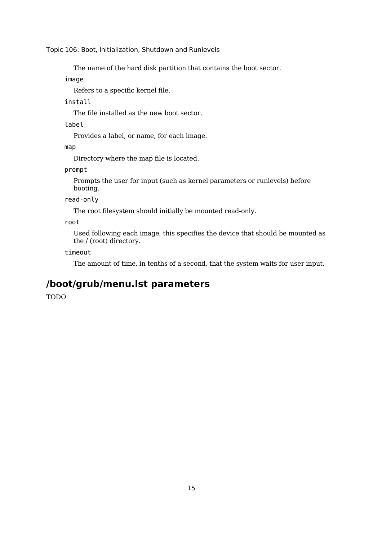The name of the hard disk partition that contains the boot sector.

image

Refers to a specific kernel file.

install

The file installed as the new boot sector.

label

Provides a label, or name, for each image.

map

Directory where the map file is located.

prompt

Prompts the user for input (such as kernel parameters or runlevels) before booting.

read-only

The root filesystem should initially be mounted read-only.

root

Used following each image, this specifies the device that should be mounted as the / (root) directory.

timeout

The amount of time, in tenths of a second, that the system waits for user input.

### **/boot/grub/menu.lst parameters**

TODO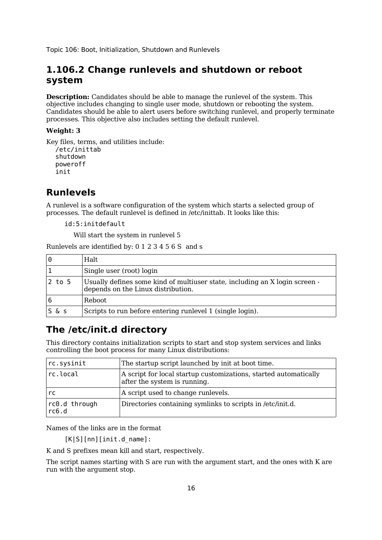### **1.106.2 Change runlevels and shutdown or reboot system**

**Description:** Candidates should be able to manage the runlevel of the system. This objective includes changing to single user mode, shutdown or rebooting the system. Candidates should be able to alert users before switching runlevel, and properly terminate processes. This objective also includes setting the default runlevel.

#### **Weight: 3**

Key files, terms, and utilities include: /etc/inittab shutdown poweroff

# init

### **Runlevels**

A runlevel is a software configuration of the system which starts a selected group of processes. The default runlevel is defined in /etc/inittab. It looks like this:

id:5:initdefault

Will start the system in runlevel 5

Runlevels are identified by: 0 1 2 3 4 5 6 S and s

| 0          | Halt.                                                                                                             |
|------------|-------------------------------------------------------------------------------------------------------------------|
|            | Single user (root) login                                                                                          |
| $2$ to $5$ | Usually defines some kind of multiuser state, including an X login screen -<br>depends on the Linux distribution. |
|            | Reboot.                                                                                                           |
| S & S      | Scripts to run before entering runlevel 1 (single login).                                                         |

## **The /etc/init.d directory**

This directory contains initialization scripts to start and stop system services and links controlling the boot process for many Linux distributions:

| rc.sysinit             | The startup script launched by init at boot time.                                                |
|------------------------|--------------------------------------------------------------------------------------------------|
| rc.local               | A script for local startup customizations, started automatically<br>after the system is running. |
| rc.                    | A script used to change runlevels.                                                               |
| rc0.d through<br>rc6.d | Directories containing symlinks to scripts in /etc/init.d.                                       |

Names of the links are in the format

[K|S][nn][init.d\_name]:

K and S prefixes mean kill and start, respectively.

The script names starting with S are run with the argument start, and the ones with K are run with the argument stop.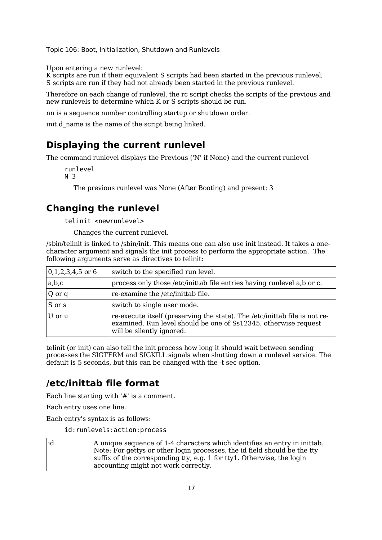Upon entering a new runlevel:

K scripts are run if their equivalent S scripts had been started in the previous runlevel, S scripts are run if they had not already been started in the previous runlevel.

Therefore on each change of runlevel, the rc script checks the scripts of the previous and new runlevels to determine which K or S scripts should be run.

nn is a sequence number controlling startup or shutdown order.

init.d\_name is the name of the script being linked.

### **Displaying the current runlevel**

The command runlevel displays the Previous ('N' if None) and the current runlevel

```
runlevel
N 3
```
The previous runlevel was None (After Booting) and present: 3

### **Changing the runlevel**

telinit <newrunlevel>

Changes the current runlevel.

/sbin/telinit is linked to /sbin/init. This means one can also use init instead. It takes a onecharacter argument and signals the init process to perform the appropriate action. The following arguments serve as directives to telinit:

| $0,1,2,3,4,5$ or 6 | switch to the specified run level.                                                                                                                                         |
|--------------------|----------------------------------------------------------------------------------------------------------------------------------------------------------------------------|
| a,b,c              | process only those /etc/inittab file entries having runlevel a,b or c.                                                                                                     |
| Q or q             | re-examine the /etc/inittab file.                                                                                                                                          |
| S or s             | switch to single user mode.                                                                                                                                                |
| U or u             | re-execute itself (preserving the state). The /etc/inittab file is not re-<br>examined. Run level should be one of Ss12345, otherwise request<br>will be silently ignored. |

telinit (or init) can also tell the init process how long it should wait between sending processes the SIGTERM and SIGKILL signals when shutting down a runlevel service. The default is 5 seconds, but this can be changed with the -t sec option.

### **/etc/inittab file format**

Each line starting with '#' is a comment.

Each entry uses one line.

Each entry's syntax is as follows:

id:runlevels:action:process

| id | A unique sequence of 1-4 characters which identifies an entry in inittab. |
|----|---------------------------------------------------------------------------|
|    | Note: For gettys or other login processes, the id field should be the tty |
|    | suffix of the corresponding tty, e.g. 1 for tty1. Otherwise, the login    |
|    | accounting might not work correctly.                                      |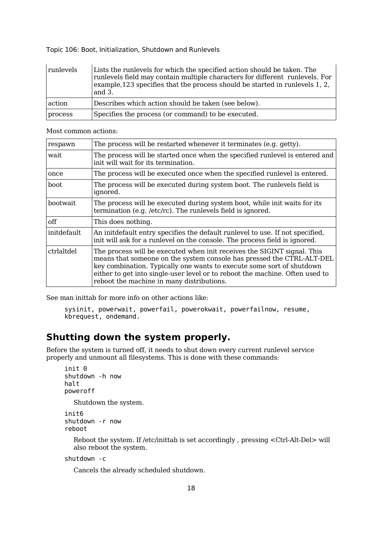| runlevels | Lists the runlevels for which the specified action should be taken. The<br>runlevels field may contain multiple characters for different runlevels. For<br>example, 123 specifies that the process should be started in runlevels 1, 2,<br>and $3$ . |
|-----------|------------------------------------------------------------------------------------------------------------------------------------------------------------------------------------------------------------------------------------------------------|
| action    | Describes which action should be taken (see below).                                                                                                                                                                                                  |
| process   | Specifies the process (or command) to be executed.                                                                                                                                                                                                   |

Most common actions:

| respawn         | The process will be restarted whenever it terminates (e.g. getty).                                                                                                                                                                                                                                                                                     |
|-----------------|--------------------------------------------------------------------------------------------------------------------------------------------------------------------------------------------------------------------------------------------------------------------------------------------------------------------------------------------------------|
| wait            | The process will be started once when the specified runlevel is entered and<br>init will wait for its termination.                                                                                                                                                                                                                                     |
| once            | The process will be executed once when the specified runlevel is entered.                                                                                                                                                                                                                                                                              |
| boot            | The process will be executed during system boot. The runlevels field is<br>ignored.                                                                                                                                                                                                                                                                    |
| <b>bootwait</b> | The process will be executed during system boot, while init waits for its<br>termination (e.g. /etc/rc). The runlevels field is ignored.                                                                                                                                                                                                               |
| off             | This does nothing.                                                                                                                                                                                                                                                                                                                                     |
| initdefault     | An initdefault entry specifies the default runlevel to use. If not specified,<br>init will ask for a runlevel on the console. The process field is ignored.                                                                                                                                                                                            |
| ctrialtdel      | The process will be executed when init receives the SIGINT signal. This<br>means that someone on the system console has pressed the CTRL-ALT-DEL<br>key combination. Typically one wants to execute some sort of shutdown<br>either to get into single-user level or to reboot the machine. Often used to<br>reboot the machine in many distributions. |

See man inittab for more info on other actions like:

sysinit, powerwait, powerfail, powerokwait, powerfailnow, resume, kbrequest, ondemand.

### **Shutting down the system properly.**

Before the system is turned off, it needs to shut down every current runlevel service properly and unmount all filesystems. This is done with these commands:

```
init 0
shutdown -h now
halt
poweroff
  Shutdown the system.
```

```
init6
shutdown -r now
reboot
```
Reboot the system. If /etc/inittab is set accordingly , pressing <Ctrl-Alt-Del> will also reboot the system.

#### shutdown -c

Cancels the already scheduled shutdown.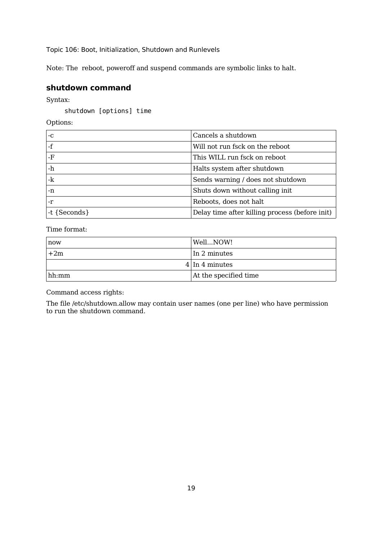Note: The reboot, poweroff and suspend commands are symbolic links to halt.

#### **shutdown command**

Syntax:

shutdown [options] time

Options:

| -C             | Cancels a shutdown                             |
|----------------|------------------------------------------------|
|                | Will not run fsck on the reboot                |
| -F             | This WILL run fsck on reboot                   |
| -h             | Halts system after shutdown                    |
| -k             | Sends warning / does not shutdown              |
| -n             | Shuts down without calling init                |
| -r             | Reboots, does not halt                         |
| $-t$ {Seconds} | Delay time after killing process (before init) |

Time format:

| now   | WellNOW!                |
|-------|-------------------------|
| $+2m$ | In 2 minutes            |
|       | $4 \vert \ln 4$ minutes |
| hh:mm | At the specified time   |

Command access rights:

The file /etc/shutdown.allow may contain user names (one per line) who have permission to run the shutdown command.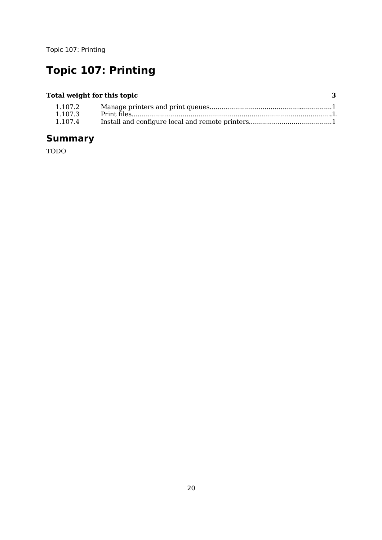# **Topic 107: Printing**

### **Total weight for this topic 3**

| 1.107.2 |  |
|---------|--|
| 1.107.3 |  |
| 1.107.4 |  |

# **Summary**

TODO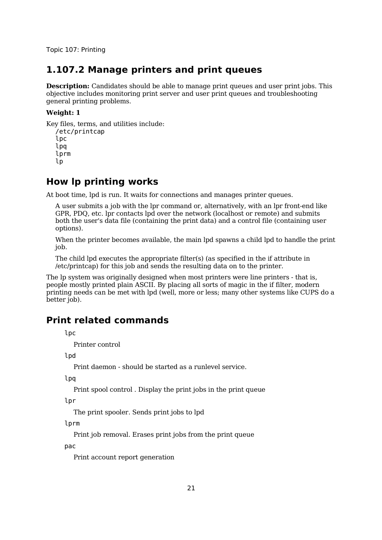### **1.107.2 Manage printers and print queues**

**Description:** Candidates should be able to manage print queues and user print jobs. This objective includes monitoring print server and user print queues and troubleshooting general printing problems.

#### **Weight: 1**

Key files, terms, and utilities include:

```
/etc/printcap
lpc
lpq
lprm
lp
```
### **How lp printing works**

At boot time, lpd is run. It waits for connections and manages printer queues.

A user submits a job with the lpr command or, alternatively, with an lpr front-end like GPR, PDQ, etc. lpr contacts lpd over the network (localhost or remote) and submits both the user's data file (containing the print data) and a control file (containing user options).

When the printer becomes available, the main lpd spawns a child lpd to handle the print job.

The child lpd executes the appropriate filter(s) (as specified in the if attribute in /etc/printcap) for this job and sends the resulting data on to the printer.

The lp system was originally designed when most printers were line printers - that is, people mostly printed plain ASCII. By placing all sorts of magic in the if filter, modern printing needs can be met with lpd (well, more or less; many other systems like CUPS do a better job).

### **Print related commands**

lpc

Printer control

1<sub>nd</sub>

Print daemon - should be started as a runlevel service.

lpq

Print spool control . Display the print jobs in the print queue

lpr

The print spooler. Sends print jobs to lpd

lprm

Print job removal. Erases print jobs from the print queue

pac

Print account report generation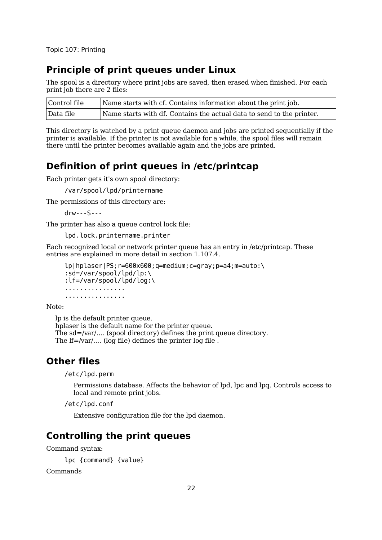### **Principle of print queues under Linux**

The spool is a directory where print jobs are saved, then erased when finished. For each print job there are 2 files:

| Control file | Name starts with cf. Contains information about the print job.        |
|--------------|-----------------------------------------------------------------------|
| Data file    | Name starts with df. Contains the actual data to send to the printer. |

This directory is watched by a print queue daemon and jobs are printed sequentially if the printer is available. If the printer is not available for a while, the spool files will remain there until the printer becomes available again and the jobs are printed.

### **Definition of print queues in /etc/printcap**

Each printer gets it's own spool directory:

/var/spool/lpd/printername

The permissions of this directory are:

drw---S---

The printer has also a queue control lock file:

lpd.lock.printername.printer

Each recognized local or network printer queue has an entry in /etc/printcap. These entries are explained in more detail in section 1.107.4.

```
lp|hplaser|PS;r=600x600;q=medium;c=gray;p=a4;m=auto:\
:sd=/var/spool/lpd/lp:\
:lf=/var/spool/lpd/log:\
................
................
```
Note:

lp is the default printer queue. hplaser is the default name for the printer queue. The sd=/var/.... (spool directory) defines the print queue directory. The lf=/var/.... (log file) defines the printer log file.

### **Other files**

/etc/lpd.perm

Permissions database. Affects the behavior of lpd, lpc and lpq. Controls access to local and remote print jobs.

/etc/lpd.conf

Extensive configuration file for the lpd daemon.

### **Controlling the print queues**

Command syntax:

```
lpc {command} {value}
```
Commands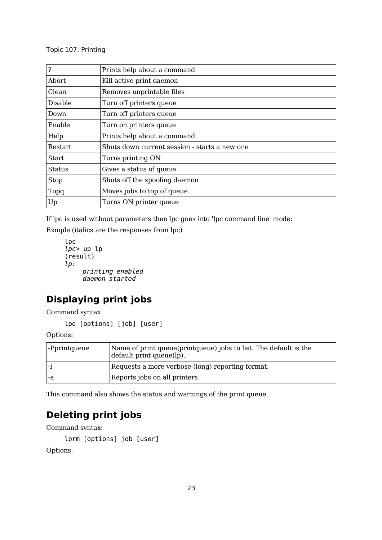| ,              | Prints help about a command                   |
|----------------|-----------------------------------------------|
| Abort          | Kill active print daemon                      |
| Clean          | Removes unprintable files                     |
| Disable        | Turn off printers queue                       |
| Down           | Turn off printers queue                       |
| Enable         | Turn on printers queue                        |
| Help           | Prints help about a command                   |
| <b>Restart</b> | Shuts down current session - starts a new one |
| <b>Start</b>   | Turns printing ON                             |
| <b>Status</b>  | Gives a status of queue                       |
| <b>Stop</b>    | Shuts off the spooling daemon                 |
| Topq           | Moves jobs to top of queue                    |
| Up             | Turns ON printer queue                        |

If lpc is used without parameters then lpc goes into 'lpc command line' mode:

Exmple (italics are the responses from lpc)

```
lpc
lpc> up lp
(result)
lp:
    printing enabled
    daemon started
```
# **Displaying print jobs**

Command syntax

lpq [options] [job] [user]

Options:

| -Pprintqueue | Name of print queue (print queue) jobs to list. The default is the<br>default print queue(lp). |
|--------------|------------------------------------------------------------------------------------------------|
|              | Requests a more verbose (long) reporting format.                                               |
| l -a         | Reports jobs on all printers                                                                   |

This command also shows the status and warnings of the print queue.

## **Deleting print jobs**

Command syntax:

```
lprm [options] job [user]
```
Options: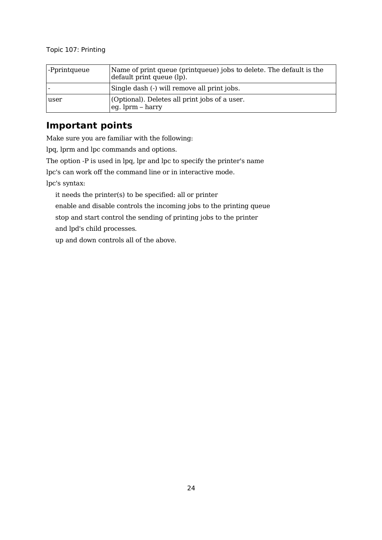| -Pprintqueue | Name of print queue (print queue) jobs to delete. The default is the<br>default print queue (lp). |
|--------------|---------------------------------------------------------------------------------------------------|
|              | Single dash (-) will remove all print jobs.                                                       |
| user         | (Optional). Deletes all print jobs of a user.<br>leg. lprm – harry                                |

## **Important points**

Make sure you are familiar with the following:

lpq, lprm and lpc commands and options.

The option -P is used in lpq, lpr and lpc to specify the printer's name

lpc's can work off the command line or in interactive mode.

lpc's syntax:

it needs the printer(s) to be specified: all or printer

enable and disable controls the incoming jobs to the printing queue

stop and start control the sending of printing jobs to the printer

and lpd's child processes.

up and down controls all of the above.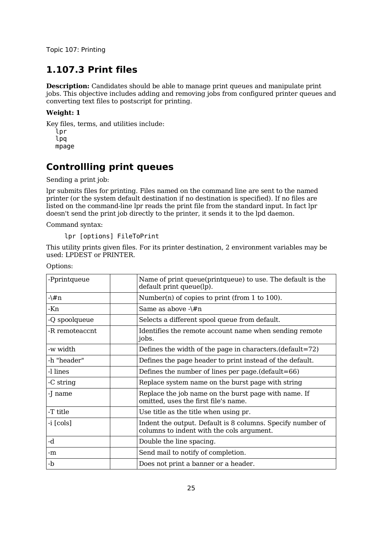# **1.107.3 Print files**

**Description:** Candidates should be able to manage print queues and manipulate print jobs. This objective includes adding and removing jobs from configured printer queues and converting text files to postscript for printing.

#### **Weight: 1**

Key files, terms, and utilities include: lpr lpq mpage

# **Controllling print queues**

Sending a print job:

lpr submits files for printing. Files named on the command line are sent to the named printer (or the system default destination if no destination is specified). If no files are listed on the command-line lpr reads the print file from the standard input. In fact lpr doesn't send the print job directly to the printer, it sends it to the lpd daemon.

Command syntax:

lpr [options] FileToPrint

This utility prints given files. For its printer destination, 2 environment variables may be used: LPDEST or PRINTER.

| -Pprintqueue   | Name of print queue(printqueue) to use. The default is the<br>default print queue(lp).                  |
|----------------|---------------------------------------------------------------------------------------------------------|
| -\#n           | Number(n) of copies to print (from 1 to 100).                                                           |
| -Kn            | Same as above $-\frac{4}{\pi}$                                                                          |
| -Q spoolqueue  | Selects a different spool queue from default.                                                           |
| -R remoteaccnt | Identifies the remote account name when sending remote<br>jobs.                                         |
| -w width       | Defines the width of the page in characters. (default=72)                                               |
| -h "header"    | Defines the page header to print instead of the default.                                                |
| -l lines       | Defines the number of lines per page.(default=66)                                                       |
| -C string      | Replace system name on the burst page with string                                                       |
| -J name        | Replace the job name on the burst page with name. If<br>omitted, uses the first file's name.            |
| -T title       | Use title as the title when using pr.                                                                   |
| -i [cols]      | Indent the output. Default is 8 columns. Specify number of<br>columns to indent with the cols argument. |
| -d             | Double the line spacing.                                                                                |
| -m             | Send mail to notify of completion.                                                                      |
| -b             | Does not print a banner or a header.                                                                    |

Options: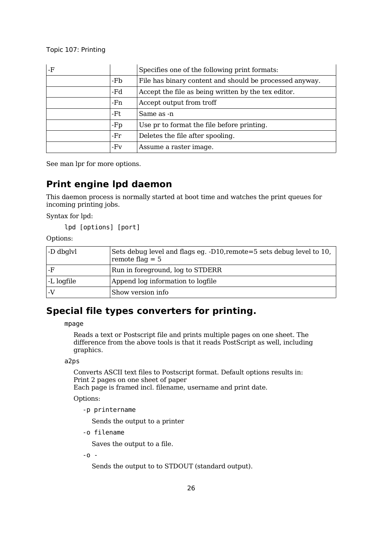| -F |     | Specifies one of the following print formats:           |
|----|-----|---------------------------------------------------------|
|    | -Fb | File has binary content and should be processed anyway. |
|    | -Fd | Accept the file as being written by the tex editor.     |
|    | -Fn | Accept output from troff                                |
|    | -Ft | Same as -n                                              |
|    | -Fp | Use pr to format the file before printing.              |
|    | -Fr | Deletes the file after spooling.                        |
|    | -Fv | Assume a raster image.                                  |

See man lpr for more options.

# **Print engine lpd daemon**

This daemon process is normally started at boot time and watches the print queues for incoming printing jobs.

Syntax for lpd:

lpd [options] [port]

Options:

| -D dbglyl  | Sets debug level and flags eg. -D10, remote=5 sets debug level to 10,<br>remote flaq $= 5$ |
|------------|--------------------------------------------------------------------------------------------|
| -F         | Run in foreground, log to STDERR                                                           |
| -L logfile | Append log information to logfile                                                          |
|            | Show version info                                                                          |

# **Special file types converters for printing.**

mpage

Reads a text or Postscript file and prints multiple pages on one sheet. The difference from the above tools is that it reads PostScript as well, including graphics.

a2ps

Converts ASCII text files to Postscript format. Default options results in: Print 2 pages on one sheet of paper

Each page is framed incl. filename, username and print date.

Options:

-p printername

Sends the output to a printer

-o filename

Saves the output to a file.

-o -

Sends the output to to STDOUT (standard output).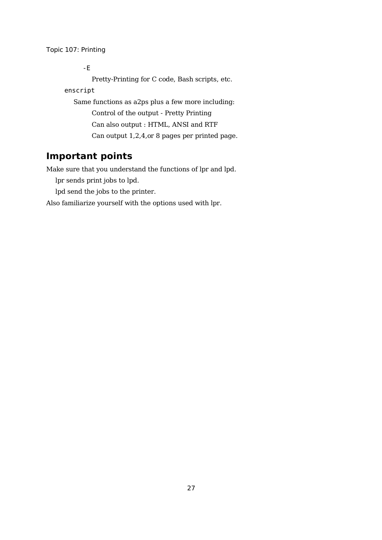-E

Pretty-Printing for C code, Bash scripts, etc.

enscript

Same functions as a2ps plus a few more including: Control of the output - Pretty Printing Can also output : HTML, ANSI and RTF Can output 1,2,4,or 8 pages per printed page.

# **Important points**

Make sure that you understand the functions of lpr and lpd.

lpr sends print jobs to lpd.

lpd send the jobs to the printer.

Also familiarize yourself with the options used with lpr.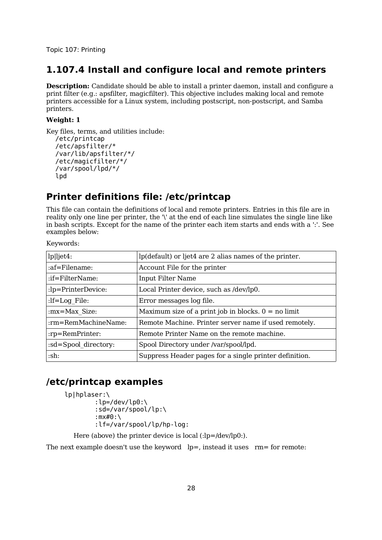### **1.107.4 Install and configure local and remote printers**

**Description:** Candidate should be able to install a printer daemon, install and configure a print filter (e.g.: apsfilter, magicfilter). This objective includes making local and remote printers accessible for a Linux system, including postscript, non-postscript, and Samba printers.

#### **Weight: 1**

Key files, terms, and utilities include: /etc/printcap /etc/apsfilter/\* /var/lib/apsfilter/\*/

```
/etc/magicfilter/*/
/var/spool/lpd/*/
lpd
```
# **Printer definitions file: /etc/printcap**

This file can contain the definitions of local and remote printers. Entries in this file are in reality only one line per printer, the '\' at the end of each line simulates the single line like in bash scripts. Except for the name of the printer each item starts and ends with a ':'. See examples below:

Keywords:

| lp ljet4:            | lp(default) or ljet4 are 2 alias names of the printer. |
|----------------------|--------------------------------------------------------|
| :af=Filename:        | Account File for the printer                           |
| :if=FilterName:      | <b>Input Filter Name</b>                               |
| :lp=PrinterDevice:   | Local Printer device, such as /dev/lp0.                |
| $:$ If=Log File:     | Error messages log file.                               |
| : $mx = Max Size$ :  | Maximum size of a print job in blocks. $0 =$ no limit  |
| :rm=RemMachineName:  | Remote Machine. Printer server name if used remotely.  |
| :rp=RemPrinter:      | Remote Printer Name on the remote machine.             |
| :sd=Spool directory: | Spool Directory under /var/spool/lpd.                  |
| :sh:                 | Suppress Header pages for a single printer definition. |

# **/etc/printcap examples**

```
lp|hplaser:\
        :lp=/dev/lp0:\
        :sd=/var/spool/lp:\
        :mx#0:\
        :lf=/var/spool/lp/hp-log:
```
Here (above) the printer device is local (:lp=/dev/lp0:).

The next example doesn't use the keyword  $lp=$ , instead it uses  $rm=$  for remote: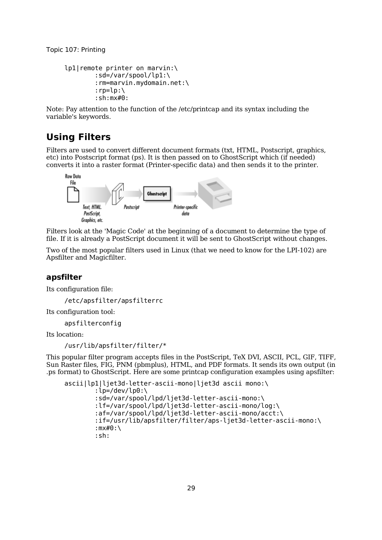```
lp1|remote printer on marvin:\
         :sd=/var/spool/lp1:\
         :rm=marvin.mydomain.net:\
         : rp = lp: \mathcal{N}:sh:mx#0:
```
Note: Pay attention to the function of the /etc/printcap and its syntax including the variable's keywords.

## **Using Filters**

Filters are used to convert different document formats (txt, HTML, Postscript, graphics, etc) into Postscript format (ps). It is then passed on to GhostScript which (if needed) converts it into a raster format (Printer-specific data) and then sends it to the printer.



Filters look at the 'Magic Code' at the beginning of a document to determine the type of file. If it is already a PostScript document it will be sent to GhostScript without changes.

Two of the most popular filters used in Linux (that we need to know for the LPI-102) are Apsfilter and Magicfilter.

#### **apsfilter**

Its configuration file:

/etc/apsfilter/apsfilterrc

Its configuration tool:

apsfilterconfig

Its location:

```
/usr/lib/apsfilter/filter/*
```
This popular filter program accepts files in the PostScript, TeX DVI, ASCII, PCL, GIF, TIFF, Sun Raster files, FIG, PNM (pbmplus), HTML, and PDF formats. It sends its own output (in .ps format) to GhostScript. Here are some printcap configuration examples using apsfilter:

```
ascii|lp1|ljet3d-letter-ascii-mono|ljet3d ascii mono:\
        :lp=/dev/lp0:\
        :sd=/var/spool/lpd/ljet3d-letter-ascii-mono:\
        :lf=/var/spool/lpd/ljet3d-letter-ascii-mono/log:\
        :af=/var/spool/lpd/ljet3d-letter-ascii-mono/acct:\
        :if=/usr/lib/apsfilter/filter/aps-ljet3d-letter-ascii-mono:\
        :mx#0:\
        :sh:
```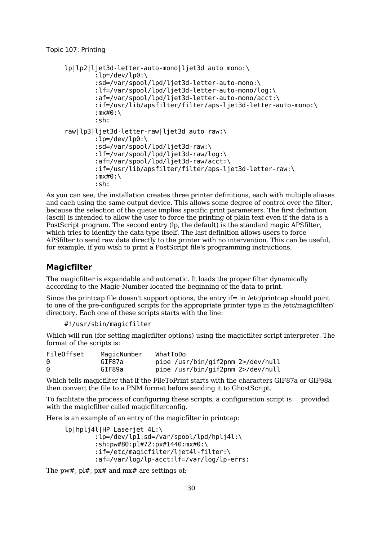```
lp|lp2|ljet3d-letter-auto-mono|ljet3d auto mono:\
        :lp=/dev/lp0:\
        :sd=/var/spool/lpd/ljet3d-letter-auto-mono:\
        :lf=/var/spool/lpd/ljet3d-letter-auto-mono/log:\
        :af=/var/spool/lpd/ljet3d-letter-auto-mono/acct:\
        :if=/usr/lib/apsfilter/filter/aps-ljet3d-letter-auto-mono:\
        :mx#0:\
        :sh:
raw|lp3|ljet3d-letter-raw|ljet3d auto raw:\
        :lp=/dev/lp0:\
        :sd=/var/spool/lpd/ljet3d-raw:\
        :lf=/var/spool/lpd/ljet3d-raw/log:\
        :af=/var/spool/lpd/ljet3d-raw/acct:\
        :if=/usr/lib/apsfilter/filter/aps-ljet3d-letter-raw:\
        :mx#0:\
        :sh:
```
As you can see, the installation creates three printer definitions, each with multiple aliases and each using the same output device. This allows some degree of control over the filter, because the selection of the queue implies specific print parameters. The first definition (ascii) is intended to allow the user to force the printing of plain text even if the data is a PostScript program. The second entry (lp, the default) is the standard magic APSfilter, which tries to identify the data type itself. The last definition allows users to force APSfilter to send raw data directly to the printer with no intervention. This can be useful, for example, if you wish to print a PostScript file's programming instructions.

#### **Magicfilter**

The magicfilter is expandable and automatic. It loads the proper filter dynamically according to the Magic-Number located the beginning of the data to print.

Since the printcap file doesn't support options, the entry if= in /etc/printcap should point to one of the pre-configured scripts for the appropriate printer type in the /etc/magicfilter/ directory. Each one of these scripts starts with the line:

#!/usr/sbin/magicfilter

Which will run (for setting magicfilter options) using the magicfilter script interpreter. The format of the scripts is:

| FileOffset | MagicNumber | WhatToDo                          |
|------------|-------------|-----------------------------------|
| 0          | GIF87a      | pipe /usr/bin/gif2pnm 2>/dev/null |
| 0          | GIF89a      | pipe /usr/bin/gif2pnm 2>/dev/null |

Which tells magicfilter that if the FileToPrint starts with the characters GIF87a or GIF98a then convert the file to a PNM format before sending it to GhostScript.

To facilitate the process of configuring these scripts, a configuration script is provided with the magicfilter called magicfilterconfig.

Here is an example of an entry of the magicfilter in printcap:

lp|hplj4l|HP Laserjet 4L:\ : $lp=$ /dev/lp1:sd=/var/spool/lpd/hplj4l:\ :sh:pw#80:pl#72:px#1440:mx#0:\ :if=/etc/magicfilter/ljet4l-filter:\ :af=/var/log/lp-acct:lf=/var/log/lp-errs:

The pw#, pl#, px# and mx# are settings of: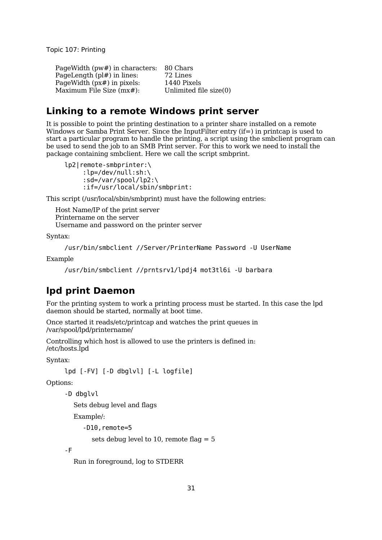PageWidth (pw#) in characters: 80 Chars PageLength (pl#) in lines: 72 Lines PageWidth (px#) in pixels: 1440 Pixels Maximum File Size  $(mx#)$ : Unlimited file size $(0)$ 

### **Linking to a remote Windows print server**

It is possible to point the printing destination to a printer share installed on a remote Windows or Samba Print Server. Since the InputFilter entry (if=) in printcap is used to start a particular program to handle the printing, a script using the smbclient program can be used to send the job to an SMB Print server. For this to work we need to install the package containing smbclient. Here we call the script smbprint.

lp2|remote-smbprinter:\ :lp=/dev/null:sh:\ :sd=/var/spool/lp2:\ :if=/usr/local/sbin/smbprint:

This script (/usr/local/sbin/smbprint) must have the following entries:

Host Name/IP of the print server Printername on the server Username and password on the printer server

Syntax:

```
/usr/bin/smbclient //Server/PrinterName Password -U UserName
```
Example

```
/usr/bin/smbclient //prntsrv1/lpdj4 mot3tl6i -U barbara
```
# **lpd print Daemon**

For the printing system to work a printing process must be started. In this case the lpd daemon should be started, normally at boot time.

Once started it reads/etc/printcap and watches the print queues in /var/spool/lpd/printername/

Controlling which host is allowed to use the printers is defined in: /etc/hosts.lpd

Syntax:

```
lpd [-FV] [-D dbglvl] [-L logfile]
```
Options:

```
-D dbglvl
```
Sets debug level and flags

Example/:

```
-D10,remote=5
```
sets debug level to 10, remote flag  $= 5$ 

-F

Run in foreground, log to STDERR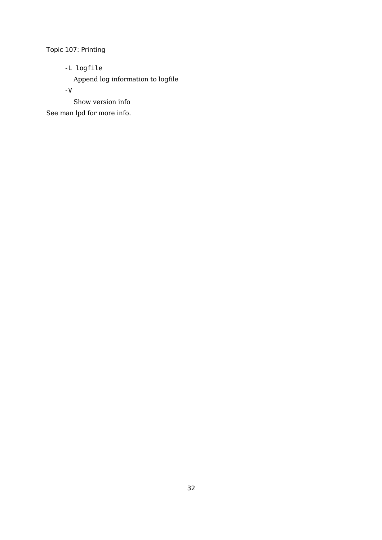-L logfile

Append log information to logfile

-V

Show version info

See man lpd for more info.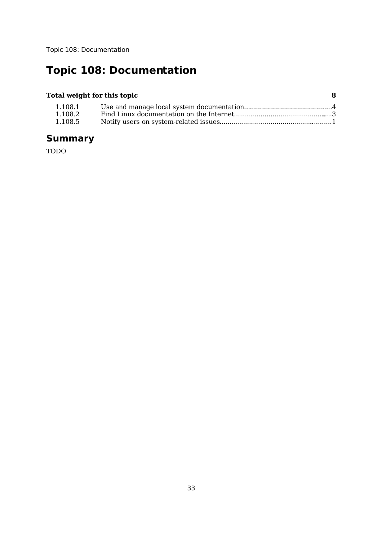# **Topic 108: Documentation**

### **Total weight for this topic 8**

| 1.108.1 |  |
|---------|--|
| 1.108.2 |  |
| 1.108.5 |  |

# **Summary**

TODO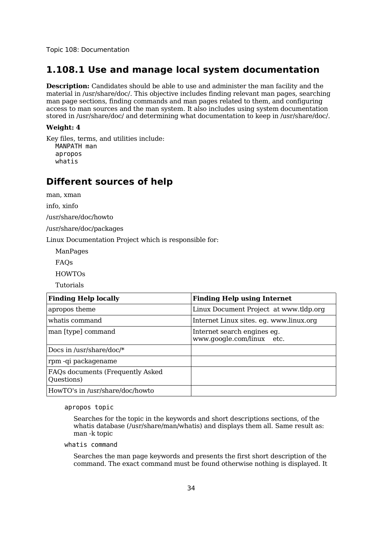### **1.108.1 Use and manage local system documentation**

**Description:** Candidates should be able to use and administer the man facility and the material in /usr/share/doc/. This objective includes finding relevant man pages, searching man page sections, finding commands and man pages related to them, and configuring access to man sources and the man system. It also includes using system documentation stored in /usr/share/doc/ and determining what documentation to keep in /usr/share/doc/.

#### **Weight: 4**

Key files, terms, and utilities include: MANPATH man apropos whatis

### **Different sources of help**

man, xman

info, xinfo

/usr/share/doc/howto

/usr/share/doc/packages

Linux Documentation Project which is responsible for:

ManPages

FAQs

HOWTOs

Tutorials

| <b>Finding Help locally</b>                     | <b>Finding Help using Internet</b>                       |
|-------------------------------------------------|----------------------------------------------------------|
| apropos theme                                   | Linux Document Project at www.tldp.org                   |
| whatis command                                  | Internet Linux sites. eg. www.linux.org                  |
| man [type] command                              | Internet search engines eg.<br>www.google.com/linux etc. |
| Docs in /usr/share/doc/*                        |                                                          |
| rpm-qi packagename                              |                                                          |
| FAQs documents (Frequently Asked)<br>Questions) |                                                          |
| HowTO's in /usr/share/doc/howto                 |                                                          |

apropos topic

Searches for the topic in the keywords and short descriptions sections, of the whatis database (/usr/share/man/whatis) and displays them all. Same result as: man -k topic

#### whatis command

Searches the man page keywords and presents the first short description of the command. The exact command must be found otherwise nothing is displayed. It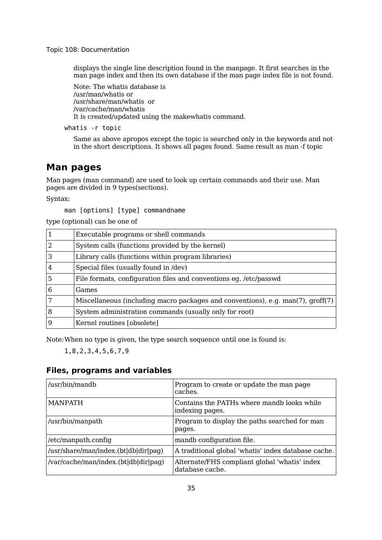displays the single line description found in the manpage. It first searches in the man page index and then its own database if the man page index file is not found.

Note: The whatis database is /usr/man/whatis or /usr/share/man/whatis or /var/cache/man/whatis It is created/updated using the makewhatis command.

whatis -r topic

Same as above apropos except the topic is searched only in the keywords and not in the short descriptions. It shows all pages found. Same result as man -f topic

### **Man pages**

Man pages (man command) are used to look up certain commands and their use. Man pages are divided in 9 types(sections).

Syntax:

man [options] [type] commandname

type (optional) can be one of

| 1              | Executable programs or shell commands                                           |
|----------------|---------------------------------------------------------------------------------|
| 2              | System calls (functions provided by the kernel)                                 |
| 3              | Library calls (functions within program libraries)                              |
| $\overline{4}$ | Special files (usually found in /dev)                                           |
| 5              | File formats, configuration files and conventions eg. /etc/passwd               |
| 6              | Games                                                                           |
| 7              | Miscellaneous (including macro packages and conventions), e.g. man(7), groff(7) |
| 8              | System administration commands (usually only for root)                          |
| 9              | Kernel routines [obsolete]                                                      |

Note:When no type is given, the type search sequence until one is found is:

1,8,2,3,4,5,6,7,9

### **Files, programs and variables**

| /usr/bin/mandb                       | Program to create or update the man page<br>caches.              |
|--------------------------------------|------------------------------------------------------------------|
| <b>MANPATH</b>                       | Contains the PATHs where mandb looks while<br>indexing pages.    |
| /usr/bin/manpath                     | Program to display the paths searched for man<br>pages.          |
| /etc/manpath.config                  | mandb configuration file.                                        |
| /usr/share/man/index.(bt db dir pag) | A traditional global 'whatis' index database cache.              |
| /var/cache/man/index.(bt db dir pag) | Alternate/FHS compliant global 'whatis' index<br>database cache. |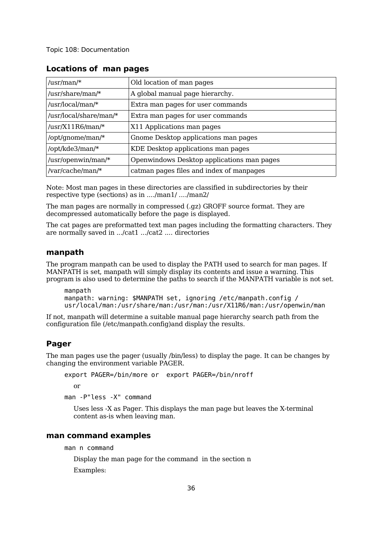| /usr/man/ $*$          | Old location of man pages                  |
|------------------------|--------------------------------------------|
| /usr/share/man/*       | A global manual page hierarchy.            |
| /usr/local/man/*       | Extra man pages for user commands          |
| /usr/local/share/man/* | Extra man pages for user commands          |
| /usr/X11R6/man/*       | X11 Applications man pages                 |
| /opt/gnome/man/*       | Gnome Desktop applications man pages       |
| /opt/kde3/man/*        | KDE Desktop applications man pages         |
| /usr/openwin/man/*     | Openwindows Desktop applications man pages |
| /var/cache/man/*       | catman pages files and index of manpages   |

#### **Locations of man pages**

Note: Most man pages in these directories are classified in subdirectories by their respective type (sections) as in ..../man1/ ..../man2/

The man pages are normally in compressed (.gz) GROFF source format. They are decompressed automatically before the page is displayed.

The cat pages are preformatted text man pages including the formatting characters. They are normally saved in .../cat1 .../cat2 .... directories

#### **manpath**

The program manpath can be used to display the PATH used to search for man pages. If MANPATH is set, manpath will simply display its contents and issue a warning. This program is also used to determine the paths to search if the MANPATH variable is not set.

manpath manpath: warning: \$MANPATH set, ignoring /etc/manpath.config / usr/local/man:/usr/share/man:/usr/man:/usr/X11R6/man:/usr/openwin/man

If not, manpath will determine a suitable manual page hierarchy search path from the configuration file (/etc/manpath.config)and display the results.

#### **Pager**

The man pages use the pager (usually /bin/less) to display the page. It can be changes by changing the environment variable PAGER.

```
export PAGER=/bin/more or export PAGER=/bin/nroff
```
or

man -P"less -X" command

Uses less -X as Pager. This displays the man page but leaves the X-terminal content as-is when leaving man.

#### **man command examples**

man n command

Display the man page for the command in the section n

Examples: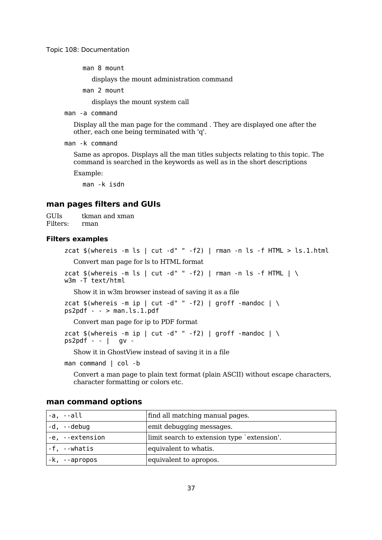man 8 mount

displays the mount administration command

man 2 mount

displays the mount system call

man -a command

Display all the man page for the command . They are displayed one after the other, each one being terminated with 'q'.

man -k command

Same as apropos. Displays all the man titles subjects relating to this topic. The command is searched in the keywords as well as in the short descriptions

Example:

man -k isdn

#### **man pages filters and GUIs**

GUIs tkman and xman Filters: rman

#### **Filters examples**

```
zcat $(whereis -m ls | cut -d" " -f2) | rman -n ls -f HTML > ls.1.htmlConvert man page for ls to HTML format
```
zcat  $$(whereis -m ls | cut -d" " -f2) | rman -n ls -f HTML | \ \$ w3m -T text/html

Show it in w3m browser instead of saving it as a file

```
zcat $(whereis -m ip | cut -d" " -f2) | groff -mandoc | \ \ps2pdf - - > man.ls.1.pdf
```
Convert man page for ip to PDF format

```
zcat $(whereis -m ip | cut -d" " -f2) | groff -mandoc | \ \ps2pdf - - 1 qv -
```
Show it in GhostView instead of saving it in a file

man command | col -b

Convert a man page to plain text format (plain ASCII) without escape characters, character formatting or colors etc.

| -a, --all       | find all matching manual pages.             |
|-----------------|---------------------------------------------|
| $-d$ , $-debuq$ | emit debugging messages.                    |
| -e, --extension | limit search to extension type 'extension'. |
| -f, --whatis    | equivalent to whatis.                       |
| -k, --apropos   | equivalent to apropos.                      |

#### **man command options**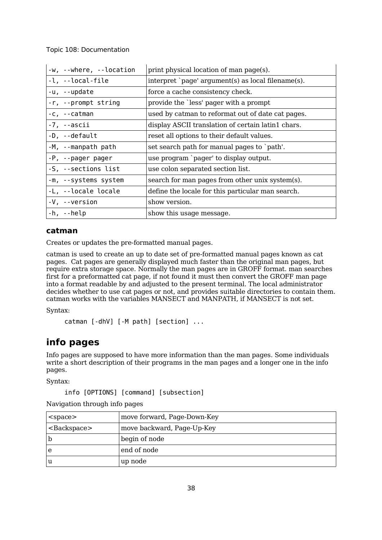| -w, --where, --location | print physical location of man page(s).            |
|-------------------------|----------------------------------------------------|
| -l, --local-file        | interpret `page' argument(s) as local filename(s). |
| -u, --update            | force a cache consistency check.                   |
| -r, --prompt string     | provide the 'less' pager with a prompt             |
| $-c, -catman$           | used by catman to reformat out of date cat pages.  |
| -7, --ascii             | display ASCII translation of certain latin1 chars. |
| -D, --default           | reset all options to their default values.         |
| -M, --manpath path      | set search path for manual pages to `path'.        |
| -P, --pager pager       | use program `pager' to display output.             |
| -S, --sections list     | use colon separated section list.                  |
| -m, --systems system    | search for man pages from other unix system(s).    |
| -L, --locale locale     | define the locale for this particular man search.  |
| -V, --version           | show version.                                      |
| $-h$ , $-help$          | show this usage message.                           |

#### **catman**

Creates or updates the pre-formatted manual pages.

catman is used to create an up to date set of pre-formatted manual pages known as cat pages. Cat pages are generally displayed much faster than the original man pages, but require extra storage space. Normally the man pages are in GROFF format. man searches first for a preformatted cat page, if not found it must then convert the GROFF man page into a format readable by and adjusted to the present terminal. The local administrator decides whether to use cat pages or not, and provides suitable directories to contain them. catman works with the variables MANSECT and MANPATH, if MANSECT is not set.

Syntax:

```
catman [-dhV] [-M path] [section] ...
```
### **info pages**

Info pages are supposed to have more information than the man pages. Some individuals write a short description of their programs in the man pages and a longer one in the info pages.

Syntax:

```
info [OPTIONS] [command] [subsection]
```

|  |  | Navigation through info pages |
|--|--|-------------------------------|
|--|--|-------------------------------|

| $<$ space $>$ | move forward, Page-Down-Key |
|---------------|-----------------------------|
| $Backspace$   | move backward, Page-Up-Key  |
| b             | begin of node               |
| e             | end of node                 |
| u             | up node                     |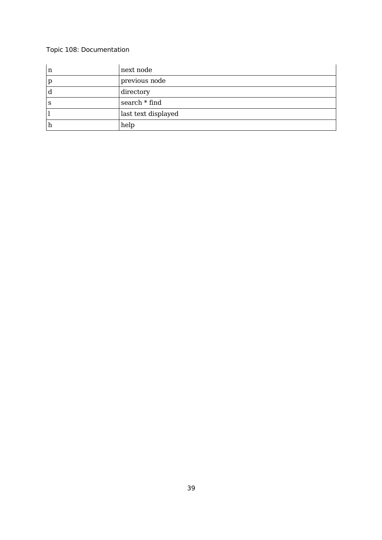| n | next node           |
|---|---------------------|
| p | previous node       |
| d | directory           |
| S | search * find       |
|   | last text displayed |
| h | help                |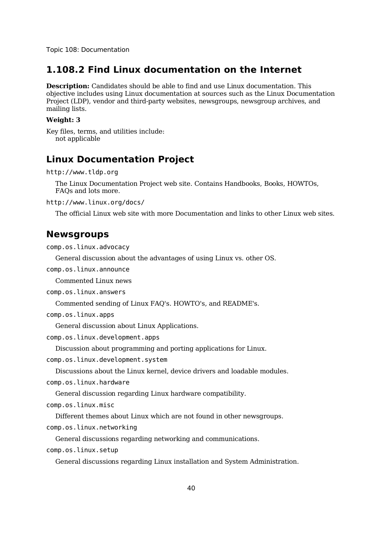### **1.108.2 Find Linux documentation on the Internet**

**Description:** Candidates should be able to find and use Linux documentation. This objective includes using Linux documentation at sources such as the Linux Documentation Project (LDP), vendor and third-party websites, newsgroups, newsgroup archives, and mailing lists.

#### **Weight: 3**

Key files, terms, and utilities include: not applicable

### **Linux Documentation Project**

```
http://www.tldp.org
```
The Linux Documentation Project web site. Contains Handbooks, Books, HOWTOs, FAQs and lots more.

http://www.linux.org/docs/

The official Linux web site with more Documentation and links to other Linux web sites.

### **Newsgroups**

comp.os.linux.advocacy

General discussion about the advantages of using Linux vs. other OS.

comp.os.linux.announce

Commented Linux news

comp.os.linux.answers

Commented sending of Linux FAQ's. HOWTO's, and README's.

comp.os.linux.apps

General discussion about Linux Applications.

comp.os.linux.development.apps

Discussion about programming and porting applications for Linux.

comp.os.linux.development.system

Discussions about the Linux kernel, device drivers and loadable modules.

comp.os.linux.hardware

General discussion regarding Linux hardware compatibility.

comp.os.linux.misc

Different themes about Linux which are not found in other newsgroups.

comp.os.linux.networking

General discussions regarding networking and communications.

comp.os.linux.setup

General discussions regarding Linux installation and System Administration.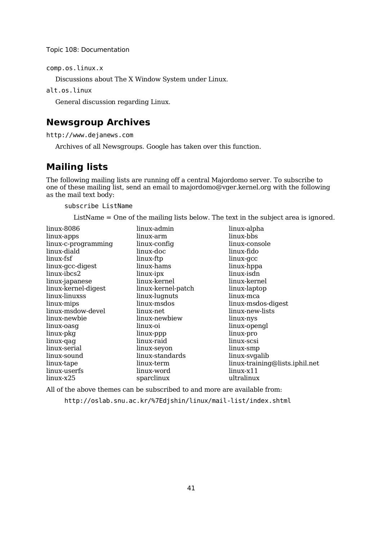comp.os.linux.x

Discussions about The X Window System under Linux.

alt.os.linux

General discussion regarding Linux.

## **Newsgroup Archives**

http://www.dejanews.com

Archives of all Newsgroups. Google has taken over this function.

# **Mailing lists**

The following mailing lists are running off a central Majordomo server. To subscribe to one of these mailing list, send an email to majordomo@vger.kernel.org with the following as the mail text body:

#### subscribe ListName

ListName = One of the mailing lists below. The text in the subject area is ignored.

| linux-8086          | linux-admin        | linux-alpha                    |
|---------------------|--------------------|--------------------------------|
| linux-apps          | linux-arm          | linux-bbs                      |
| linux-c-programming | linux-config       | linux-console                  |
| linux-diald         | linux-doc          | linux-fido                     |
| linux-fsf           | linux-ftp          | linux-gcc                      |
| linux-gcc-digest    | linux-hams         | linux-hppa                     |
| linux-ibcs2         | linux-ipx          | linux-isdn                     |
| linux-japanese      | linux-kernel       | linux-kernel                   |
| linux-kernel-digest | linux-kernel-patch | linux-laptop                   |
| linux-linuxss       | linux-lugnuts      | linux-mca                      |
| linux-mips          | linux-msdos        | linux-msdos-digest             |
| linux-msdow-devel   | linux-net          | linux-new-lists                |
| linux-newbie        | linux-newbiew      | linux-nys                      |
| linux-oasg          | linux-oi           | linux-opengl                   |
| linux-pkg           | linux-ppp          | linux-pro                      |
| linux-qaq           | linux-raid         | linux-scsi                     |
| linux-serial        | linux-seyon        | linux-smp                      |
| linux-sound         | linux-standards    | linux-svgalib                  |
| linux-tape          | linux-term         | linux-training@lists.iphil.net |
| linux-userfs        | linux-word         | $\lim_{x \to 1} 1$             |
| linux-x25           | sparclinux         | ultralinux                     |

All of the above themes can be subscribed to and more are available from:

http://oslab.snu.ac.kr/%7Edjshin/linux/mail-list/index.shtml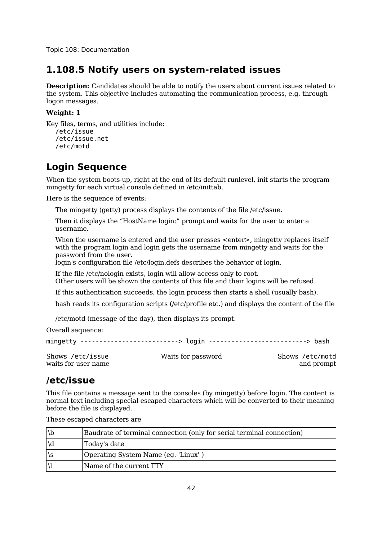### **1.108.5 Notify users on system-related issues**

**Description:** Candidates should be able to notify the users about current issues related to the system. This objective includes automating the communication process, e.g. through logon messages.

#### **Weight: 1**

Key files, terms, and utilities include: /etc/issue /etc/issue.net /etc/motd

# **Login Sequence**

When the system boots-up, right at the end of its default runlevel, init starts the program mingetty for each virtual console defined in /etc/inittab.

Here is the sequence of events:

The mingetty (getty) process displays the contents of the file /etc/issue.

Then it displays the "HostName login:" prompt and waits for the user to enter a username.

When the username is entered and the user presses <enter>, mingetty replaces itself with the program login and login gets the username from mingetty and waits for the password from the user.

login's configuration file /etc/login.defs describes the behavior of login.

If the file /etc/nologin exists, login will allow access only to root. Other users will be shown the contents of this file and their logins will be refused.

If this authentication succeeds, the login process then starts a shell (usually bash).

bash reads its configuration scripts (/etc/profile etc.) and displays the content of the file

/etc/motd (message of the day), then displays its prompt.

Overall sequence:

|                     | mingetty -------------------------> login ---------------------------> bash |                 |
|---------------------|-----------------------------------------------------------------------------|-----------------|
| Shows /etc/issue    | Waits for password                                                          | Shows /etc/motd |
| waits for user name |                                                                             | and prompt      |

### **/etc/issue**

This file contains a message sent to the consoles (by mingetty) before login. The content is normal text including special escaped characters which will be converted to their meaning before the file is displayed.

|    | Baudrate of terminal connection (only for serial terminal connection) |
|----|-----------------------------------------------------------------------|
|    | Today's date                                                          |
| \S | Operating System Name (eg. 'Linux')                                   |
|    | Name of the current TTY                                               |

These escaped characters are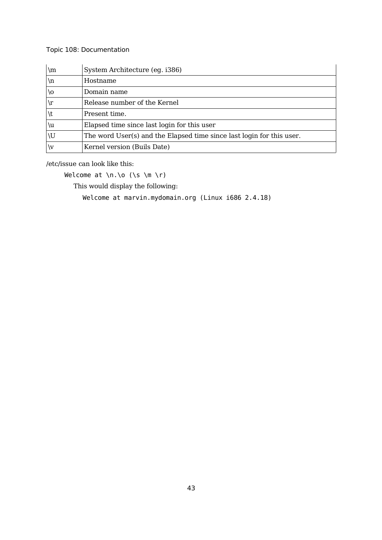| \m    | System Architecture (eg. i386)                                        |
|-------|-----------------------------------------------------------------------|
| $\ln$ | Hostname                                                              |
| \0    | Domain name                                                           |
| \r    | Release number of the Kernel                                          |
|       | Present time.                                                         |
| ١u    | Elapsed time since last login for this user                           |
| \U    | The word User(s) and the Elapsed time since last login for this user. |
| ١v    | Kernel version (Buils Date)                                           |

/etc/issue can look like this:

Welcome at  $\nabla \cdot \nabla \cdot$  (\s  $\mho \cdot \nabla$ )

This would display the following:

Welcome at marvin.mydomain.org (Linux i686 2.4.18)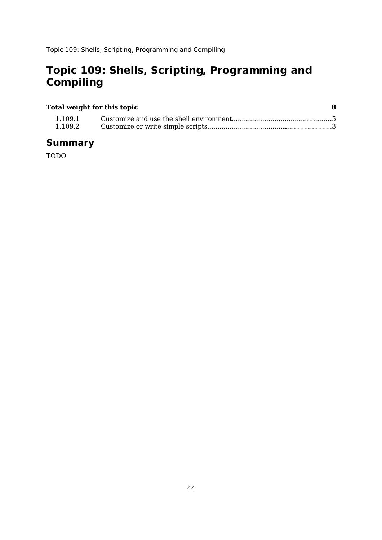# **Topic 109: Shells, Scripting, Programming and Compiling**

### **Total weight for this topic 8** 1.109.1 Customize and use the shell environment...................................................5 1.109.2 Customize or write simple scripts...............................................................3

### **Summary**

TODO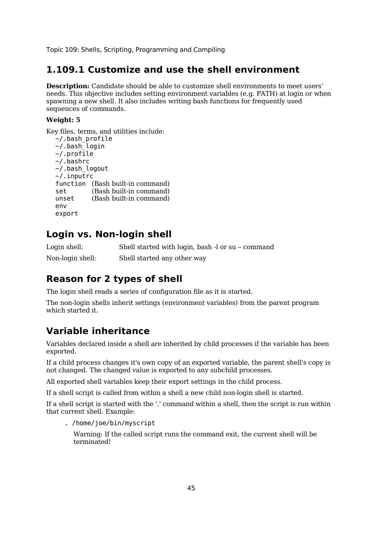### **1.109.1 Customize and use the shell environment**

**Description:** Candidate should be able to customize shell environments to meet users' needs. This objective includes setting environment variables (e.g. PATH) at login or when spawning a new shell. It also includes writing bash functions for frequently used sequences of commands.

#### **Weight: 5**

Key files, terms, and utilities include:

```
\sim/.bash profile
\sim/.bash login
\sim/.profile
~/.bashrc
~/.bash_logout
~/.inputrc
function (Bash built-in command)
set (Bash built-in command)
unset (Bash built-in command)
env
export
```
### **Login vs. Non-login shell**

Login shell: Shell started with login, bash -l or su – command Non-login shell: Shell started any other way

# **Reason for 2 types of shell**

The login shell reads a series of configuration file as it is started.

The non-login shells inherit settings (environment variables) from the parent program which started it.

# **Variable inheritance**

Variables declared inside a shell are inherited by child processes if the variable has been exported.

If a child process changes it's own copy of an exported variable, the parent shell's copy is not changed. The changed value is exported to any subchild processes.

All exported shell variables keep their export settings in the child process.

If a shell script is called from within a shell a new child non-login shell is started.

If a shell script is started with the '.' command within a shell, then the script is run within that current shell. Example:

. /home/joe/bin/myscript

Warning: If the called script runs the command exit, the current shell will be terminated!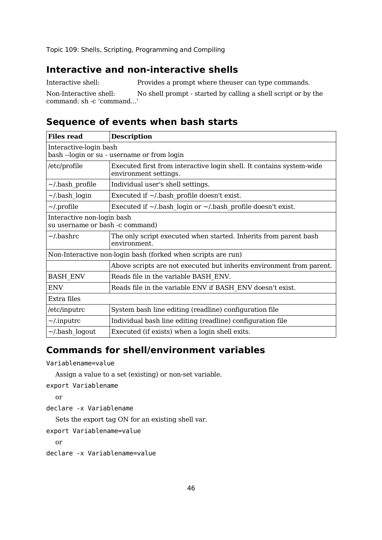### **Interactive and non-interactive shells**

Interactive shell: Provides a prompt where the user can type commands.

Non-Interactive shell: No shell prompt - started by calling a shell script or by the command: sh -c 'command...'

# **Sequence of events when bash starts**

| <b>Files read</b>                                             | <b>Description</b>                                                                            |  |  |  |  |
|---------------------------------------------------------------|-----------------------------------------------------------------------------------------------|--|--|--|--|
|                                                               | Interactive-login bash<br>bash --login or su - username or from login                         |  |  |  |  |
| /etc/profile                                                  | Executed first from interactive login shell. It contains system-wide<br>environment settings. |  |  |  |  |
| $\sim$ /bash profile                                          | Individual user's shell settings.                                                             |  |  |  |  |
| $\sim$ /.bash login                                           | Executed if $\sim$ /.bash profile doesn't exist.                                              |  |  |  |  |
| $\sim$ /.profile                                              | Executed if $\sim$ /.bash login or $\sim$ /.bash profile doesn't exist.                       |  |  |  |  |
| Interactive non-login bash<br>su username or bash -c command) |                                                                                               |  |  |  |  |
| $\sim$ /.bashrc                                               | The only script executed when started. Inherits from parent bash<br>environment.              |  |  |  |  |
|                                                               | Non-Interactive non-login bash (forked when scripts are run)                                  |  |  |  |  |
|                                                               | Above scripts are not executed but inherits environment from parent.                          |  |  |  |  |
| <b>BASH ENV</b>                                               | Reads file in the variable BASH ENV.                                                          |  |  |  |  |
| ENV                                                           | Reads file in the variable ENV if BASH ENV doesn't exist.                                     |  |  |  |  |
| Extra files                                                   |                                                                                               |  |  |  |  |
| /etc/inputrc                                                  | System bash line editing (readline) configuration file                                        |  |  |  |  |
| $\sim$ /.inputrc                                              | Individual bash line editing (readline) configuration file                                    |  |  |  |  |
| $\sim$ /.bash logout                                          | Executed (if exists) when a login shell exits.                                                |  |  |  |  |

# **Commands for shell/environment variables**

```
Variablename=value
```
Assign a value to a set (existing) or non-set variable.

```
export Variablename
```
or

declare -x Variablename

Sets the export tag ON for an existing shell var.

```
export Variablename=value
```
or

```
declare -x Variablename=value
```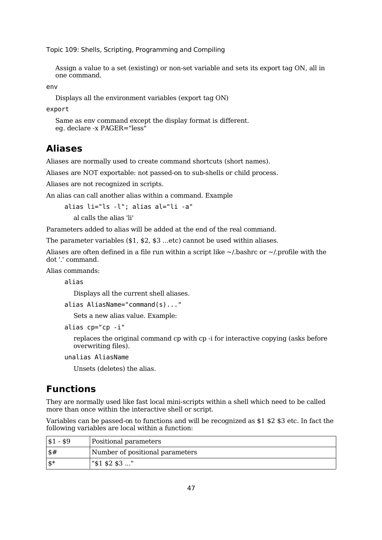Assign a value to a set (existing) or non-set variable and sets its export tag ON, all in one command.

env

Displays all the environment variables (export tag ON)

export

```
Same as env command except the display format is different.
eg. declare -x PAGER="less"
```
### **Aliases**

Aliases are normally used to create command shortcuts (short names).

Aliases are NOT exportable: not passed-on to sub-shells or child process.

Aliases are not recognized in scripts.

An alias can call another alias within a command. Example

alias li="ls -l"; alias al="li -a"

al calls the alias 'li'

Parameters added to alias will be added at the end of the real command.

The parameter variables (\$1, \$2, \$3 ...etc) cannot be used within aliases.

Aliases are often defined in a file run within a script like  $\sim$ /.bashrc or  $\sim$ /.profile with the dot '.' command.

Alias commands:

alias

Displays all the current shell aliases.

alias AliasName="command(s)..."

Sets a new alias value. Example:

```
alias cp="cp -i"
```
replaces the original command cp with cp -i for interactive copying (asks before overwriting files).

unalias AliasName

Unsets (deletes) the alias.

### **Functions**

They are normally used like fast local mini-scripts within a shell which need to be called more than once within the interactive shell or script.

Variables can be passed-on to functions and will be recognized as \$1 \$2 \$3 etc. In fact the following variables are local within a function:

| $ $1 - $9$      | Positional parameters           |
|-----------------|---------------------------------|
| $1$ \$#         | Number of positional parameters |
| $\mathbf{\$}^*$ | " $$1$ \$2 \$3 "                |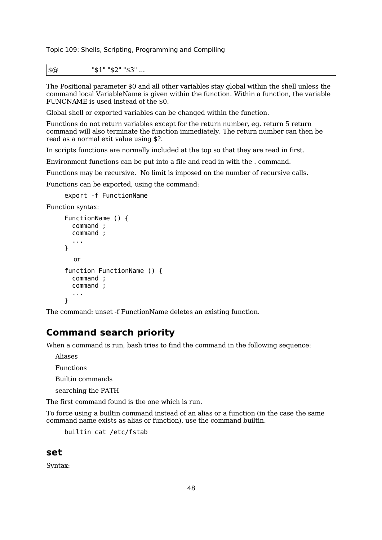$|\$@>$   $|\$1"$  "\$2" "\$3" ...

The Positional parameter \$0 and all other variables stay global within the shell unless the command local VariableName is given within the function. Within a function, the variable FUNCNAME is used instead of the \$0.

Global shell or exported variables can be changed within the function.

Functions do not return variables except for the return number, eg. return 5 return command will also terminate the function immediately. The return number can then be read as a normal exit value using \$?.

In scripts functions are normally included at the top so that they are read in first.

Environment functions can be put into a file and read in with the . command.

Functions may be recursive. No limit is imposed on the number of recursive calls.

Functions can be exported, using the command:

export -f FunctionName

Function syntax:

```
FunctionName () {
  command ;
  command ;
  ...
}
  or
function FunctionName () {
  command ;
  command ;
  ...
}
```
The command: unset -f FunctionName deletes an existing function.

### **Command search priority**

When a command is run, bash tries to find the command in the following sequence:

Aliases

Functions

Builtin commands

searching the PATH

The first command found is the one which is run.

To force using a builtin command instead of an alias or a function (in the case the same command name exists as alias or function), use the command builtin.

builtin cat /etc/fstab

### **set**

Syntax: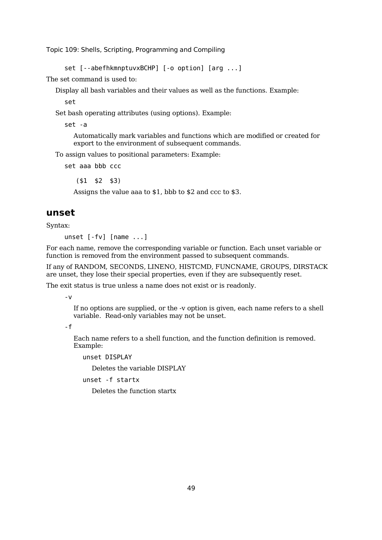set [--abefhkmnptuvxBCHP] [-o option] [arg ...]

The set command is used to:

Display all bash variables and their values as well as the functions. Example:

set

Set bash operating attributes (using options). Example:

set -a

Automatically mark variables and functions which are modified or created for export to the environment of subsequent commands.

To assign values to positional parameters: Example:

set aaa bbb ccc

(\$1 \$2 \$3)

Assigns the value aaa to \$1, bbb to \$2 and ccc to \$3.

#### **unset**

Syntax:

unset [-fv] [name ...]

For each name, remove the corresponding variable or function. Each unset variable or function is removed from the environment passed to subsequent commands.

If any of RANDOM, SECONDS, LINENO, HISTCMD, FUNCNAME, GROUPS, DIRSTACK are unset, they lose their special properties, even if they are subsequently reset.

The exit status is true unless a name does not exist or is readonly.

-v

If no options are supplied, or the -v option is given, each name refers to a shell variable. Read-only variables may not be unset.

-f

Each name refers to a shell function, and the function definition is removed. Example:

unset DISPLAY

Deletes the variable DISPLAY

unset -f startx

Deletes the function startx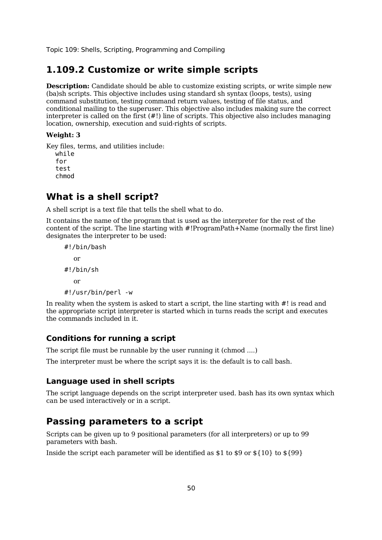### **1.109.2 Customize or write simple scripts**

**Description:** Candidate should be able to customize existing scripts, or write simple new (ba)sh scripts. This objective includes using standard sh syntax (loops, tests), using command substitution, testing command return values, testing of file status, and conditional mailing to the superuser. This objective also includes making sure the correct interpreter is called on the first (#!) line of scripts. This objective also includes managing location, ownership, execution and suid-rights of scripts.

#### **Weight: 3**

Key files, terms, and utilities include: while for test chmod

# **What is a shell script?**

A shell script is a text file that tells the shell what to do.

It contains the name of the program that is used as the interpreter for the rest of the content of the script. The line starting with #!ProgramPath+Name (normally the first line) designates the interpreter to be used:

```
#!/bin/bash
  or
#!/bin/sh
  or
#!/usr/bin/perl -w
```
In reality when the system is asked to start a script, the line starting with #! is read and the appropriate script interpreter is started which in turns reads the script and executes the commands included in it.

#### **Conditions for running a script**

The script file must be runnable by the user running it (chmod ....)

The interpreter must be where the script says it is: the default is to call bash.

#### **Language used in shell scripts**

The script language depends on the script interpreter used. bash has its own syntax which can be used interactively or in a script.

### **Passing parameters to a script**

Scripts can be given up to 9 positional parameters (for all interpreters) or up to 99 parameters with bash.

Inside the script each parameter will be identified as  $$1$  to  $$9$  or  $$10$ } to  $$99$ }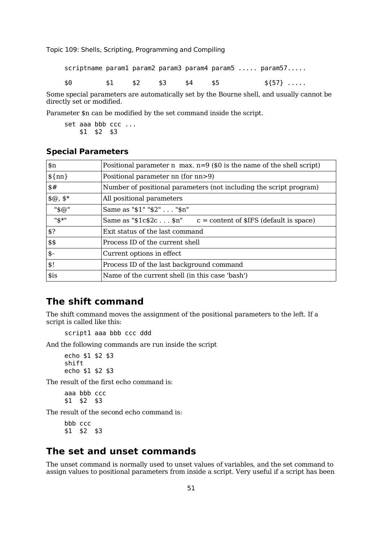|     |           |  |  | $s$ criptname param $1$ param $2$ param $3$ param $4$ param $5 \ldots$ param $57 \ldots$ |
|-----|-----------|--|--|------------------------------------------------------------------------------------------|
| \$0 | \$2\$3\$4 |  |  | $$57$                                                                                    |

Some special parameters are automatically set by the Bourne shell, and usually cannot be directly set or modified.

Parameter \$n can be modified by the set command inside the script.

set aaa bbb ccc ... \$1 \$2 \$3

#### **Special Parameters**

| $\sin$          | Positional parameter n max. $n=9$ (\$0 is the name of the shell script) |
|-----------------|-------------------------------------------------------------------------|
| $\{\text{nn}\}$ | Positional parameter nn (for nn>9)                                      |
| \$#             | Number of positional parameters (not including the script program)      |
| $$@, $*$$       | All positional parameters                                               |
| "\$@"           | Same as "\$1" "\$2" "\$n"                                               |
| "\$*"           | Same as " $$1c$2c$n"$ $c =$ content of $$IFS$ (default is space)        |
| \$?             | Exit status of the last command                                         |
| \$\$            | Process ID of the current shell                                         |
| $$-$            | Current options in effect                                               |
| \$!             | Process ID of the last background command                               |
| \$is            | Name of the current shell (in this case 'bash')                         |

### **The shift command**

The shift command moves the assignment of the positional parameters to the left. If a script is called like this:

```
script1 aaa bbb ccc ddd
```
And the following commands are run inside the script

echo \$1 \$2 \$3 shift echo \$1 \$2 \$3

The result of the first echo command is:

aaa bbb ccc \$1 \$2 \$3

The result of the second echo command is:

bbb ccc \$1 \$2 \$3

### **The set and unset commands**

The unset command is normally used to unset values of variables, and the set command to assign values to positional parameters from inside a script. Very useful if a script has been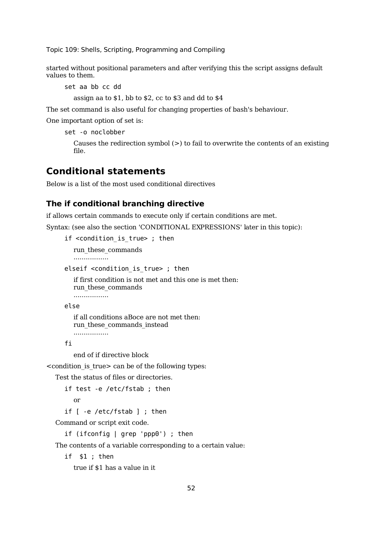started without positional parameters and after verifying this the script assigns default values to them.

set aa bb cc dd

assign aa to \$1, bb to \$2, cc to \$3 and dd to \$4

The set command is also useful for changing properties of bash's behaviour.

One important option of set is:

```
set -o noclobber
```
Causes the redirection symbol  $(>)$  to fail to overwrite the contents of an existing file.

# **Conditional statements**

Below is a list of the most used conditional directives

#### **The if conditional branching directive**

if allows certain commands to execute only if certain conditions are met.

Syntax: (see also the section 'CONDITIONAL EXPRESSIONS' later in this topic):

```
if <condition is true> ; then
```
run\_these\_commands

.................

elseif <condition\_is\_true> ; then

```
if first condition is not met and this one is met then:
run_these_commands
.................
```

```
else
```
if all conditions aBoce are not met then:

run these commands instead

```
.................
```
fi

end of if directive block

<condition\_is\_true> can be of the following types:

Test the status of files or directories.

```
if test -e /etc/fstab ; then
```
or

if [ -e /etc/fstab ] ; then

Command or script exit code.

if (ifconfig | grep 'ppp0') ; then

The contents of a variable corresponding to a certain value:

if \$1 ; then

true if \$1 has a value in it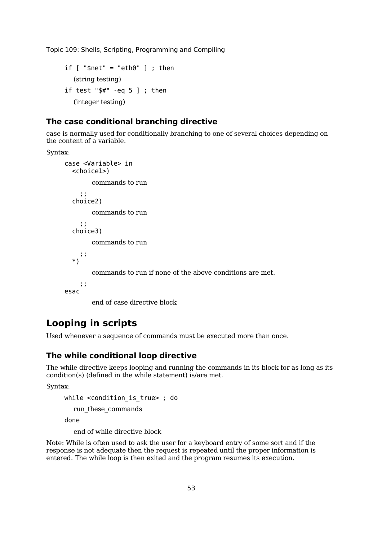```
if \lceil "$net" = "eth0" \rceil ; then
  (string testing)
if test "$#" -eq 5 ]; then
  (integer testing)
```
#### **The case conditional branching directive**

case is normally used for conditionally branching to one of several choices depending on the content of a variable.

Syntax:

```
case <Variable> in
  <choice1>)
       commands to run
    ;;
  choice2)
       commands to run
    ;;
  choice3)
        commands to run
    ;;
  *)
        commands to run if none of the above conditions are met.
    ;;
esac
```
end of case directive block

# **Looping in scripts**

Used whenever a sequence of commands must be executed more than once.

#### **The while conditional loop directive**

The while directive keeps looping and running the commands in its block for as long as its condition(s) (defined in the while statement) is/are met.

Syntax:

```
while <condition is true> ; do
```
run\_these\_commands

done

end of while directive block

Note: While is often used to ask the user for a keyboard entry of some sort and if the response is not adequate then the request is repeated until the proper information is entered. The while loop is then exited and the program resumes its execution.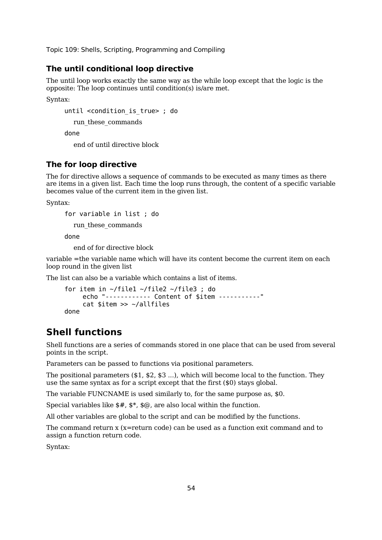#### **The until conditional loop directive**

The until loop works exactly the same way as the while loop except that the logic is the opposite: The loop continues until condition(s) is/are met.

Syntax:

```
until <condition_is_true> ; do
```
run\_these\_commands

done

end of until directive block

#### **The for loop directive**

The for directive allows a sequence of commands to be executed as many times as there are items in a given list. Each time the loop runs through, the content of a specific variable becomes value of the current item in the given list.

Syntax:

```
for variable in list ; do
```
run\_these\_commands

done

end of for directive block

variable =the variable name which will have its content become the current item on each loop round in the given list

The list can also be a variable which contains a list of items.

```
for item in ~/file1 ~/file2 ~/file3 ; do
    echo "------------ Content of $item -----------"
     cat $item >> ~/allfiles
done
```
### **Shell functions**

Shell functions are a series of commands stored in one place that can be used from several points in the script.

Parameters can be passed to functions via positional parameters.

The positional parameters (\$1, \$2, \$3 ...), which will become local to the function. They use the same syntax as for a script except that the first  $(\$0)$  stays global.

The variable FUNCNAME is used similarly to, for the same purpose as, \$0.

Special variables like  $\frac{4}{5}$ ,  $\frac{4}{5}$ ,  $\frac{4}{5}$  are also local within the function.

All other variables are global to the script and can be modified by the functions.

The command return x (x=return code) can be used as a function exit command and to assign a function return code.

Syntax: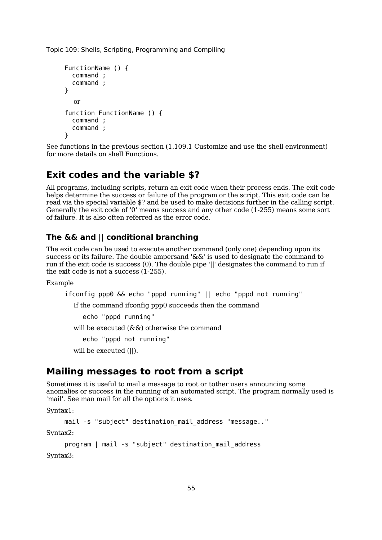```
FunctionName () {
  command ;
  command ;
}
  or
function FunctionName () {
  command ;
  command ;
}
```
See functions in the previous section (1.109.1 Customize and use the shell environment) for more details on shell Functions.

### **Exit codes and the variable \$?**

All programs, including scripts, return an exit code when their process ends. The exit code helps determine the success or failure of the program or the script. This exit code can be read via the special variable \$? and be used to make decisions further in the calling script. Generally the exit code of '0' means success and any other code (1-255) means some sort of failure. It is also often referred as the error code.

### **The && and || conditional branching**

The exit code can be used to execute another command (only one) depending upon its success or its failure. The double ampersand '&&' is used to designate the command to run if the exit code is success (0). The double pipe '||' designates the command to run if the exit code is not a success (1-255).

Example

```
ifconfig ppp0 && echo "pppd running" || echo "pppd not running"
```
If the command ifconfig ppp0 succeeds then the command

echo "pppd running"

will be executed (&&) otherwise the command

echo "pppd not running"

will be executed (||).

### **Mailing messages to root from a script**

Sometimes it is useful to mail a message to root or tother users announcing some anomalies or success in the running of an automated script. The program normally used is 'mail'. See man mail for all the options it uses.

Syntax1:

```
mail -s "subject" destination_mail_address "message.."
```
Syntax2:

```
program | mail -s "subject" destination_mail_address
Syntax3:
```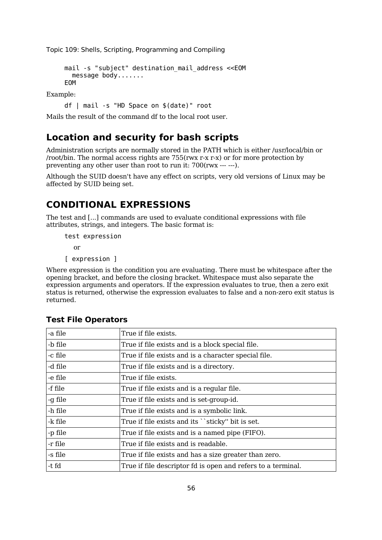```
mail -s "subject" destination_mail_address <<EOM
  message body.......
EOM
```
Example:

df | mail -s "HD Space on \$(date)" root

Mails the result of the command df to the local root user.

### **Location and security for bash scripts**

Administration scripts are normally stored in the PATH which is either /usr/local/bin or /root/bin. The normal access rights are 755(rwx r-x r-x) or for more protection by preventing any other user than root to run it: 700(rwx --- ---).

Although the SUID doesn't have any effect on scripts, very old versions of Linux may be affected by SUID being set.

### **CONDITIONAL EXPRESSIONS**

The test and [...] commands are used to evaluate conditional expressions with file attributes, strings, and integers. The basic format is:

```
test expression
  or
```

```
[ expression ]
```
Where expression is the condition you are evaluating. There must be whitespace after the opening bracket, and before the closing bracket. Whitespace must also separate the expression arguments and operators. If the expression evaluates to true, then a zero exit status is returned, otherwise the expression evaluates to false and a non-zero exit status is returned.

| -a file | True if file exists.                                         |
|---------|--------------------------------------------------------------|
| -b file | True if file exists and is a block special file.             |
| -c file | True if file exists and is a character special file.         |
| -d file | True if file exists and is a directory.                      |
| -e file | True if file exists.                                         |
| -f file | True if file exists and is a regular file.                   |
| -g file | True if file exists and is set-group-id.                     |
| -h file | True if file exists and is a symbolic link.                  |
| -k file | True if file exists and its ``sticky" bit is set.            |
| -p file | True if file exists and is a named pipe (FIFO).              |
| -r file | True if file exists and is readable.                         |
| -s file | True if file exists and has a size greater than zero.        |
| -t fd   | True if file descriptor fd is open and refers to a terminal. |

#### **Test File Operators**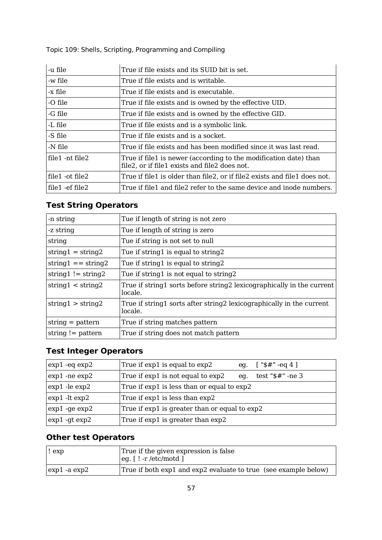-u file True if file exists and its SUID bit is set. -w file True if file exists and is writable. -x file True if file exists and is executable. -O file True if file exists and is owned by the effective UID. -G file True if file exists and is owned by the effective GID. -L file True if file exists and is a symbolic link. -S file True if file exists and is a socket. -N file True if file exists and has been modified since it was last read. file1 -nt file2 True if file1 is newer (according to the modification date) than file2, or if file1 exists and file2 does not. file1 -ot file2 True if file1 is older than file2, or if file2 exists and file1 does not. file1 -ef file2 True if file1 and file2 refer to the same device and inode numbers.

Topic 109: Shells, Scripting, Programming and Compiling

### **Test String Operators**

| -n string                            | Tue if length of string is not zero                                              |  |
|--------------------------------------|----------------------------------------------------------------------------------|--|
| -z string                            | Tue if length of string is zero                                                  |  |
| string                               | Tue if string is not set to null                                                 |  |
| $string1 = string2$                  | Tue if string1 is equal to string2                                               |  |
| string $1 ==$ string $2$             | Tue if string1 is equal to string2                                               |  |
| string $1!$ = string 2               | Tue if string1 is not equal to string2                                           |  |
| string $1 < \frac{\text{string}}{2}$ | True if string1 sorts before string2 lexicographically in the current<br>locale. |  |
| string $1 > \frac{\text{string}}{2}$ | True if string1 sorts after string2 lexicographically in the current<br>locale.  |  |
| $string = pattern$                   | True if string matches pattern                                                   |  |
| string $!=$ pattern                  | True if string does not match pattern                                            |  |
|                                      |                                                                                  |  |

#### **Test Integer Operators**

| $exp1 - eq exp2$  | True if $exp1$ is equal to $exp2$<br>eg. $[*#" -eq4]$               |  |
|-------------------|---------------------------------------------------------------------|--|
| $exp1$ -ne $exp2$ | test $"$ \$#" -ne 3<br>True if $exp1$ is not equal to $exp2$<br>eq. |  |
| $exp1 - le exp2$  | True if exp1 is less than or equal to exp2                          |  |
| $exp1 - It exp2$  | True if exp1 is less than exp2                                      |  |
| $exp1 - ge exp2$  | True if exp1 is greater than or equal to exp2                       |  |
| $exp1 - gt exp2$  | True if exp1 is greater than exp2                                   |  |

### **Other test Operators**

| exp:         | True if the given expression is false<br>$\left\lfloor \frac{eq}{r} \right\rfloor$ . [ ! -r /etc/motd ] |  |
|--------------|---------------------------------------------------------------------------------------------------------|--|
| exp1 -a exp2 | True if both exp1 and exp2 evaluate to true (see example below)                                         |  |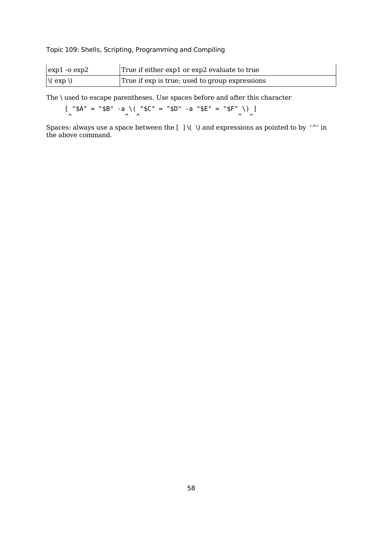| $\exp 1 - \cos 2$      | True if either exp1 or exp2 evaluate to true   |  |
|------------------------|------------------------------------------------|--|
| $\sqrt{(\exp \theta)}$ | True if exp is true; used to group expressions |  |

The \ used to escape parentheses. Use spaces before and after this character

 $[$  "\$A" = "\$B" -a \( "\$C" = "\$D" -a "\$E" = "\$F" \) ]  $\wedge$   $\wedge$   $\wedge$   $\wedge$   $\wedge$   $\wedge$   $\wedge$   $\wedge$ 

Spaces: always use a space between the  $[ ] \ ( \ )$  and expressions as pointed to by '^' in the above command.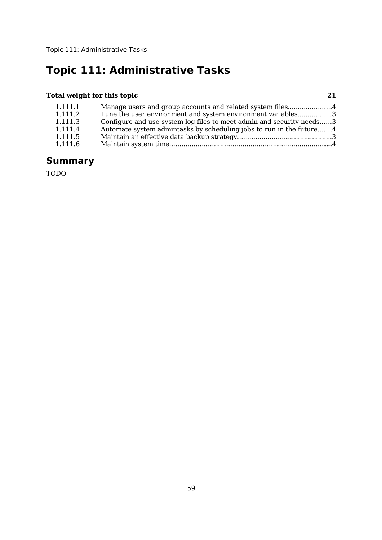# **Topic 111: Administrative Tasks**

### **Total weight for this topic 21**

| 1.111.1 | Manage users and group accounts and related system files4            |  |
|---------|----------------------------------------------------------------------|--|
| 1.111.2 | Tune the user environment and system environment variables3          |  |
| 1.111.3 | Configure and use system log files to meet admin and security needs3 |  |
| 1.111.4 | Automate system admintasks by scheduling jobs to run in the future4  |  |
| 1.111.5 |                                                                      |  |
| 1.111.6 |                                                                      |  |

# **Summary**

TODO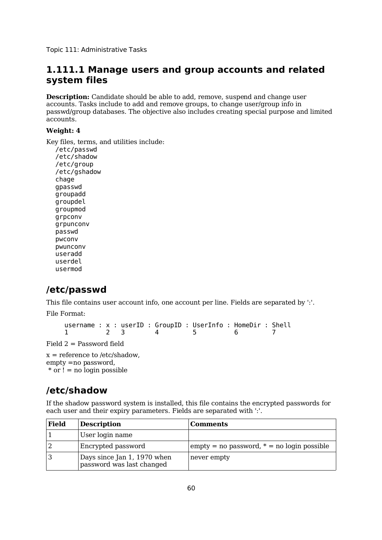Topic 111: Administrative Tasks

## **1.111.1 Manage users and group accounts and related system files**

**Description:** Candidate should be able to add, remove, suspend and change user accounts. Tasks include to add and remove groups, to change user/group info in passwd/group databases. The objective also includes creating special purpose and limited accounts.

#### **Weight: 4**

Key files, terms, and utilities include:

/etc/passwd /etc/shadow /etc/group /etc/gshadow chage gpasswd groupadd groupdel groupmod grpconv grpunconv passwd pwconv pwunconv useradd userdel usermod

# **/etc/passwd**

This file contains user account info, one account per line. Fields are separated by ':'. File Format:

username : x : userID : GroupID : UserInfo : HomeDir : Shell 1 2 3 4 5 6 7

Field 2 = Password field

 $x =$  reference to /etc/shadow, empty =no password,  $*$  or  $\mathbf{l}$  = no login possible

# **/etc/shadow**

If the shadow password system is installed, this file contains the encrypted passwords for each user and their expiry parameters. Fields are separated with ':'.

| Field | <b>Description</b>                                       | <b>Comments</b>                                         |
|-------|----------------------------------------------------------|---------------------------------------------------------|
|       | User login name                                          |                                                         |
|       | Encrypted password                                       | $\epsilon$ empty = no password, $*$ = no login possible |
|       | Days since Jan 1, 1970 when<br>password was last changed | never empty                                             |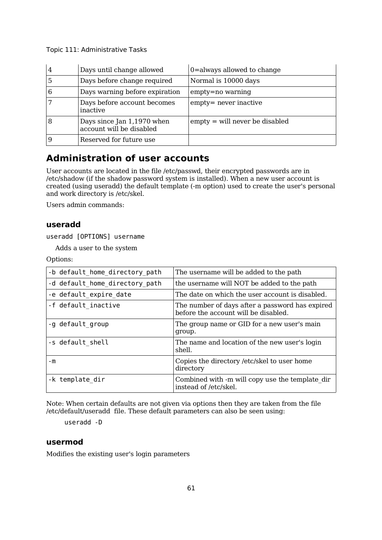| 4 | Days until change allowed                              | 0=always allowed to change       |
|---|--------------------------------------------------------|----------------------------------|
| 5 | Days before change required                            | Normal is 10000 days             |
| 6 | Days warning before expiration                         | empty=no warning                 |
|   | Days before account becomes<br>inactive                | empty= never inactive            |
| 8 | Days since Jan 1,1970 when<br>account will be disabled | $empty = will never be disabled$ |
|   | Reserved for future use                                |                                  |

## **Administration of user accounts**

User accounts are located in the file /etc/passwd, their encrypted passwords are in /etc/shadow (if the shadow password system is installed). When a new user account is created (using useradd) the default template (-m option) used to create the user's personal and work directory is /etc/skel.

Users admin commands:

### **useradd**

useradd [OPTIONS] username

Adds a user to the system

Options:

| -b default_home_directory_path | The username will be added to the path                                                  |
|--------------------------------|-----------------------------------------------------------------------------------------|
| -d default home directory path | the username will NOT be added to the path                                              |
| -e default expire date         | The date on which the user account is disabled.                                         |
| -f default inactive            | The number of days after a password has expired<br>before the account will be disabled. |
| -g default group               | The group name or GID for a new user's main<br>qroup.                                   |
| -s default shell               | The name and location of the new user's login<br>shell.                                 |
| - m                            | Copies the directory /etc/skel to user home<br>directory                                |
| -k template dir                | Combined with -m will copy use the template dir<br>instead of /etc/skel.                |

Note: When certain defaults are not given via options then they are taken from the file /etc/default/useradd file. These default parameters can also be seen using:

useradd -D

#### **usermod**

Modifies the existing user's login parameters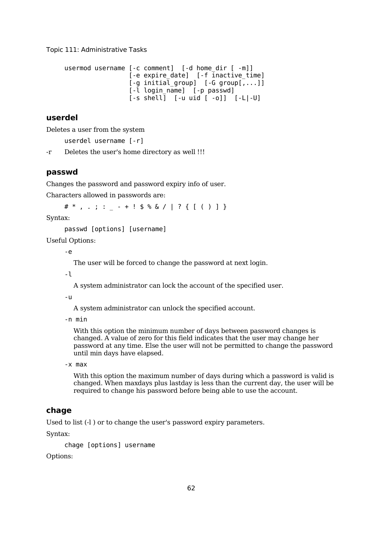```
usermod username [-c comment] [-d home dir [ -m]]
                   [-e expire_date] [-f inactive_time]
                   [-g \text{ initial group}] [-G \text{ group}], \ldots][-l login_name] [-p passwd]
                   [-s \; shell] [-u \;uid \; [-0]] [-L]-U]
```
### **userdel**

Deletes a user from the system

userdel username [-r]

-r Deletes the user's home directory as well !!!

#### **passwd**

Changes the password and password expiry info of user.

Characters allowed in passwords are:

 $\# *$ , .; : - + ! \$ % & / | ? { [ ( ) ] }

Syntax:

passwd [options] [username]

Useful Options:

-e

The user will be forced to change the password at next login.

-l

A system administrator can lock the account of the specified user.

-u

A system administrator can unlock the specified account.

-n min

With this option the minimum number of days between password changes is changed. A value of zero for this field indicates that the user may change her password at any time. Else the user will not be permitted to change the password until min days have elapsed.

-x max

With this option the maximum number of days during which a password is valid is changed. When maxdays plus lastday is less than the current day, the user will be required to change his password before being able to use the account.

### **chage**

Used to list (-l ) or to change the user's password expiry parameters.

Syntax:

chage [options] username

Options: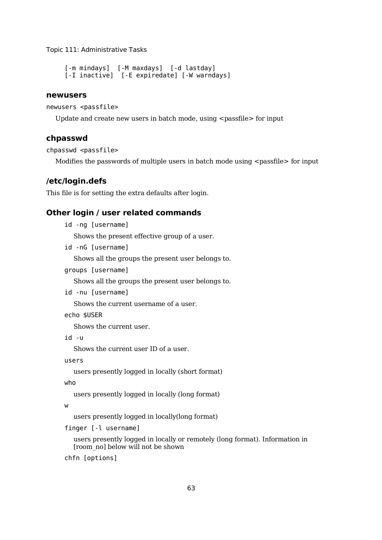```
[-m mindays] [-M maxdays] [-d lastday]
[-I inactive] [-E expiredate] [-W warndays]
```
#### **newusers**

```
newusers <passfile>
```
Update and create new users in batch mode, using  $\leq$  passfile  $\geq$  for input

#### **chpasswd**

chpasswd <passfile>

Modifies the passwords of multiple users in batch mode using  $\leq$  passfile  $\geq$  for input

### **/etc/login.defs**

This file is for setting the extra defaults after login.

#### **Other login / user related commands**

```
id -ng [username]
```
Shows the present effective group of a user.

id -nG [username]

Shows all the groups the present user belongs to.

groups [username]

Shows all the groups the present user belongs to.

id -nu [username]

Shows the current username of a user.

```
echo $USER
```
Shows the current user.

id -u

Shows the current user ID of a user.

```
users
```
users presently logged in locally (short format)

```
who
```
users presently logged in locally (long format)

w

users presently logged in locally(long format)

finger [-l username]

users presently logged in locally or remotely (long format). Information in [room\_no] below will not be shown

chfn [options]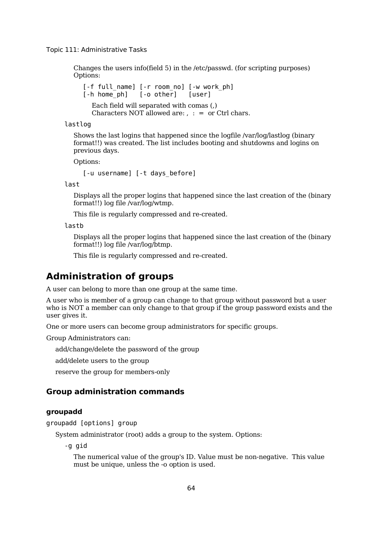Changes the users info(field 5) in the /etc/passwd. (for scripting purposes) Options:

[-f full\_name] [-r room\_no] [-w work\_ph] [-h home\_ph] [-o other] [user] Each field will separated with comas (,) Characters NOT allowed are:  $, : =$  or Ctrl chars.

lastlog

Shows the last logins that happened since the logfile /var/log/lastlog (binary format!!) was created. The list includes booting and shutdowns and logins on previous days.

Options:

[-u username] [-t days\_before]

last

Displays all the proper logins that happened since the last creation of the (binary format!!) log file /var/log/wtmp.

This file is regularly compressed and re-created.

lastb

Displays all the proper logins that happened since the last creation of the (binary format!!) log file /var/log/btmp.

This file is regularly compressed and re-created.

## **Administration of groups**

A user can belong to more than one group at the same time.

A user who is member of a group can change to that group without password but a user who is NOT a member can only change to that group if the group password exists and the user gives it.

One or more users can become group administrators for specific groups.

Group Administrators can:

add/change/delete the password of the group

add/delete users to the group

reserve the group for members-only

### **Group administration commands**

#### **groupadd**

groupadd [options] group

System administrator (root) adds a group to the system. Options:

-g gid

The numerical value of the group's ID. Value must be non-negative. This value must be unique, unless the -o option is used.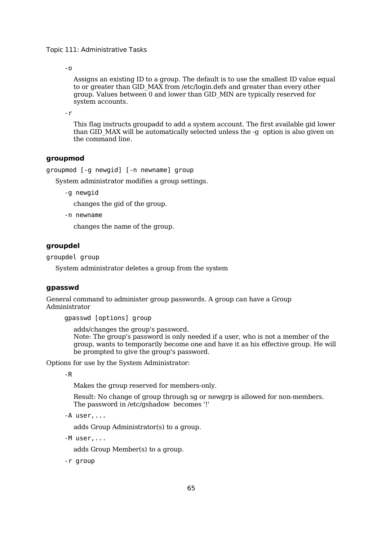-o

Assigns an existing ID to a group. The default is to use the smallest ID value equal to or greater than GID\_MAX from /etc/login.defs and greater than every other group. Values between 0 and lower than GID\_MIN are typically reserved for system accounts.

-r

This flag instructs groupadd to add a system account. The first available gid lower than GID\_MAX will be automatically selected unless the -g option is also given on the command line.

#### **groupmod**

groupmod [-g newgid] [-n newname] group

System administrator modifies a group settings.

-g newgid

changes the gid of the group.

-n newname

changes the name of the group.

#### **groupdel**

groupdel group

System administrator deletes a group from the system

#### **gpasswd**

General command to administer group passwords. A group can have a Group Administrator

gpasswd [options] group

adds/changes the group's password.

Note: The group's password is only needed if a user, who is not a member of the group, wants to temporarily become one and have it as his effective group. He will be prompted to give the group's password.

Options for use by the System Administrator:

-R

Makes the group reserved for members-only.

Result: No change of group through sg or newgrp is allowed for non-members. The password in /etc/gshadow becomes '!'

-A user,...

adds Group Administrator(s) to a group.

-M user,...

adds Group Member(s) to a group.

-r group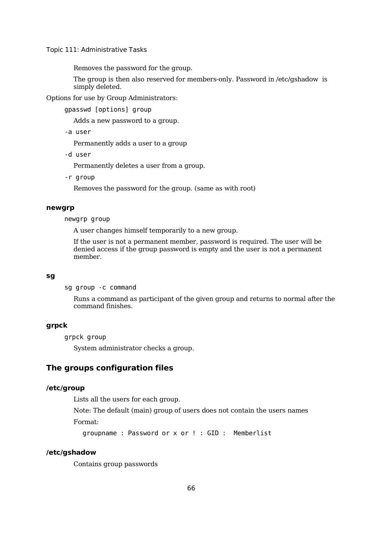Removes the password for the group.

The group is then also reserved for members-only. Password in /etc/gshadow is simply deleted.

Options for use by Group Administrators:

gpasswd [options] group

Adds a new password to a group.

-a user

Permanently adds a user to a group

-d user

Permanently deletes a user from a group.

-r group

Removes the password for the group. (same as with root)

#### **newgrp**

newgrp group

A user changes himself temporarily to a new group.

If the user is not a permanent member, password is required. The user will be denied access if the group password is empty and the user is not a permanent member.

#### **sg**

sg group -c command

Runs a command as participant of the given group and returns to normal after the command finishes.

#### **grpck**

grpck group

System administrator checks a group.

### **The groups configuration files**

#### **/etc/group**

Lists all the users for each group.

Note: The default (main) group of users does not contain the users names Format:

groupname : Password or x or ! : GID : Memberlist

#### **/etc/gshadow**

Contains group passwords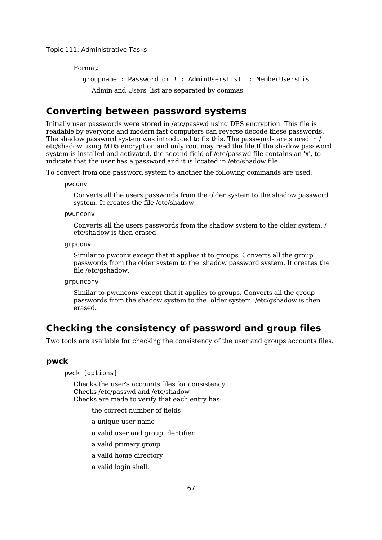Format:

groupname : Password or ! : AdminUsersList : MemberUsersList Admin and Users' list are separated by commas

## **Converting between password systems**

Initially user passwords were stored in /etc/passwd using DES encryption. This file is readable by everyone and modern fast computers can reverse decode these passwords. The shadow password system was introduced to fix this. The passwords are stored in / etc/shadow using MD5 encryption and only root may read the file.If the shadow password system is installed and activated, the second field of /etc/passwd file contains an 'x', to indicate that the user has a password and it is located in /etc/shadow file.

To convert from one password system to another the following commands are used:

pwconv

Converts all the users passwords from the older system to the shadow password system. It creates the file /etc/shadow.

pwunconv

Converts all the users passwords from the shadow system to the older system. / etc/shadow is then erased.

grpconv

Similar to pwconv except that it applies it to groups. Converts all the group passwords from the older system to the shadow password system. It creates the file /etc/gshadow.

grpunconv

Similar to pwunconv except that it applies to groups. Converts all the group passwords from the shadow system to the older system. /etc/gshadow is then erased.

## **Checking the consistency of password and group files**

Two tools are available for checking the consistency of the user and groups accounts files.

#### **pwck**

pwck [options]

Checks the user's accounts files for consistency. Checks /etc/passwd and /etc/shadow Checks are made to verify that each entry has:

the correct number of fields

a unique user name

a valid user and group identifier

a valid primary group

a valid home directory

a valid login shell.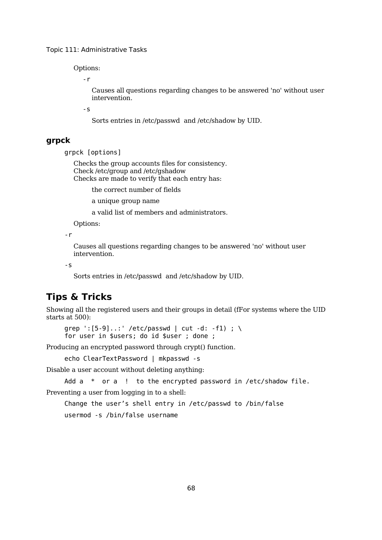Options:

-r

Causes all questions regarding changes to be answered 'no' without user intervention.

-s

Sorts entries in /etc/passwd and /etc/shadow by UID.

#### **grpck**

grpck [options]

Checks the group accounts files for consistency. Check /etc/group and /etc/gshadow Checks are made to verify that each entry has:

the correct number of fields

a unique group name

a valid list of members and administrators.

Options:

-r

Causes all questions regarding changes to be answered 'no' without user intervention.

-s

Sorts entries in /etc/passwd and /etc/shadow by UID.

## **Tips & Tricks**

Showing all the registered users and their groups in detail (fFor systems where the UID starts at 500):

grep  $': [5-9]...': / etc/passwd | cut -d: -f1) ; \ \ \$ for user in \$users; do id \$user ; done ;

Producing an encrypted password through crypt() function.

echo ClearTextPassword | mkpasswd -s

Disable a user account without deleting anything:

Add  $a *$  or  $a$  ! to the encrypted password in /etc/shadow file.

Preventing a user from logging in to a shell:

Change the user's shell entry in /etc/passwd to /bin/false usermod -s /bin/false username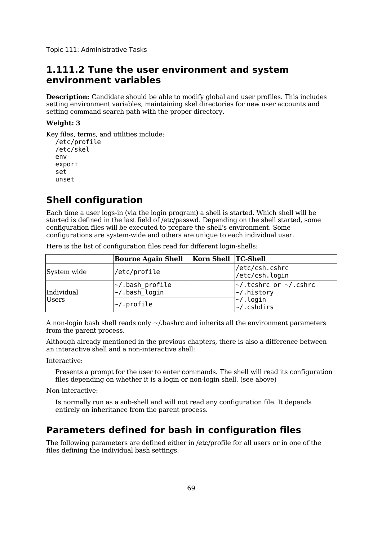## **1.111.2 Tune the user environment and system environment variables**

**Description:** Candidate should be able to modify global and user profiles. This includes setting environment variables, maintaining skel directories for new user accounts and setting command search path with the proper directory.

### **Weight: 3**

```
Key files, terms, and utilities include:
  /etc/profile
  /etc/skel
  env
  export
  set
  unset
```
## **Shell configuration**

Each time a user logs-in (via the login program) a shell is started. Which shell will be started is defined in the last field of /etc/passwd. Depending on the shell started, some configuration files will be executed to prepare the shell's environment. Some configurations are system-wide and others are unique to each individual user.

Here is the list of configuration files read for different login-shells:

|              | <b>Bourne Again Shell</b>                    | Korn Shell TC-Shell |                                                       |
|--------------|----------------------------------------------|---------------------|-------------------------------------------------------|
| System wide  | /etc/profile                                 |                     | /etc/csh.cshrc<br>/etc/csh.login                      |
| Individual   | $\sim$ /.bash_profile<br>$\sim$ /.bash login |                     | $\sim$ /.tcshrc or $\sim$ /.cshrc<br>$\sim$ /.history |
| <b>Users</b> | $\sim$ /.profile                             |                     | √-/.login⊸<br>$\sim$ /.cshdirs                        |

A non-login bash shell reads only ~/.bashrc and inherits all the environment parameters from the parent process.

Although already mentioned in the previous chapters, there is also a difference between an interactive shell and a non-interactive shell:

Interactive:

Presents a prompt for the user to enter commands. The shell will read its configuration files depending on whether it is a login or non-login shell. (see above)

Non-interactive:

Is normally run as a sub-shell and will not read any configuration file. It depends entirely on inheritance from the parent process.

### **Parameters defined for bash in configuration files**

The following parameters are defined either in /etc/profile for all users or in one of the files defining the individual bash settings: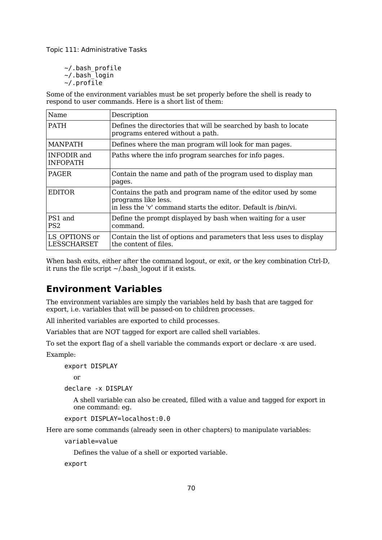~/.bash\_profile ~/.bash\_login ~/.profile

Some of the environment variables must be set properly before the shell is ready to respond to user commands. Here is a short list of them:

| Name                                  | Description                                                                                                                                            |
|---------------------------------------|--------------------------------------------------------------------------------------------------------------------------------------------------------|
| <b>PATH</b>                           | Defines the directories that will be searched by bash to locate<br>programs entered without a path.                                                    |
| <b>MANPATH</b>                        | Defines where the man program will look for man pages.                                                                                                 |
| <b>INFODIR</b> and<br><b>INFOPATH</b> | Paths where the info program searches for info pages.                                                                                                  |
| <b>PAGER</b>                          | Contain the name and path of the program used to display man<br>pages.                                                                                 |
| <b>EDITOR</b>                         | Contains the path and program name of the editor used by some<br>programs like less.<br>in less the 'v' command starts the editor. Default is /bin/vi. |
| PS1 and<br>PS <sub>2</sub>            | Define the prompt displayed by bash when waiting for a user<br>command.                                                                                |
| LS OPTIONS or<br>LESSCHARSET          | Contain the list of options and parameters that less uses to display<br>the content of files.                                                          |

When bash exits, either after the command logout, or exit, or the key combination Ctrl-D, it runs the file script  $\sim$ /.bash logout if it exists.

## **Environment Variables**

The environment variables are simply the variables held by bash that are tagged for export, i.e. variables that will be passed-on to children processes.

All inherited variables are exported to child processes.

Variables that are NOT tagged for export are called shell variables.

To set the export flag of a shell variable the commands export or declare -x are used.

Example:

export DISPLAY

or

```
declare -x DISPLAY
```
A shell variable can also be created, filled with a value and tagged for export in one command: eg.

```
export DISPLAY=localhost:0.0
```
Here are some commands (already seen in other chapters) to manipulate variables:

```
variable=value
```
Defines the value of a shell or exported variable.

export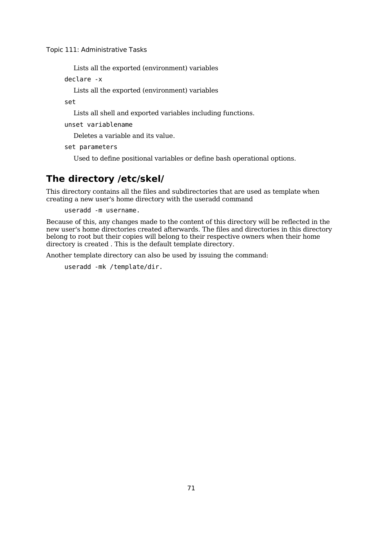Lists all the exported (environment) variables

declare -x

Lists all the exported (environment) variables

set

Lists all shell and exported variables including functions.

unset variablename

Deletes a variable and its value.

set parameters

Used to define positional variables or define bash operational options.

## **The directory /etc/skel/**

This directory contains all the files and subdirectories that are used as template when creating a new user's home directory with the useradd command

useradd -m username.

Because of this, any changes made to the content of this directory will be reflected in the new user's home directories created afterwards. The files and directories in this directory belong to root but their copies will belong to their respective owners when their home directory is created . This is the default template directory.

Another template directory can also be used by issuing the command:

useradd -mk /template/dir.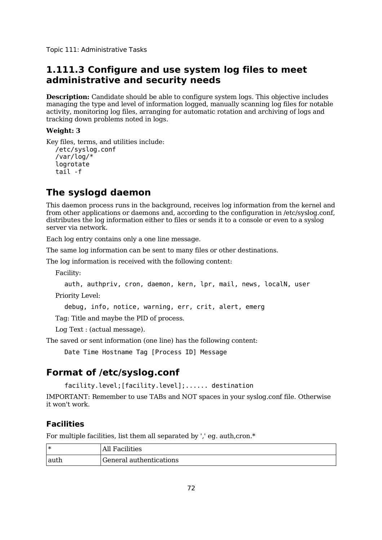## **1.111.3 Configure and use system log files to meet administrative and security needs**

**Description:** Candidate should be able to configure system logs. This objective includes managing the type and level of information logged, manually scanning log files for notable activity, monitoring log files, arranging for automatic rotation and archiving of logs and tracking down problems noted in logs.

### **Weight: 3**

Key files, terms, and utilities include: /etc/syslog.conf

```
/var/log/*
logrotate
tail -f
```
## **The syslogd daemon**

This daemon process runs in the background, receives log information from the kernel and from other applications or daemons and, according to the configuration in /etc/syslog.conf, distributes the log information either to files or sends it to a console or even to a syslog server via network.

Each log entry contains only a one line message.

The same log information can be sent to many files or other destinations.

The log information is received with the following content:

Facility:

```
auth, authpriv, cron, daemon, kern, lpr, mail, news, localN, user
```
Priority Level:

debug, info, notice, warning, err, crit, alert, emerg

Tag: Title and maybe the PID of process.

Log Text : (actual message).

The saved or sent information (one line) has the following content:

Date Time Hostname Tag [Process ID] Message

## **Format of /etc/syslog.conf**

```
facility.level;[facility.level];...... destination
```
IMPORTANT: Remember to use TABs and NOT spaces in your syslog.conf file. Otherwise it won't work.

## **Facilities**

For multiple facilities, list them all separated by ',' eg. auth,cron.\*

| ∗    | All Facilities          |
|------|-------------------------|
| auth | General authentications |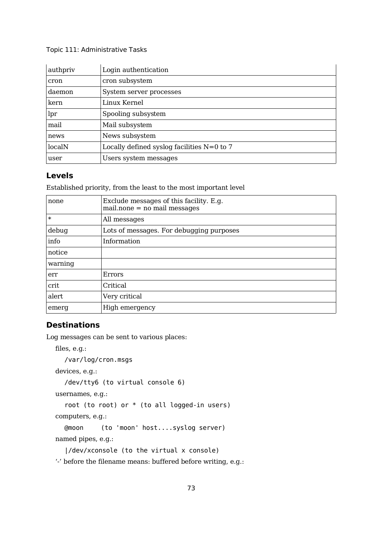| authpriv | Login authentication                         |
|----------|----------------------------------------------|
| cron     | cron subsystem                               |
| daemon   | System server processes                      |
| kern     | Linux Kernel                                 |
| lpr      | Spooling subsystem                           |
| mail     | Mail subsystem                               |
| news     | News subsystem                               |
| localN   | Locally defined syslog facilities $N=0$ to 7 |
| user     | Users system messages                        |

### **Levels**

Established priority, from the least to the most important level

| none    | Exclude messages of this facility. E.g.<br>$mail.none = no mail messages$ |
|---------|---------------------------------------------------------------------------|
| $\ast$  | All messages                                                              |
| debug   | Lots of messages. For debugging purposes                                  |
| info    | Information                                                               |
| notice  |                                                                           |
| warning |                                                                           |
| err     | Errors                                                                    |
| crit    | Critical                                                                  |
| alert   | Very critical                                                             |
| emerg   | High emergency                                                            |

### **Destinations**

Log messages can be sent to various places:

```
files, e.g.:
  /var/log/cron.msgs
devices, e.g.:
  /dev/tty6 (to virtual console 6)
usernames, e.g.:
  root (to root) or * (to all logged-in users)
computers, e.g.:
  @moon (to 'moon' host....syslog server)
named pipes, e.g.:
```

```
|/dev/xconsole (to the virtual x console)
```
'-' before the filename means: buffered before writing, e.g.: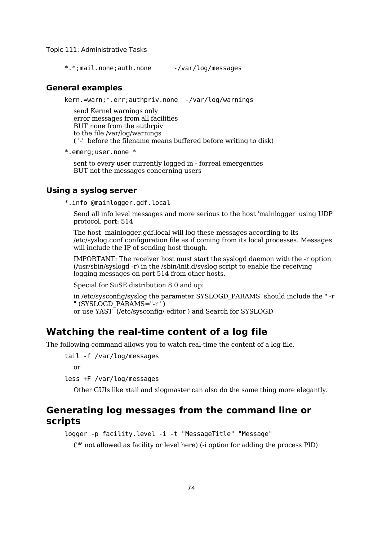\*.\*;mail.none;auth.none -/var/log/messages

#### **General examples**

kern.=warn;\*.err;authpriv.none -/var/log/warnings

send Kernel warnings only error messages from all facilities BUT none from the authrpiv to the file /var/log/warnings ( '-' before the filename means buffered before writing to disk)

\*.emerg;user.none \*

sent to every user currently logged in - forreal emergencies BUT not the messages concerning users

#### **Using a syslog server**

\*.info @mainlogger.gdf.local

Send all info level messages and more serious to the host 'mainlogger' using UDP protocol, port: 514

The host mainlogger.gdf.local will log these messages according to its /etc/syslog.conf configuration file as if coming from its local processes. Messages will include the IP of sending host though.

IMPORTANT: The receiver host must start the syslogd daemon with the -r option (/usr/sbin/syslogd -r) in the /sbin/init.d/syslog script to enable the receiving logging messages on port 514 from other hosts.

Special for SuSE distribution 8.0 and up:

in /etc/sysconfig/syslog the parameter SYSLOGD\_PARAMS should include the " -r " (SYSLOGD\_PARAMS="-r ")

or use YAST (/etc/sysconfig/ editor ) and Search for SYSLOGD

### **Watching the real-time content of a log file**

The following command allows you to watch real-time the content of a log file.

tail -f /var/log/messages

or

less +F /var/log/messages

Other GUIs like xtail and xlogmaster can also do the same thing more elegantly.

## **Generating log messages from the command line or scripts**

```
logger -p facility.level -i -t "MessageTitle" "Message"
```
('\*' not allowed as facility or level here) (-i option for adding the process PID)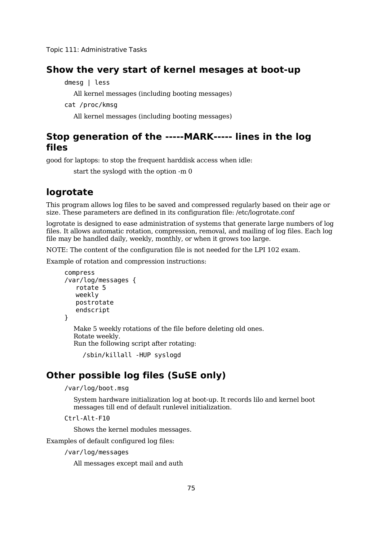### **Show the very start of kernel mesages at boot-up**

dmesg | less

All kernel messages (including booting messages)

cat /proc/kmsg

All kernel messages (including booting messages)

## **Stop generation of the -----MARK----- lines in the log files**

good for laptops: to stop the frequent harddisk access when idle:

start the syslogd with the option -m 0

## **logrotate**

This program allows log files to be saved and compressed regularly based on their age or size. These parameters are defined in its configuration file: /etc/logrotate.conf

logrotate is designed to ease administration of systems that generate large numbers of log files. It allows automatic rotation, compression, removal, and mailing of log files. Each log file may be handled daily, weekly, monthly, or when it grows too large.

NOTE: The content of the configuration file is not needed for the LPI 102 exam.

Example of rotation and compression instructions:

```
compress
/var/log/messages {
   rotate 5
   weekly
   postrotate
   endscript
}
```
Make 5 weekly rotations of the file before deleting old ones. Rotate weekly. Run the following script after rotating:

```
/sbin/killall -HUP syslogd
```
## **Other possible log files (SuSE only)**

/var/log/boot.msg

System hardware initialization log at boot-up. It records lilo and kernel boot messages till end of default runlevel initialization.

Ctrl-Alt-F10

Shows the kernel modules messages.

Examples of default configured log files:

/var/log/messages

All messages except mail and auth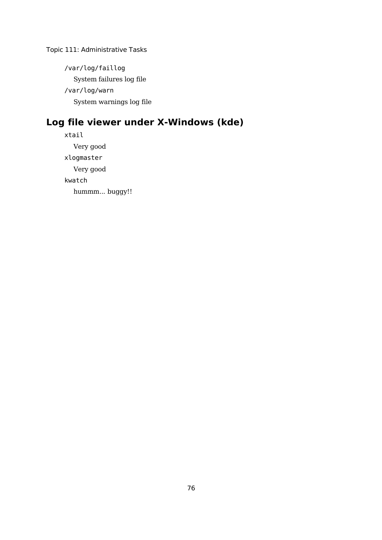/var/log/faillog System failures log file /var/log/warn System warnings log file

# **Log file viewer under X-Windows (kde)**

xtail Very good xlogmaster Very good kwatch hummm... buggy!!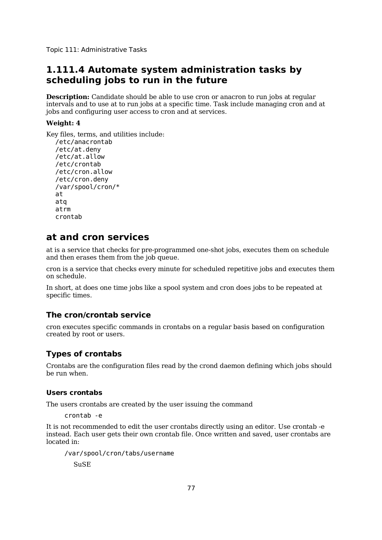## **1.111.4 Automate system administration tasks by scheduling jobs to run in the future**

**Description:** Candidate should be able to use cron or anacron to run jobs at regular intervals and to use at to run jobs at a specific time. Task include managing cron and at jobs and configuring user access to cron and at services.

### **Weight: 4**

Key files, terms, and utilities include: /etc/anacrontab /etc/at.deny /etc/at.allow /etc/crontab /etc/cron.allow /etc/cron.deny /var/spool/cron/\* at atq atrm crontab

## **at and cron services**

at is a service that checks for pre-programmed one-shot jobs, executes them on schedule and then erases them from the job queue.

cron is a service that checks every minute for scheduled repetitive jobs and executes them on schedule.

In short, at does one time jobs like a spool system and cron does jobs to be repeated at specific times.

### **The cron/crontab service**

cron executes specific commands in crontabs on a regular basis based on configuration created by root or users.

### **Types of crontabs**

Crontabs are the configuration files read by the crond daemon defining which jobs should be run when.

#### **Users crontabs**

The users crontabs are created by the user issuing the command

crontab -e

It is not recommended to edit the user crontabs directly using an editor. Use crontab -e instead. Each user gets their own crontab file. Once written and saved, user crontabs are located in:

/var/spool/cron/tabs/username SuSE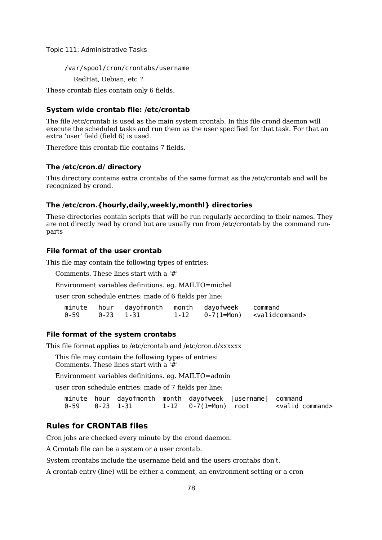/var/spool/cron/crontabs/username

RedHat, Debian, etc ?

These crontab files contain only 6 fields.

#### **System wide crontab file: /etc/crontab**

The file /etc/crontab is used as the main system crontab. In this file crond daemon will execute the scheduled tasks and run them as the user specified for that task. For that an extra 'user' field (field 6) is used.

Therefore this crontab file contains 7 fields.

#### **The /etc/cron.d/ directory**

This directory contains extra crontabs of the same format as the /etc/crontab and will be recognized by crond.

#### **The /etc/cron.{hourly,daily,weekly,monthl} directories**

These directories contain scripts that will be run regularly according to their names. They are not directly read by crond but are usually run from /etc/crontab by the command runparts

#### **File format of the user crontab**

This file may contain the following types of entries:

Comments. These lines start with a '#'

Environment variables definitions. eg. MAILTO=michel

user cron schedule entries: made of 6 fields per line:

|                |  | minute hour dayofmonth month dayofweek command |                                          |
|----------------|--|------------------------------------------------|------------------------------------------|
| 0-59 0-23 1-31 |  |                                                | $1-12$ $0-7(1=Mon)$ $\leq$ validcommand> |

#### **File format of the system crontabs**

This file format applies to /etc/crontab and /etc/cron.d/xxxxxx

This file may contain the following types of entries: Comments. These lines start with a  $\overline{H}$ 

Environment variables definitions. eg. MAILTO=admin

user cron schedule entries: made of 7 fields per line:

|  | minute hour dayofmonth month dayofweek [username] command |  |                            |
|--|-----------------------------------------------------------|--|----------------------------|
|  |                                                           |  | <valid command=""></valid> |

### **Rules for CRONTAB files**

Cron jobs are checked every minute by the crond daemon.

A Crontab file can be a system or a user crontab.

System crontabs include the username field and the users crontabs don't.

A crontab entry (line) will be either a comment, an environment setting or a cron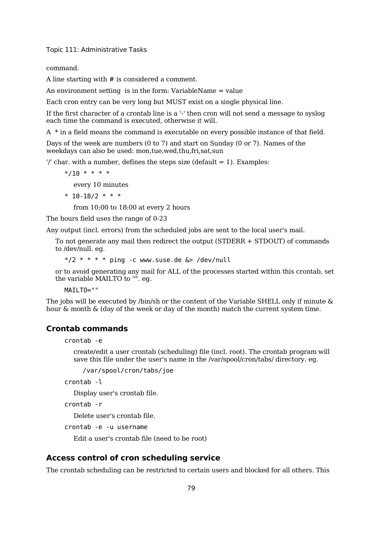command.

A line starting with # is considered a comment.

An environment setting is in the form: VariableName = value

Each cron entry can be very long but MUST exist on a single physical line.

If the first character of a crontab line is a '-' then cron will not send a message to syslog each time the command is executed, otherwise it will.

A \* in a field means the command is executable on every possible instance of that field.

Days of the week are numbers (0 to 7) and start on Sunday (0 or 7). Names of the weekdays can also be used: mon,tue,wed,thu,fri,sat,sun

 $'$  char. with a number, defines the steps size (default = 1). Examples:

 $*/10$  \* \* \* \*

every 10 minutes

\* 
$$
10-18/2
$$
 \* \* \*

from 10:00 to 18:00 at every 2 hours

The hours field uses the range of 0-23

Any output (incl. errors) from the scheduled jobs are sent to the local user's mail.

To not generate any mail then redirect the output (STDERR + STDOUT) of commands to /dev/null. eg.

 $*/2$  \* \* \* \* ping -c www.suse.de  $&>$  /dev/null

or to avoid generating any mail for ALL of the processes started within this crontab, set the variable MAILTO to "". eg.

MAILTO=""

The jobs will be executed by  $\beta$  bin/sh or the content of the Variable SHELL only if minute  $\&$ hour & month & (day of the week or day of the month) match the current system time.

### **Crontab commands**

crontab -e

create/edit a user crontab (scheduling) file (incl. root). The crontab program will save this file under the user's name in the /var/spool/cron/tabs/ directory. eg.

/var/spool/cron/tabs/joe

crontab -l

Display user's crontab file.

crontab -r

Delete user's crontab file.

crontab -e -u username

Edit a user's crontab file (need to be root)

#### **Access control of cron scheduling service**

The crontab scheduling can be restricted to certain users and blocked for all others. This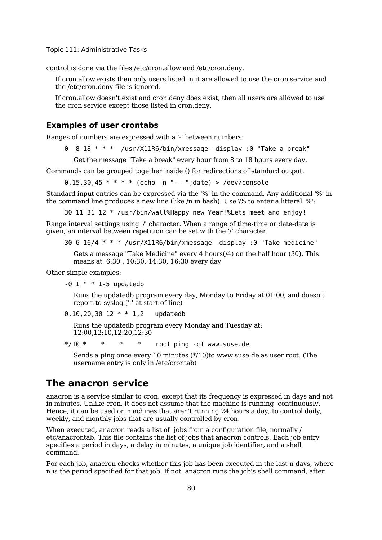control is done via the files /etc/cron.allow and /etc/cron.deny.

If cron.allow exists then only users listed in it are allowed to use the cron service and the /etc/cron.deny file is ignored.

If cron.allow doesn't exist and cron.deny does exist, then all users are allowed to use the cron service except those listed in cron.deny.

#### **Examples of user crontabs**

Ranges of numbers are expressed with a '-' between numbers:

0 8-18 \* \* \* /usr/X11R6/bin/xmessage -display :0 "Take a break"

Get the message "Take a break" every hour from 8 to 18 hours every day.

Commands can be grouped together inside () for redirections of standard output.

0.15.30.45 \* \* \* \* (echo -n "---";date) > /dev/console

Standard input entries can be expressed via the '%' in the command. Any additional '%' in the command line produces a new line (like /n in bash). Use \% to enter a litteral '%':

30 11 31 12 \* /usr/bin/wall%Happy new Year!%Lets meet and enjoy!

Range interval settings using '/' character. When a range of time-time or date-date is given, an interval between repetition can be set with the '/' character.

```
30 6-16/4 * * * /usr/X11R6/bin/xmessage -display :0 "Take medicine"
```
Gets a message "Take Medicine" every 4 hours(/4) on the half hour (30). This means at 6:30 , 10:30, 14:30, 16:30 every day

Other simple examples:

 $-0$  1  $*$   $*$  1-5 updatedb

Runs the updatedb program every day, Monday to Friday at 01:00, and doesn't report to syslog ('-' at start of line)

```
0,10,20,30 12 * * 1,2 updatedb
```
Runs the updatedb program every Monday and Tuesday at: 12:00,12:10,12:20,12:30

 $*/10$  \* \* \* \* root ping -c1 www.suse.de

Sends a ping once every 10 minutes (\*/10)to www.suse.de as user root. (The username entry is only in /etc/crontab)

### **The anacron service**

anacron is a service similar to cron, except that its frequency is expressed in days and not in minutes. Unlike cron, it does not assume that the machine is running continuously. Hence, it can be used on machines that aren't running 24 hours a day, to control daily, weekly, and monthly jobs that are usually controlled by cron.

When executed, anacron reads a list of jobs from a configuration file, normally / etc/anacrontab. This file contains the list of jobs that anacron controls. Each job entry specifies a period in days, a delay in minutes, a unique job identifier, and a shell command.

For each job, anacron checks whether this job has been executed in the last n days, where n is the period specified for that job. If not, anacron runs the job's shell command, after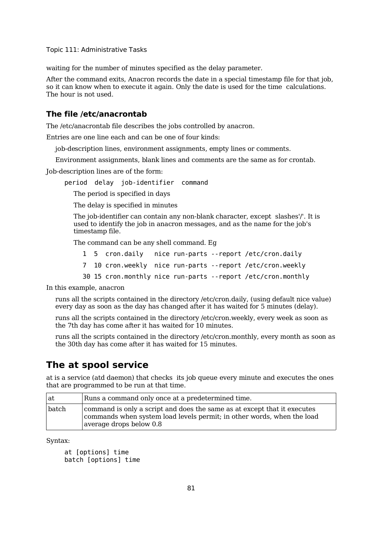waiting for the number of minutes specified as the delay parameter.

After the command exits, Anacron records the date in a special timestamp file for that job, so it can know when to execute it again. Only the date is used for the time calculations. The hour is not used.

#### **The file /etc/anacrontab**

The /etc/anacrontab file describes the jobs controlled by anacron.

Entries are one line each and can be one of four kinds:

job-description lines, environment assignments, empty lines or comments.

Environment assignments, blank lines and comments are the same as for crontab.

Job-description lines are of the form:

period delay job-identifier command

The period is specified in days

The delay is specified in minutes

The job-identifier can contain any non-blank character, except slashes'/'. It is used to identify the job in anacron messages, and as the name for the job's timestamp file.

The command can be any shell command. Eg

- 1 5 cron.daily nice run-parts --report /etc/cron.daily
- 7 10 cron.weekly nice run-parts --report /etc/cron.weekly
- 30 15 cron.monthly nice run-parts --report /etc/cron.monthly

In this example, anacron

runs all the scripts contained in the directory /etc/cron.daily, (using default nice value) every day as soon as the day has changed after it has waited for 5 minutes (delay).

runs all the scripts contained in the directory /etc/cron.weekly, every week as soon as the 7th day has come after it has waited for 10 minutes.

runs all the scripts contained in the directory /etc/cron.monthly, every month as soon as the 30th day has come after it has waited for 15 minutes.

### **The at spool service**

at is a service (atd daemon) that checks its job queue every minute and executes the ones that are programmed to be run at that time.

| l at  | Runs a command only once at a predetermined time.                                                                                                                             |
|-------|-------------------------------------------------------------------------------------------------------------------------------------------------------------------------------|
| batch | command is only a script and does the same as at except that it executes<br>commands when system load levels permit; in other words, when the load<br>average drops below 0.8 |

Syntax:

```
at [options] time
batch [options] time
```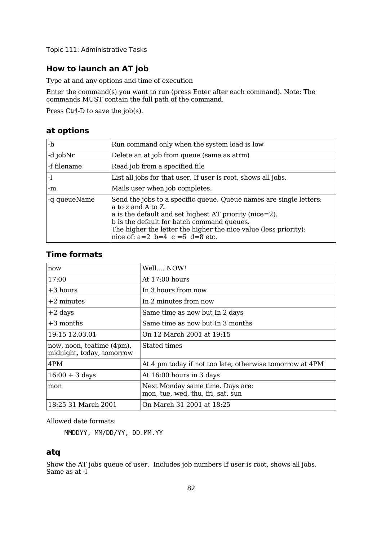## **How to launch an AT job**

Type at and any options and time of execution

Enter the command(s) you want to run (press Enter after each command). Note: The commands MUST contain the full path of the command.

Press Ctrl-D to save the job(s).

### **at options**

| -b            | Run command only when the system load is low                                                                                                                                                                                                                                                             |
|---------------|----------------------------------------------------------------------------------------------------------------------------------------------------------------------------------------------------------------------------------------------------------------------------------------------------------|
| $-d$ job $Nr$ | Delete an at job from queue (same as atrm)                                                                                                                                                                                                                                                               |
| -f filename   | Read job from a specified file                                                                                                                                                                                                                                                                           |
| -1            | List all jobs for that user. If user is root, shows all jobs.                                                                                                                                                                                                                                            |
| -m            | Mails user when job completes.                                                                                                                                                                                                                                                                           |
| -q queueName  | Send the jobs to a specific queue. Queue names are single letters:<br>a to z and A to Z.<br>a is the default and set highest AT priority (nice=2).<br>b is the default for batch command queues.<br>The higher the letter the higher the nice value (less priority):<br>nice of: $a=2$ b=4 c =6 d=8 etc. |

### **Time formats**

| now                                                    | Well NOW!                                                             |
|--------------------------------------------------------|-----------------------------------------------------------------------|
| 17:00                                                  | At $17:00$ hours                                                      |
| $+3$ hours                                             | In 3 hours from now                                                   |
| $+2$ minutes                                           | In 2 minutes from now                                                 |
| $+2$ days                                              | Same time as now but In 2 days                                        |
| $+3$ months                                            | Same time as now but In 3 months                                      |
| 19:15 12.03.01                                         | On 12 March 2001 at 19:15                                             |
| now, noon, teatime (4pm),<br>midnight, today, tomorrow | Stated times                                                          |
| 4PM                                                    | At 4 pm today if not too late, otherwise tomorrow at 4PM              |
| $16:00 + 3$ days                                       | At 16:00 hours in 3 days                                              |
| mon                                                    | Next Monday same time. Days are:<br>mon, tue, wed, thu, fri, sat, sun |
| 18:25 31 March 2001                                    | On March 31 2001 at 18:25                                             |

Allowed date formats:

MMDDYY, MM/DD/YY, DD.MM.YY

### **atq**

Show the AT jobs queue of user. Includes job numbers If user is root, shows all jobs. Same as at -l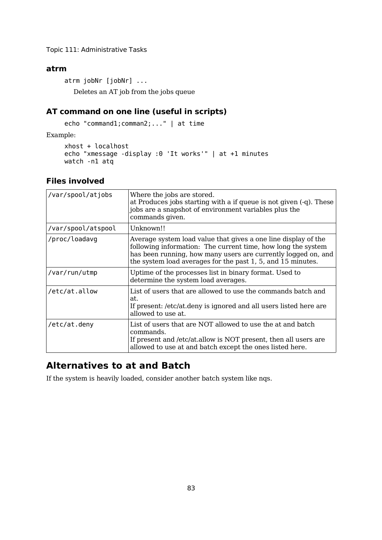### **atrm**

atrm jobNr [jobNr] ... Deletes an AT job from the jobs queue

### **AT command on one line (useful in scripts)**

echo "command1;comman2;..." | at time

Example:

```
xhost + localhost
echo "xmessage -display :0 'It works'" | at +1 minutes
watch -n1 atq
```
### **Files involved**

| /var/spool/atjobs  | Where the jobs are stored.<br>at Produces jobs starting with a if queue is not given $(-q)$ . These<br>jobs are a snapshot of environment variables plus the<br>commands given.                                                                                |
|--------------------|----------------------------------------------------------------------------------------------------------------------------------------------------------------------------------------------------------------------------------------------------------------|
| /var/spool/atspool | Unknown!!                                                                                                                                                                                                                                                      |
| /proc/loadavg      | Average system load value that gives a one line display of the<br>following information: The current time, how long the system<br>has been running, how many users are currently logged on, and<br>the system load averages for the past 1, 5, and 15 minutes. |
| /var/run/utmp      | Uptime of the processes list in binary format. Used to<br>determine the system load averages.                                                                                                                                                                  |
| /etc/at.allow      | List of users that are allowed to use the commands batch and<br>at.<br>If present: /etc/at.deny is ignored and all users listed here are<br>allowed to use at.                                                                                                 |
| /etc/at.deny       | List of users that are NOT allowed to use the at and batch<br>commands.<br>If present and /etc/at.allow is NOT present, then all users are<br>allowed to use at and batch except the ones listed here.                                                         |

## **Alternatives to at and Batch**

If the system is heavily loaded, consider another batch system like nqs.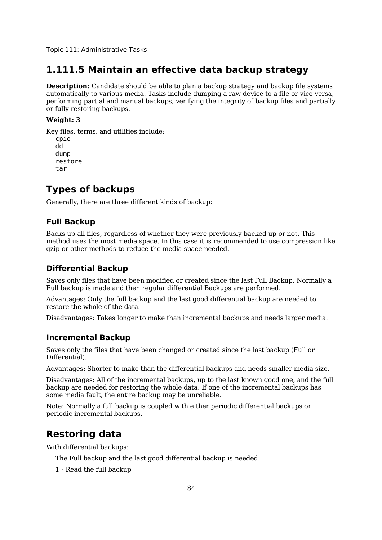## **1.111.5 Maintain an effective data backup strategy**

**Description:** Candidate should be able to plan a backup strategy and backup file systems automatically to various media. Tasks include dumping a raw device to a file or vice versa, performing partial and manual backups, verifying the integrity of backup files and partially or fully restoring backups.

#### **Weight: 3**

Key files, terms, and utilities include: cpio dd dump restore tar

## **Types of backups**

Generally, there are three different kinds of backup:

### **Full Backup**

Backs up all files, regardless of whether they were previously backed up or not. This method uses the most media space. In this case it is recommended to use compression like gzip or other methods to reduce the media space needed.

### **Differential Backup**

Saves only files that have been modified or created since the last Full Backup. Normally a Full backup is made and then regular differential Backups are performed.

Advantages: Only the full backup and the last good differential backup are needed to restore the whole of the data.

Disadvantages: Takes longer to make than incremental backups and needs larger media.

#### **Incremental Backup**

Saves only the files that have been changed or created since the last backup (Full or Differential).

Advantages: Shorter to make than the differential backups and needs smaller media size.

Disadvantages: All of the incremental backups, up to the last known good one, and the full backup are needed for restoring the whole data. If one of the incremental backups has some media fault, the entire backup may be unreliable.

Note: Normally a full backup is coupled with either periodic differential backups or periodic incremental backups.

## **Restoring data**

With differential backups:

The Full backup and the last good differential backup is needed.

1 - Read the full backup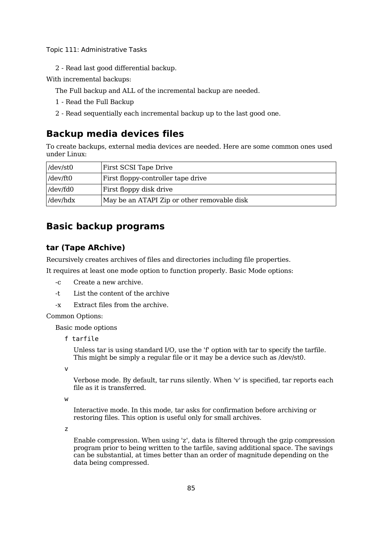2 - Read last good differential backup.

With incremental backups:

The Full backup and ALL of the incremental backup are needed.

- 1 Read the Full Backup
- 2 Read sequentially each incremental backup up to the last good one.

## **Backup media devices files**

To create backups, external media devices are needed. Here are some common ones used under Linux:

| $/$ dev/st0     | First SCSI Tape Drive                       |  |
|-----------------|---------------------------------------------|--|
| $/$ dev/ft0     | First floppy-controller tape drive          |  |
| $/$ dev/fd $0$  | First floppy disk drive                     |  |
| $/$ dev $/$ hdx | May be an ATAPI Zip or other removable disk |  |

## **Basic backup programs**

### **tar (Tape ARchive)**

Recursively creates archives of files and directories including file properties.

It requires at least one mode option to function properly. Basic Mode options:

- -c Create a new archive.
- -t List the content of the archive
- -x Extract files from the archive.

Common Options:

Basic mode options

f tarfile

Unless tar is using standard I/O, use the 'f' option with tar to specify the tarfile. This might be simply a regular file or it may be a device such as /dev/st0.

v

Verbose mode. By default, tar runs silently. When 'v' is specified, tar reports each file as it is transferred.

w

Interactive mode. In this mode, tar asks for confirmation before archiving or restoring files. This option is useful only for small archives.

z

Enable compression. When using 'z', data is filtered through the gzip compression program prior to being written to the tarfile, saving additional space. The savings can be substantial, at times better than an order of magnitude depending on the data being compressed.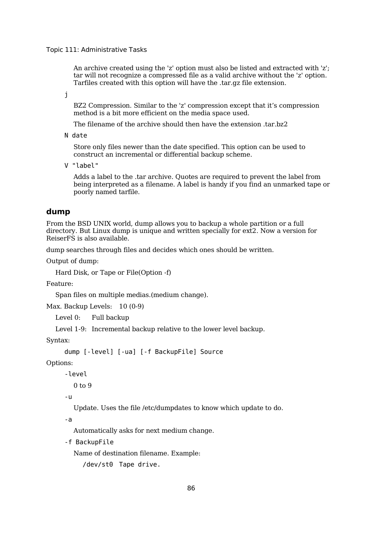An archive created using the 'z' option must also be listed and extracted with 'z'; tar will not recognize a compressed file as a valid archive without the 'z' option. Tarfiles created with this option will have the .tar.gz file extension.

j

BZ2 Compression. Similar to the 'z' compression except that it's compression method is a bit more efficient on the media space used.

The filename of the archive should then have the extension .tar.bz2

N date

Store only files newer than the date specified. This option can be used to construct an incremental or differential backup scheme.

V "label"

Adds a label to the .tar archive. Quotes are required to prevent the label from being interpreted as a filename. A label is handy if you find an unmarked tape or poorly named tarfile.

#### **dump**

From the BSD UNIX world, dump allows you to backup a whole partition or a full directory. But Linux dump is unique and written specially for ext2. Now a version for ReiserFS is also available.

dump searches through files and decides which ones should be written.

Output of dump:

Hard Disk, or Tape or File(Option -f)

Feature:

Span files on multiple medias.(medium change).

Max. Backup Levels: 10 (0-9)

Level 0: Full backup

Level 1-9: Incremental backup relative to the lower level backup.

Syntax:

```
dump [-level] [-ua] [-f BackupFile] Source
```
Options:

-level

0 to 9

-u

Update. Uses the file /etc/dumpdates to know which update to do.

-a

Automatically asks for next medium change.

-f BackupFile

Name of destination filename. Example:

/dev/st0 Tape drive.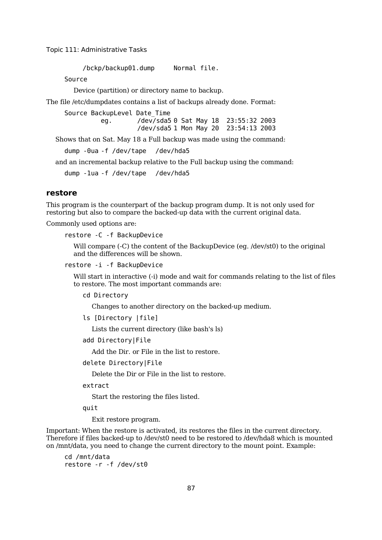/bckp/backup01.dump Normal file.

Source

Device (partition) or directory name to backup.

The file /etc/dumpdates contains a list of backups already done. Format:

Source BackupLevel Date\_Time eg. /dev/sda5 0 Sat May 18 23:55:32 2003 /dev/sda5 1 Mon May 20 23:54:13 2003

Shows that on Sat. May 18 a Full backup was made using the command:

dump -0ua -f /dev/tape /dev/hda5

and an incremental backup relative to the Full backup using the command:

dump -1ua -f /dev/tape /dev/hda5

### **restore**

This program is the counterpart of the backup program dump. It is not only used for restoring but also to compare the backed-up data with the current original data.

Commonly used options are:

restore -C -f BackupDevice

Will compare (-C) the content of the BackupDevice (eg. /dev/st0) to the original and the differences will be shown.

restore -i -f BackupDevice

Will start in interactive (-i) mode and wait for commands relating to the list of files to restore. The most important commands are:

cd Directory

Changes to another directory on the backed-up medium.

```
ls [Directory |file]
```
Lists the current directory (like bash's ls)

add Directory|File

Add the Dir. or File in the list to restore.

#### delete Directory|File

Delete the Dir or File in the list to restore.

extract

Start the restoring the files listed.

quit

Exit restore program.

Important: When the restore is activated, its restores the files in the current directory. Therefore if files backed-up to /dev/st0 need to be restored to /dev/hda8 which is mounted on /mnt/data, you need to change the current directory to the mount point. Example:

cd /mnt/data restore -r -f /dev/st0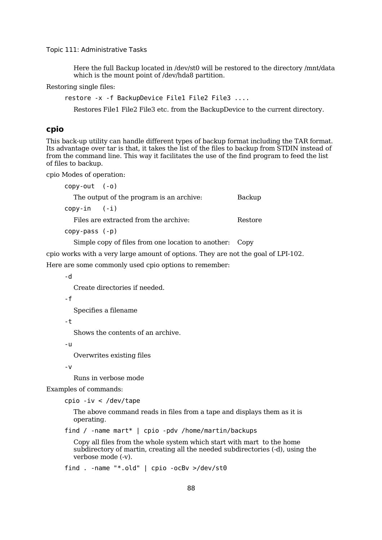Here the full Backup located in /dev/st0 will be restored to the directory /mnt/data which is the mount point of /dev/hda8 partition.

Restoring single files:

restore -x -f BackupDevice File1 File2 File3 ....

Restores File1 File2 File3 etc. from the BackupDevice to the current directory.

### **cpio**

This back-up utility can handle different types of backup format including the TAR format. Its advantage over tar is that, it takes the list of the files to backup from STDIN instead of from the command line. This way it facilitates the use of the find program to feed the list of files to backup.

cpio Modes of operation:

| $copy-out (-o)$                                         |         |
|---------------------------------------------------------|---------|
| The output of the program is an archive:                | Backup  |
| $copy-in$ $(-i)$                                        |         |
| Files are extracted from the archive:                   | Restore |
| $copy-pass (-p)$                                        |         |
| Simple copy of files from one location to another: Copy |         |

cpio works with a very large amount of options. They are not the goal of LPI-102.

Here are some commonly used cpio options to remember:

-d

Create directories if needed.

-f

Specifies a filename

-t

Shows the contents of an archive.

-u

Overwrites existing files

-v

Runs in verbose mode

Examples of commands:

cpio -iv < /dev/tape

The above command reads in files from a tape and displays them as it is operating.

find / -name mart\* | cpio -pdv /home/martin/backups

Copy all files from the whole system which start with mart to the home subdirectory of martin, creating all the needed subdirectories (-d), using the verbose mode (-v).

find . -name "\*.old" | cpio -ocBv >/dev/st0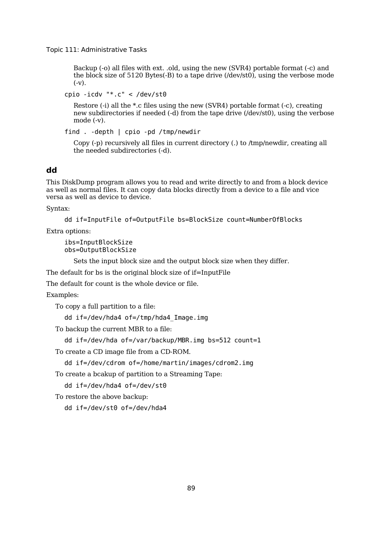Backup (-o) all files with ext. .old, using the new (SVR4) portable format (-c) and the block size of 5120 Bytes(-B) to a tape drive (/dev/st0), using the verbose mode  $(-v)$ .

cpio -icdv "\*.c" < /dev/st0

Restore (-i) all the \*.c files using the new (SVR4) portable format (-c), creating new subdirectories if needed (-d) from the tape drive (/dev/st0), using the verbose mode (-v).

find . -depth | cpio -pd /tmp/newdir

Copy (-p) recursively all files in current directory (.) to /tmp/newdir, creating all the needed subdirectories (-d).

#### **dd**

This DiskDump program allows you to read and write directly to and from a block device as well as normal files. It can copy data blocks directly from a device to a file and vice versa as well as device to device.

Syntax:

```
dd if=InputFile of=OutputFile bs=BlockSize count=NumberOfBlocks
```
Extra options:

ibs=InputBlockSize obs=OutputBlockSize

Sets the input block size and the output block size when they differ.

The default for bs is the original block size of if=InputFile

The default for count is the whole device or file.

Examples:

To copy a full partition to a file:

dd if=/dev/hda4 of=/tmp/hda4\_Image.img

To backup the current MBR to a file:

```
dd if=/dev/hda of=/var/backup/MBR.img bs=512 count=1
```
To create a CD image file from a CD-ROM.

dd if=/dev/cdrom of=/home/martin/images/cdrom2.img

To create a bcakup of partition to a Streaming Tape:

dd if=/dev/hda4 of=/dev/st0

To restore the above backup:

dd if=/dev/st0 of=/dev/hda4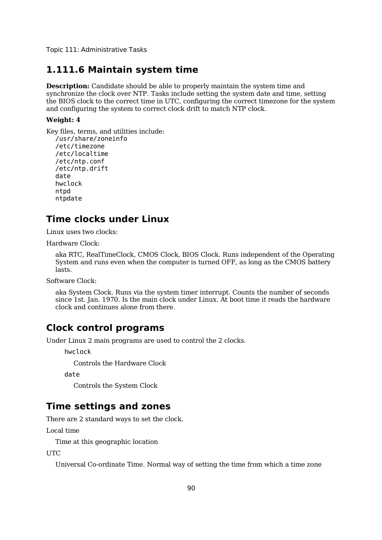### **1.111.6 Maintain system time**

**Description:** Candidate should be able to properly maintain the system time and synchronize the clock over NTP. Tasks include setting the system date and time, setting the BIOS clock to the correct time in UTC, configuring the correct timezone for the system and configuring the system to correct clock drift to match NTP clock.

#### **Weight: 4**

Key files, terms, and utilities include: /usr/share/zoneinfo /etc/timezone /etc/localtime /etc/ntp.conf /etc/ntp.drift date hwclock ntpd ntpdate

## **Time clocks under Linux**

Linux uses two clocks:

Hardware Clock:

aka RTC, RealTimeClock, CMOS Clock, BIOS Clock. Runs independent of the Operating System and runs even when the computer is turned OFF, as long as the CMOS battery lasts.

Software Clock:

aka System Clock. Runs via the system timer interrupt. Counts the number of seconds since 1st. Jan. 1970. Is the main clock under Linux. At boot time it reads the hardware clock and continues alone from there.

## **Clock control programs**

Under Linux 2 main programs are used to control the 2 clocks.

hwclock

Controls the Hardware Clock

date

Controls the System Clock

## **Time settings and zones**

There are 2 standard ways to set the clock.

Local time

Time at this geographic location

UTC

Universal Co-ordinate Time. Normal way of setting the time from which a time zone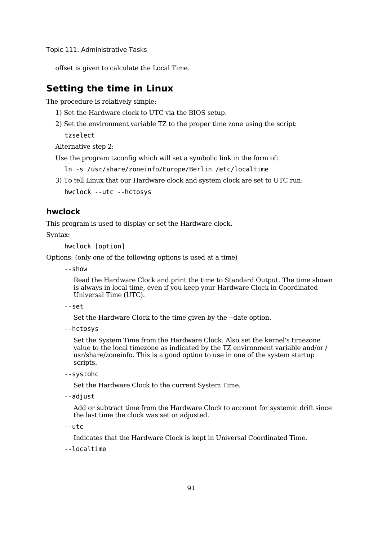offset is given to calculate the Local Time.

## **Setting the time in Linux**

The procedure is relatively simple:

```
1) Set the Hardware clock to UTC via the BIOS setup.
```
2) Set the environment variable TZ to the proper time zone using the script: tzselect

Alternative step 2:

Use the program tzconfig which will set a symbolic link in the form of:

ln -s /usr/share/zoneinfo/Europe/Berlin /etc/localtime

3) To tell Linux that our Hardware clock and system clock are set to UTC run:

hwclock --utc --hctosys

### **hwclock**

This program is used to display or set the Hardware clock.

Syntax:

hwclock [option]

Options: (only one of the following options is used at a time)

--show

Read the Hardware Clock and print the time to Standard Output. The time shown is always in local time, even if you keep your Hardware Clock in Coordinated Universal Time (UTC).

```
--set
```
Set the Hardware Clock to the time given by the --date option.

--hctosys

Set the System Time from the Hardware Clock. Also set the kernel's timezone value to the local timezone as indicated by the TZ environment variable and/or / usr/share/zoneinfo. This is a good option to use in one of the system startup scripts.

--systohc

Set the Hardware Clock to the current System Time.

--adjust

Add or subtract time from the Hardware Clock to account for systemic drift since the last time the clock was set or adjusted.

--utc

Indicates that the Hardware Clock is kept in Universal Coordinated Time.

--localtime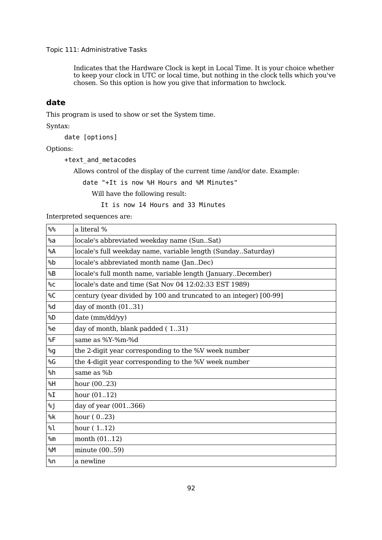Indicates that the Hardware Clock is kept in Local Time. It is your choice whether to keep your clock in UTC or local time, but nothing in the clock tells which you've chosen. So this option is how you give that information to hwclock.

### **date**

This program is used to show or set the System time.

Syntax:

date [options]

Options:

+text\_and\_metacodes

Allows control of the display of the current time /and/or date. Example:

date "+It is now %H Hours and %M Minutes"

Will have the following result:

It is now 14 Hours and 33 Minutes

Interpreted sequences are:

| ‰                       | a literal %                                                       |
|-------------------------|-------------------------------------------------------------------|
| %a                      | locale's abbreviated weekday name (SunSat)                        |
| %A                      | locale's full weekday name, variable length (SundaySaturday)      |
| %b                      | locale's abbreviated month name (JanDec)                          |
| %B                      | locale's full month name, variable length (JanuaryDecember)       |
| %C                      | locale's date and time (Sat Nov 04 12:02:33 EST 1989)             |
| %C                      | century (year divided by 100 and truncated to an integer) [00-99] |
| %d                      | day of month $(0131)$                                             |
| %D                      | date (mm/dd/yy)                                                   |
| %e                      | day of month, blank padded (131)                                  |
| %F                      | same as %Y-%m-%d                                                  |
| %g                      | the 2-digit year corresponding to the %V week number              |
| %G                      | the 4-digit year corresponding to the %V week number              |
| %h                      | same as %b                                                        |
| %H                      | hour $(0023)$                                                     |
| $\mathcal{L}^{\otimes}$ | hour $(0112)$                                                     |
| %j                      | day of year (001366)                                              |
| %k                      | hour $(023)$                                                      |
| %l                      | hour $(112)$                                                      |
| %m                      | month $(0112)$                                                    |
| %M                      | minute $(0059)$                                                   |
| %n                      | a newline                                                         |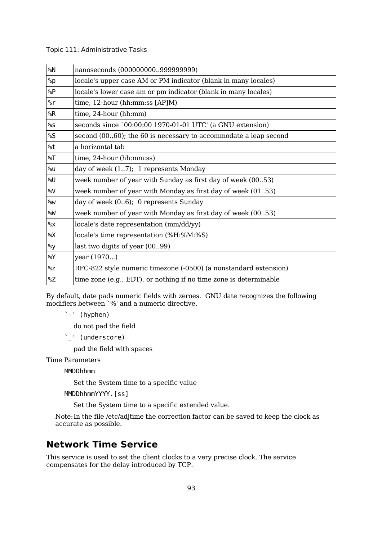| %N            | nanoseconds (000000000999999999)                                  |  |
|---------------|-------------------------------------------------------------------|--|
| %p            | locale's upper case AM or PM indicator (blank in many locales)    |  |
| %P            | locale's lower case am or pm indicator (blank in many locales)    |  |
| %r            | time, $12$ -hour (hh:mm:ss $[AP]M$ )                              |  |
| %R            | time, 24-hour (hh:mm)                                             |  |
| %s            | seconds since `00:00:00 1970-01-01 UTC' (a GNU extension)         |  |
| %S            | second (0060); the 60 is necessary to accommodate a leap second   |  |
| %t            | a horizontal tab                                                  |  |
| $\sqrt[6]{5}$ | $time, 24-hour (hh:mm:ss)$                                        |  |
| %u            | day of week $(17)$ ; 1 represents Monday                          |  |
| %U            | week number of year with Sunday as first day of week (0053)       |  |
| %V            | week number of year with Monday as first day of week (0153)       |  |
| %W            | day of week (06); 0 represents Sunday                             |  |
| %W            | week number of year with Monday as first day of week (0053)       |  |
| %X            | locale's date representation (mm/dd/yy)                           |  |
| %X            | locale's time representation (%H:%M:%S)                           |  |
| %y            | last two digits of year (0099)                                    |  |
| %Y            | year (1970)                                                       |  |
| %Z            | RFC-822 style numeric timezone (-0500) (a nonstandard extension)  |  |
| %Z            | time zone (e.g., EDT), or nothing if no time zone is determinable |  |

By default, date pads numeric fields with zeroes. GNU date recognizes the following modifiers between `%' and a numeric directive.

`-' (hyphen)

do not pad the field

`\_' (underscore)

pad the field with spaces

Time Parameters

MMDDhhmm

Set the System time to a specific value

MMDDhhmmYYYY.[ss]

Set the System time to a specific extended value.

Note:In the file /etc/adjtime the correction factor can be saved to keep the clock as accurate as possible.

## **Network Time Service**

This service is used to set the client clocks to a very precise clock. The service compensates for the delay introduced by TCP.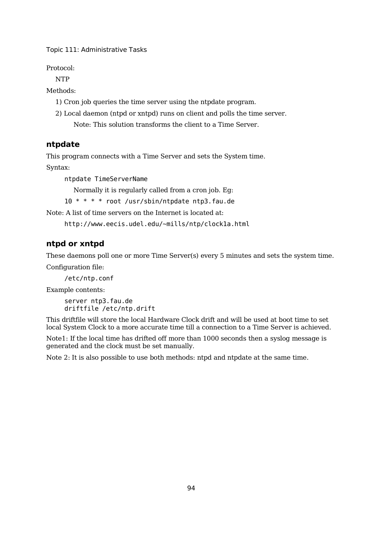Protocol:

NTP

Methods:

- 1) Cron job queries the time server using the ntpdate program.
- 2) Local daemon (ntpd or xntpd) runs on client and polls the time server. Note: This solution transforms the client to a Time Server.

### **ntpdate**

This program connects with a Time Server and sets the System time.

Syntax:

ntpdate TimeServerName

Normally it is regularly called from a cron job. Eg:

10 \* \* \* \* root /usr/sbin/ntpdate ntp3.fau.de

Note: A list of time servers on the Internet is located at:

http://www.eecis.udel.edu/~mills/ntp/clock1a.html

### **ntpd or xntpd**

These daemons poll one or more Time Server(s) every 5 minutes and sets the system time. Configuration file:

/etc/ntp.conf

Example contents:

server ntp3.fau.de driftfile /etc/ntp.drift

This driftfile will store the local Hardware Clock drift and will be used at boot time to set local System Clock to a more accurate time till a connection to a Time Server is achieved.

Note1: If the local time has drifted off more than 1000 seconds then a syslog message is generated and the clock must be set manually.

Note 2: It is also possible to use both methods: ntpd and ntpdate at the same time.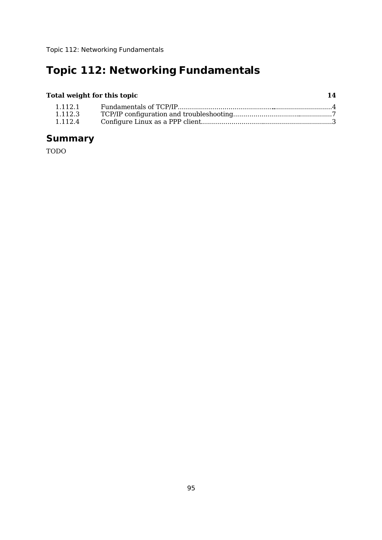# **Topic 112: Networking Fundamentals**

## **Total weight for this topic 14**

| 1.112.1 |  |
|---------|--|
| 1.112.3 |  |
| 1.112.4 |  |

# **Summary**

TODO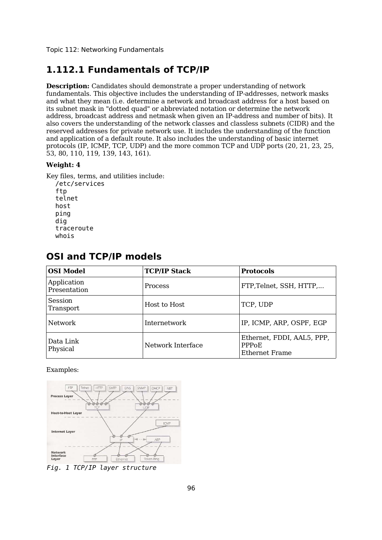Topic 112: Networking Fundamentals

## **1.112.1 Fundamentals of TCP/IP**

**Description:** Candidates should demonstrate a proper understanding of network fundamentals. This objective includes the understanding of IP-addresses, network masks and what they mean (i.e. determine a network and broadcast address for a host based on its subnet mask in "dotted quad" or abbreviated notation or determine the network address, broadcast address and netmask when given an IP-address and number of bits). It also covers the understanding of the network classes and classless subnets (CIDR) and the reserved addresses for private network use. It includes the understanding of the function and application of a default route. It also includes the understanding of basic internet protocols (IP, ICMP, TCP, UDP) and the more common TCP and UDP ports (20, 21, 23, 25, 53, 80, 110, 119, 139, 143, 161).

#### **Weight: 4**

Key files, terms, and utilities include:

/etc/services ftn telnet host ping dig traceroute whois

| <b>OSI Model</b>            | <b>TCP/IP Stack</b> | <b>Protocols</b>                                                   |
|-----------------------------|---------------------|--------------------------------------------------------------------|
| Application<br>Presentation | <b>Process</b>      | FTP, Telnet, SSH, HTTP,                                            |
| Session<br>Transport        | Host to Host        | TCP, UDP                                                           |
| Network                     | Internetwork        | IP, ICMP, ARP, OSPF, EGP                                           |
| Data Link<br>Physical       | Network Interface   | Ethernet, FDDI, AAL5, PPP,<br>PPP <sub>o</sub> F<br>Ethernet Frame |

## **OSI and TCP/IP models**

Examples:



*Fig. 1 TCP/IP layer structure*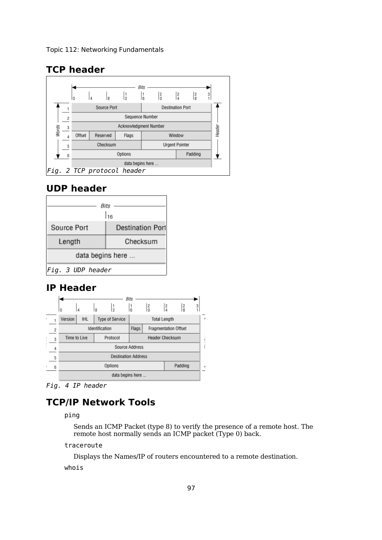## **TCP header**



## **UDP header**



## **IP Header**

|                               |                                                 |  |       | Bits                   |               |                                |   |
|-------------------------------|-------------------------------------------------|--|-------|------------------------|---------------|--------------------------------|---|
|                               | ١o                                              |  | 8     | $\frac{1}{6}$          | $\frac{2}{0}$ | $\frac{2}{4}$<br>$\frac{2}{8}$ | 3 |
|                               | Version<br><b>IHL</b><br><b>Type of Service</b> |  |       | <b>Total Length</b>    |               |                                |   |
| $\overline{2}$                | Identification                                  |  | Flags | Fragmentation Offset   |               |                                |   |
| Protocol<br>Time to Live<br>3 |                                                 |  |       | <b>Header Checksum</b> |               |                                |   |
| 4                             | Source Address                                  |  |       |                        |               |                                |   |
| 5                             | <b>Destination Address</b>                      |  |       |                        |               |                                |   |
| 6                             | Options<br>Padding                              |  |       |                        |               |                                |   |
|                               | data begins here                                |  |       |                        |               |                                |   |

*Fig. 4 IP header*

## **TCP/IP Network Tools**

ping

Sends an ICMP Packet (type 8) to verify the presence of a remote host. The remote host normally sends an ICMP packet (Type 0) back.

traceroute

Displays the Names/IP of routers encountered to a remote destination.

whois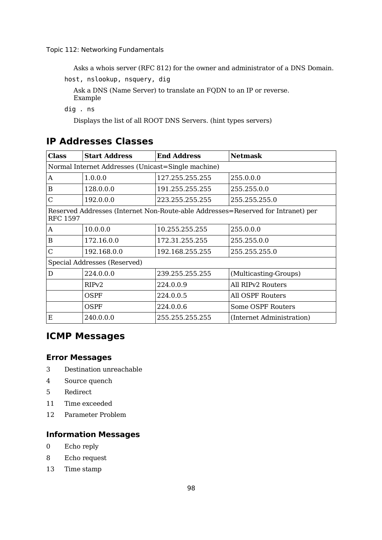Asks a whois server (RFC 812) for the owner and administrator of a DNS Domain.

host, nslookup, nsquery, dig

Ask a DNS (Name Server) to translate an FQDN to an IP or reverse. Example

dig . ns

Displays the list of all ROOT DNS Servers. (hint types servers)

## **IP Addresses Classes**

| <b>Class</b>    | <b>Start Address</b>                               | <b>End Address</b> | <b>Netmask</b>                                                                   |
|-----------------|----------------------------------------------------|--------------------|----------------------------------------------------------------------------------|
|                 | Normal Internet Addresses (Unicast=Single machine) |                    |                                                                                  |
| A               | 1.0.0.0                                            | 127.255.255.255    | 255.0.0.0                                                                        |
| B               | 128.0.0.0                                          | 191.255.255.255    | 255.255.0.0                                                                      |
| С               | 192.0.0.0                                          | 223.255.255.255    | 255.255.255.0                                                                    |
| <b>RFC 1597</b> |                                                    |                    | Reserved Addresses (Internet Non-Route-able Addresses=Reserved for Intranet) per |
| A               | 10.0.0.0                                           | 10.255.255.255     | 255.0.0.0                                                                        |
| B               | 172.16.0.0                                         | 172.31.255.255     | 255.255.0.0                                                                      |
| С               | 192.168.0.0                                        | 192.168.255.255    | 255.255.255.0                                                                    |
|                 | Special Addresses (Reserved)                       |                    |                                                                                  |
| D               | 224.0.0.0                                          | 239.255.255.255    | (Multicasting-Groups)                                                            |
|                 | RIP <sub>v2</sub>                                  | 224.0.0.9          | All RIP <sub>v2</sub> Routers                                                    |
|                 | OSPF                                               | 224.0.0.5          | All OSPF Routers                                                                 |
|                 | OSPF                                               | 224.0.0.6          | Some OSPF Routers                                                                |
| Ε               | 240.0.0.0                                          | 255.255.255.255    | (Internet Administration)                                                        |

## **ICMP Messages**

### **Error Messages**

- 3 Destination unreachable
- 4 Source quench
- 5 Redirect
- 11 Time exceeded
- 12 Parameter Problem

### **Information Messages**

- 0 Echo reply
- 8 Echo request
- 13 Time stamp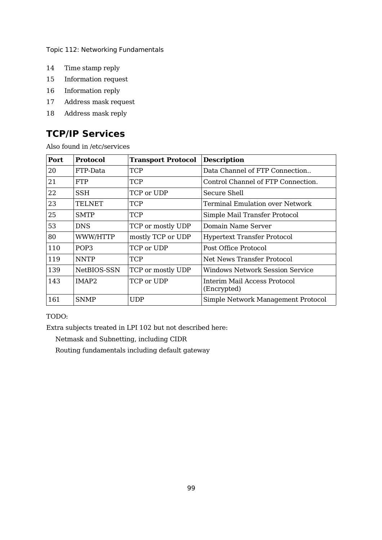- Time stamp reply
- Information request
- Information reply
- Address mask request
- Address mask reply

## **TCP/IP Services**

Also found in /etc/services

| Port | <b>Protocol</b> | <b>Transport Protocol</b> | <b>Description</b>                          |
|------|-----------------|---------------------------|---------------------------------------------|
| 20   | FTP-Data        | <b>TCP</b>                | Data Channel of FTP Connection              |
| 21   | <b>FTP</b>      | <b>TCP</b>                | Control Channel of FTP Connection.          |
| 22   | SSH             | TCP or UDP                | Secure Shell                                |
| 23   | <b>TELNET</b>   | <b>TCP</b>                | <b>Terminal Emulation over Network</b>      |
| 25   | <b>SMTP</b>     | <b>TCP</b>                | Simple Mail Transfer Protocol               |
| 53   | <b>DNS</b>      | TCP or mostly UDP         | Domain Name Server                          |
| 80   | WWW/HTTP        | mostly TCP or UDP         | <b>Hypertext Transfer Protocol</b>          |
| 110  | POP3            | TCP or UDP                | Post Office Protocol                        |
| 119  | <b>NNTP</b>     | <b>TCP</b>                | Net News Transfer Protocol                  |
| 139  | NetBIOS-SSN     | TCP or mostly UDP         | Windows Network Session Service             |
| 143  | IMAP2           | TCP or UDP                | Interim Mail Access Protocol<br>(Encrypted) |
| 161  | <b>SNMP</b>     | <b>UDP</b>                | Simple Network Management Protocol          |

### TODO:

Extra subjects treated in LPI 102 but not described here:

Netmask and Subnetting, including CIDR

Routing fundamentals including default gateway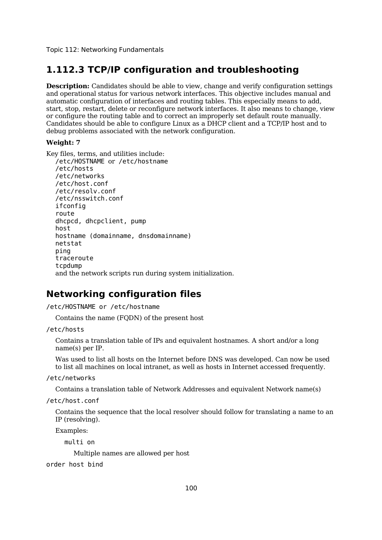## **1.112.3 TCP/IP configuration and troubleshooting**

**Description:** Candidates should be able to view, change and verify configuration settings and operational status for various network interfaces. This objective includes manual and automatic configuration of interfaces and routing tables. This especially means to add, start, stop, restart, delete or reconfigure network interfaces. It also means to change, view or configure the routing table and to correct an improperly set default route manually. Candidates should be able to configure Linux as a DHCP client and a TCP/IP host and to debug problems associated with the network configuration.

#### **Weight: 7**

Key files, terms, and utilities include:

```
/etc/HOSTNAME or /etc/hostname
/etc/hosts
/etc/networks
/etc/host.conf
/etc/resolv.conf
/etc/nsswitch.conf
ifconfig
route
dhcpcd, dhcpclient, pump
host
hostname (domainname, dnsdomainname)
netstat
ping
traceroute
tcpdump
and the network scripts run during system initialization.
```
## **Networking configuration files**

/etc/HOSTNAME or /etc/hostname

Contains the name (FQDN) of the present host

#### /etc/hosts

Contains a translation table of IPs and equivalent hostnames. A short and/or a long name(s) per IP.

Was used to list all hosts on the Internet before DNS was developed. Can now be used to list all machines on local intranet, as well as hosts in Internet accessed frequently.

/etc/networks

Contains a translation table of Network Addresses and equivalent Network name(s)

/etc/host.conf

Contains the sequence that the local resolver should follow for translating a name to an IP (resolving).

Examples:

multi on

Multiple names are allowed per host

order host bind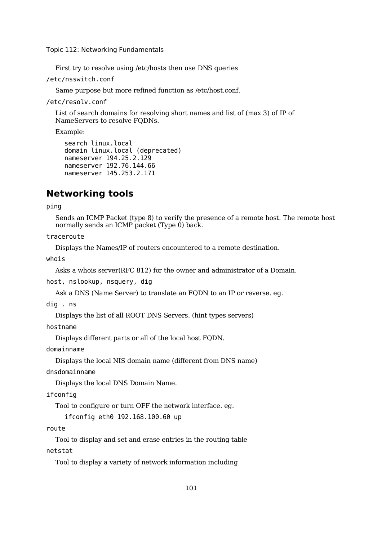First try to resolve using /etc/hosts then use DNS queries

/etc/nsswitch.conf

Same purpose but more refined function as /etc/host.conf.

/etc/resolv.conf

List of search domains for resolving short names and list of (max 3) of IP of NameServers to resolve FQDNs.

Example:

```
search linux.local
domain linux.local (deprecated)
nameserver 194.25.2.129
nameserver 192.76.144.66
nameserver 145.253.2.171
```
## **Networking tools**

ping

Sends an ICMP Packet (type 8) to verify the presence of a remote host. The remote host normally sends an ICMP packet (Type 0) back.

traceroute

Displays the Names/IP of routers encountered to a remote destination.

whois

Asks a whois server(RFC 812) for the owner and administrator of a Domain.

host, nslookup, nsquery, dig

Ask a DNS (Name Server) to translate an FQDN to an IP or reverse. eg.

dig . ns

Displays the list of all ROOT DNS Servers. (hint types servers)

hostname

Displays different parts or all of the local host FQDN.

domainname

Displays the local NIS domain name (different from DNS name)

dnsdomainname

Displays the local DNS Domain Name.

ifconfig

Tool to configure or turn OFF the network interface. eg.

ifconfig eth0 192.168.100.60 up

#### route

Tool to display and set and erase entries in the routing table netstat

Tool to display a variety of network information including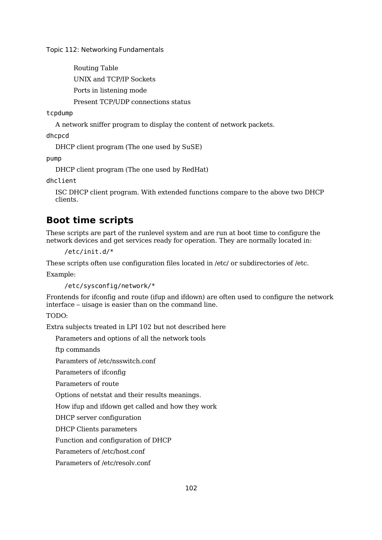Routing Table UNIX and TCP/IP Sockets Ports in listening mode Present TCP/UDP connections status

### tcpdump

A network sniffer program to display the content of network packets.

dhcpcd

DHCP client program (The one used by SuSE)

pump

DHCP client program (The one used by RedHat)

dhclient

ISC DHCP client program. With extended functions compare to the above two DHCP clients.

## **Boot time scripts**

These scripts are part of the runlevel system and are run at boot time to configure the network devices and get services ready for operation. They are normally located in:

/etc/init.d/\*

These scripts often use configuration files located in /etc/ or subdirectories of /etc.

Example:

/etc/sysconfig/network/\*

Frontends for ifconfig and route (ifup and ifdown) are often used to configure the network interface – uisage is easier than on the command line.

### TODO:

Extra subjects treated in LPI 102 but not described here

Parameters and options of all the network tools

ftp commands

Paramters of /etc/nsswitch.conf

Parameters of ifconfig

Parameters of route

Options of netstat and their results meanings.

How ifup and ifdown get called and how they work

DHCP server configuration

DHCP Clients parameters

Function and configuration of DHCP

Parameters of /etc/host.conf

Parameters of /etc/resolv.conf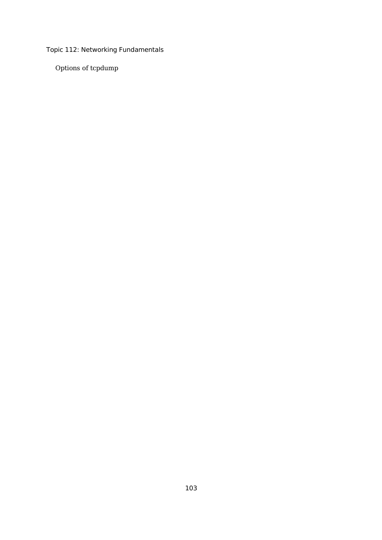Options of tcpdump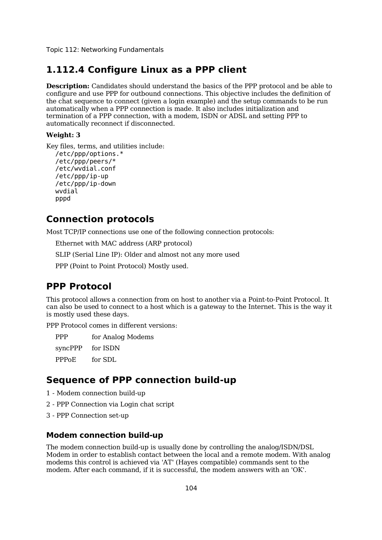### **1.112.4 Configure Linux as a PPP client**

**Description:** Candidates should understand the basics of the PPP protocol and be able to configure and use PPP for outbound connections. This objective includes the definition of the chat sequence to connect (given a login example) and the setup commands to be run automatically when a PPP connection is made. It also includes initialization and termination of a PPP connection, with a modem, ISDN or ADSL and setting PPP to automatically reconnect if disconnected.

#### **Weight: 3**

```
Key files, terms, and utilities include:
  /etc/ppp/options.*
  /etc/ppp/peers/*
  /etc/wvdial.conf
  /etc/ppp/ip-up
  /etc/ppp/ip-down
  wvdial
  pppd
```
## **Connection protocols**

Most TCP/IP connections use one of the following connection protocols:

Ethernet with MAC address (ARP protocol)

SLIP (Serial Line IP): Older and almost not any more used

PPP (Point to Point Protocol) Mostly used.

## **PPP Protocol**

This protocol allows a connection from on host to another via a Point-to-Point Protocol. It can also be used to connect to a host which is a gateway to the Internet. This is the way it is mostly used these days.

PPP Protocol comes in different versions:

PPP for Analog Modems

syncPPP for ISDN

PPPoE for SDL

### **Sequence of PPP connection build-up**

- 1 Modem connection build-up
- 2 PPP Connection via Login chat script
- 3 PPP Connection set-up

#### **Modem connection build-up**

The modem connection build-up is usually done by controlling the analog/ISDN/DSL Modem in order to establish contact between the local and a remote modem. With analog modems this control is achieved via 'AT' (Hayes compatible) commands sent to the modem. After each command, if it is successful, the modem answers with an 'OK'.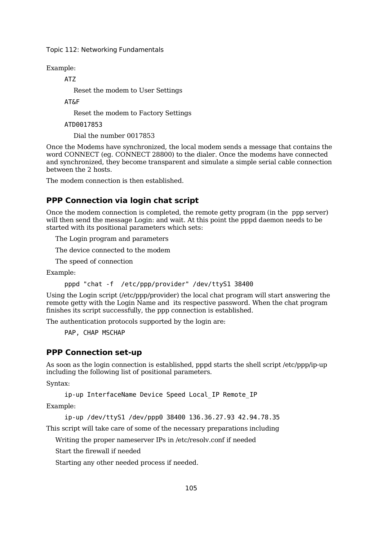Example:

ATZ

Reset the modem to User Settings

AT&F

Reset the modem to Factory Settings

ATD0017853

Dial the number 0017853

Once the Modems have synchronized, the local modem sends a message that contains the word CONNECT (eg. CONNECT 28800) to the dialer. Once the modems have connected and synchronized, they become transparent and simulate a simple serial cable connection between the 2 hosts.

The modem connection is then established.

## **PPP Connection via login chat script**

Once the modem connection is completed, the remote getty program (in the ppp server) will then send the message Login: and wait. At this point the pppd daemon needs to be started with its positional parameters which sets:

The Login program and parameters

The device connected to the modem

The speed of connection

Example:

pppd "chat -f /etc/ppp/provider" /dev/ttyS1 38400

Using the Login script (/etc/ppp/provider) the local chat program will start answering the remote getty with the Login Name and its respective password. When the chat program finishes its script successfully, the ppp connection is established.

The authentication protocols supported by the login are:

PAP, CHAP MSCHAP

### **PPP Connection set-up**

As soon as the login connection is established, pppd starts the shell script /etc/ppp/ip-up including the following list of positional parameters.

Syntax:

ip-up InterfaceName Device Speed Local\_IP Remote\_IP

Example:

ip-up /dev/ttyS1 /dev/ppp0 38400 136.36.27.93 42.94.78.35

This script will take care of some of the necessary preparations including

Writing the proper nameserver IPs in /etc/resolv.conf if needed

Start the firewall if needed

Starting any other needed process if needed.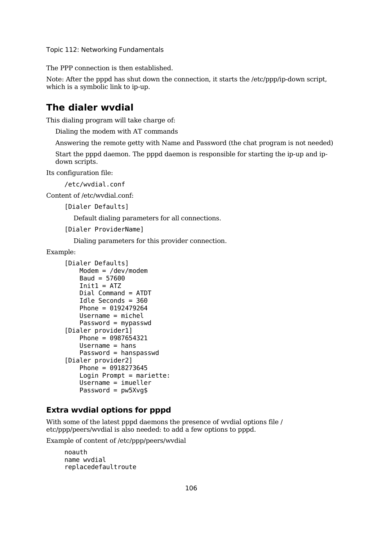The PPP connection is then established.

Note: After the pppd has shut down the connection, it starts the /etc/ppp/ip-down script, which is a symbolic link to ip-up.

## **The dialer wvdial**

This dialing program will take charge of:

Dialing the modem with AT commands

Answering the remote getty with Name and Password (the chat program is not needed)

Start the pppd daemon. The pppd daemon is responsible for starting the ip-up and ipdown scripts.

Its configuration file:

/etc/wvdial.conf

Content of /etc/wvdial.conf:

```
[Dialer Defaults]
```
Default dialing parameters for all connections.

```
[Dialer ProviderName]
```
Dialing parameters for this provider connection.

Example:

```
[Dialer Defaults]
   Modem = /dev/modem
   Baud = 57600Init1 = ATZDial Command = ATDT
   Idle Seconds = 360
   Phone = 0192479264
   Username = michel
   Password = mypasswd
[Dialer provider1]
   Phone = 0987654321
   Usename = hansPassword = hanspasswd
[Dialer provider2]
   Phone = 0918273645
   Login Prompt = mariette:
   Username = imueller
   Password = pw5Xvq$
```
### **Extra wvdial options for pppd**

With some of the latest pppd daemons the presence of wvdial options file / etc/ppp/peers/wvdial is also needed: to add a few options to pppd.

Example of content of /etc/ppp/peers/wvdial

```
noauth
name wvdial
replacedefaultroute
```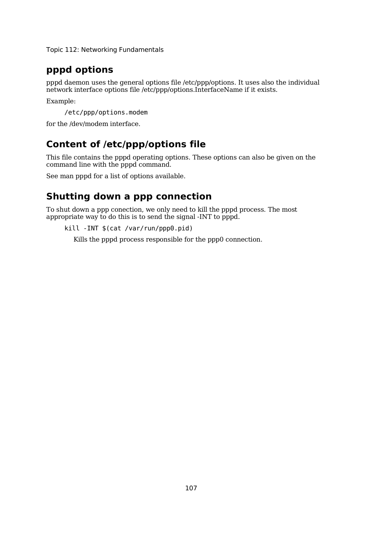## **pppd options**

pppd daemon uses the general options file /etc/ppp/options. It uses also the individual network interface options file /etc/ppp/options.InterfaceName if it exists.

Example:

/etc/ppp/options.modem

for the /dev/modem interface.

## **Content of /etc/ppp/options file**

This file contains the pppd operating options. These options can also be given on the command line with the pppd command.

See man pppd for a list of options available.

## **Shutting down a ppp connection**

To shut down a ppp conection, we only need to kill the pppd process. The most appropriate way to do this is to send the signal -INT to pppd.

```
kill -INT $(cat /var/run/ppp0.pid)
```
Kills the pppd process responsible for the ppp0 connection.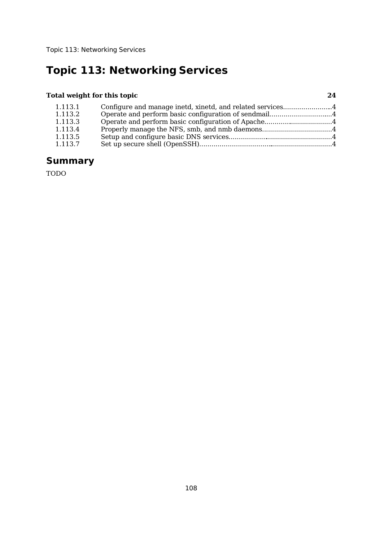## **Total weight for this topic 24**

| 1.113.1 | Configure and manage inetd, xinetd, and related services4 |  |
|---------|-----------------------------------------------------------|--|
| 1.113.2 | Operate and perform basic configuration of sendmail4      |  |
| 1.113.3 | Operate and perform basic configuration of Apache4        |  |
| 1.113.4 |                                                           |  |
| 1.113.5 |                                                           |  |
| 1.113.7 |                                                           |  |

## **Summary**

TODO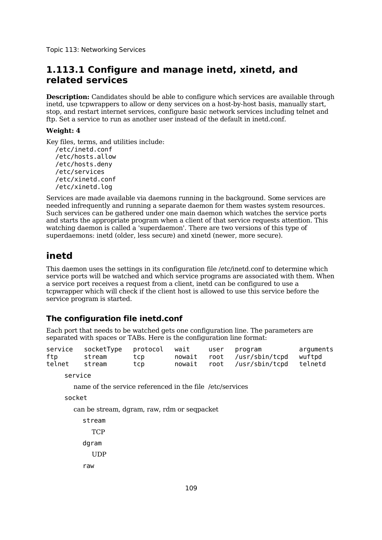## **1.113.1 Configure and manage inetd, xinetd, and related services**

**Description:** Candidates should be able to configure which services are available through inetd, use tcpwrappers to allow or deny services on a host-by-host basis, manually start, stop, and restart internet services, configure basic network services including telnet and ftp. Set a service to run as another user instead of the default in inetd.conf.

#### **Weight: 4**

Key files, terms, and utilities include:

/etc/inetd.conf /etc/hosts.allow /etc/hosts.deny /etc/services /etc/xinetd.conf /etc/xinetd.log

Services are made available via daemons running in the background. Some services are needed infrequently and running a separate daemon for them wastes system resources. Such services can be gathered under one main daemon which watches the service ports and starts the appropriate program when a client of that service requests attention. This watching daemon is called a 'superdaemon'. There are two versions of this type of superdaemons: inetd (older, less secure) and xinetd (newer, more secure).

## **inetd**

This daemon uses the settings in its configuration file /etc/inetd.conf to determine which service ports will be watched and which service programs are associated with them. When a service port receives a request from a client, inetd can be configured to use a tcpwrapper which will check if the client host is allowed to use this service before the service program is started.

### **The configuration file inetd.conf**

Each port that needs to be watched gets one configuration line. The parameters are separated with spaces or TABs. Here is the configuration line format:

|        | service socketType protocol wait user program |     |  |                                    | arquments |
|--------|-----------------------------------------------|-----|--|------------------------------------|-----------|
| ftp    | stream                                        | tcp |  | nowait root /usr/sbin/tcpd wuftpd  |           |
| telnet | stream                                        | tcp |  | nowait root /usr/sbin/tcpd telnetd |           |

service

name of the service referenced in the file /etc/services

socket

can be stream, dgram, raw, rdm or seqpacket

stream **TCP** dgram

**UDP** 

raw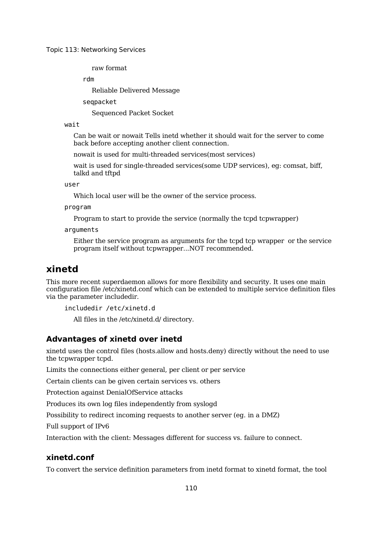raw format

rdm

Reliable Delivered Message

seqpacket

Sequenced Packet Socket

#### wait

Can be wait or nowait Tells inetd whether it should wait for the server to come back before accepting another client connection.

nowait is used for multi-threaded services(most services)

wait is used for single-threaded services(some UDP services), eg: comsat, biff, talkd and tftpd

user

Which local user will be the owner of the service process.

program

Program to start to provide the service (normally the tcpd tcpwrapper)

arguments

Either the service program as arguments for the tcpd tcp wrapper or the service program itself without tcpwrapper...NOT recommended.

### **xinetd**

This more recent superdaemon allows for more flexibility and security. It uses one main configuration file /etc/xinetd.conf which can be extended to multiple service definition files via the parameter includedir.

includedir /etc/xinetd.d

All files in the /etc/xinetd.d/ directory.

#### **Advantages of xinetd over inetd**

xinetd uses the control files (hosts.allow and hosts.deny) directly without the need to use the tcpwrapper tcpd.

Limits the connections either general, per client or per service

Certain clients can be given certain services vs. others

Protection against DenialOfService attacks

Produces its own log files independently from syslogd

Possibility to redirect incoming requests to another server (eg. in a DMZ)

Full support of IPv6

Interaction with the client: Messages different for success vs. failure to connect.

#### **xinetd.conf**

To convert the service definition parameters from inetd format to xinetd format, the tool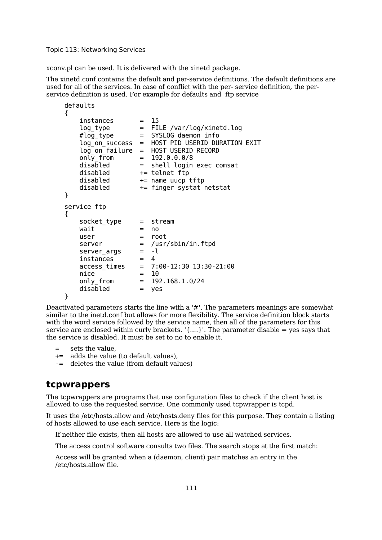xconv.pl can be used. It is delivered with the xinetd package.

The xinetd.conf contains the default and per-service definitions. The default definitions are used for all of the services. In case of conflict with the per- service definition, the perservice definition is used. For example for defaults and ftp service

```
defaults
{
     instances = 15log type = FILE /var/log/xinetd.log
    #log_type = SYSLOG daemon info
     log on success = HOST PID USERID DURATION EXIT
     log\_on\_failure = HOST USERID RECORD<br>only from = 192.0.0.0/8only_from<br>disabled
    disabled = shell login exec comsat<br>disabled += telnet ftp
    disabled - telnet ftp<br>disabled - tename uucp<br>disabled - finger sys
                      += name uucp tftp
                      += finger systat netstat
}
service ftp
{
     socket type = stream
    wait = no
    user = root<br>server = /usr
                        = /usr/sbin/in.ftpd
    server_{args} = -l<br>instances = 4
     instances
    \begin{array}{rcl} \texttt{access_times} & = & 7:00-12:30 \ 13:30-21:00 \\ \texttt{nice} & = & 10 \end{array}nice<br>only_from
                        = 192.168.1.0/24disabled = yes
}
```
Deactivated parameters starts the line with a '#'. The parameters meanings are somewhat similar to the inetd.conf but allows for more flexibility. The service definition block starts with the word service followed by the service name, then all of the parameters for this service are enclosed within curly brackets.  $\{...\}$ . The parameter disable = yes says that the service is disabled. It must be set to no to enable it.

- = sets the value,
- += adds the value (to default values),
- -= deletes the value (from default values)

### **tcpwrappers**

The tcpwrappers are programs that use configuration files to check if the client host is allowed to use the requested service. One commonly used tcpwrapper is tcpd.

It uses the /etc/hosts.allow and /etc/hosts.deny files for this purpose. They contain a listing of hosts allowed to use each service. Here is the logic:

If neither file exists, then all hosts are allowed to use all watched services.

The access control software consults two files. The search stops at the first match:

Access will be granted when a (daemon, client) pair matches an entry in the /etc/hosts.allow file.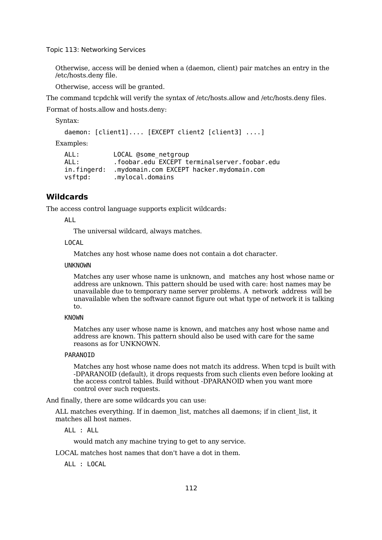Otherwise, access will be denied when a (daemon, client) pair matches an entry in the /etc/hosts.deny file.

Otherwise, access will be granted.

The command tcpdchk will verify the syntax of /etc/hosts.allow and /etc/hosts.deny files.

Format of hosts.allow and hosts.deny:

Syntax:

```
daemon: [client1].... [EXCEPT client2 [client3] ....]
```
Examples:

```
ALL: LOCAL @some_netgroup
ALL: .foobar.edu EXCEPT terminalserver.foobar.edu
in.fingerd: .mydomain.com EXCEPT hacker.mydomain.com
vsftpd: .mylocal.domains
```
### **Wildcards**

The access control language supports explicit wildcards:

ALL

The universal wildcard, always matches.

#### LOCAL

Matches any host whose name does not contain a dot character.

#### UNKNOWN

Matches any user whose name is unknown, and matches any host whose name or address are unknown. This pattern should be used with care: host names may be unavailable due to temporary name server problems. A network address will be unavailable when the software cannot figure out what type of network it is talking to.

#### KNOWN

Matches any user whose name is known, and matches any host whose name and address are known. This pattern should also be used with care for the same reasons as for UNKNOWN.

#### PARANOID

Matches any host whose name does not match its address. When tcpd is built with -DPARANOID (default), it drops requests from such clients even before looking at the access control tables. Build without -DPARANOID when you want more control over such requests.

And finally, there are some wildcards you can use:

ALL matches everything. If in daemon list, matches all daemons; if in client list, it matches all host names.

ALL : ALL

would match any machine trying to get to any service.

LOCAL matches host names that don't have a dot in them.

ALL : LOCAL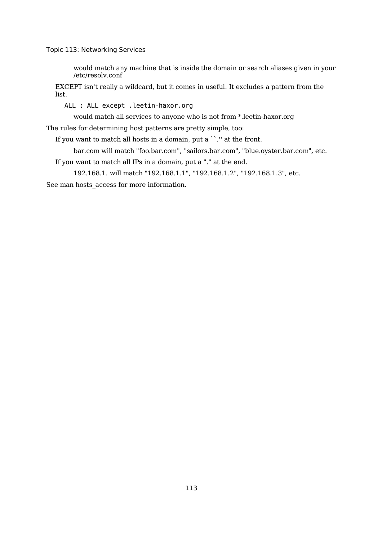would match any machine that is inside the domain or search aliases given in your /etc/resolv.conf

EXCEPT isn't really a wildcard, but it comes in useful. It excludes a pattern from the list.

ALL : ALL except .leetin-haxor.org

would match all services to anyone who is not from \*.leetin-haxor.org

The rules for determining host patterns are pretty simple, too:

If you want to match all hosts in a domain, put a ``." at the front.

bar.com will match "foo.bar.com", "sailors.bar.com", "blue.oyster.bar.com", etc.

If you want to match all IPs in a domain, put a "." at the end.

192.168.1. will match "192.168.1.1", "192.168.1.2", "192.168.1.3", etc.

See man hosts access for more information.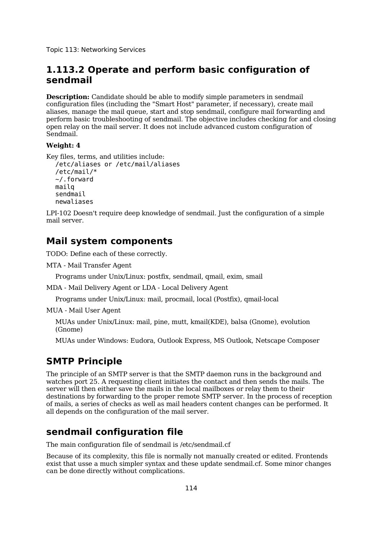## **1.113.2 Operate and perform basic configuration of sendmail**

**Description:** Candidate should be able to modify simple parameters in sendmail configuration files (including the "Smart Host" parameter, if necessary), create mail aliases, manage the mail queue, start and stop sendmail, configure mail forwarding and perform basic troubleshooting of sendmail. The objective includes checking for and closing open relay on the mail server. It does not include advanced custom configuration of Sendmail.

### **Weight: 4**

```
Key files, terms, and utilities include:
  /etc/aliases or /etc/mail/aliases
  /etc/mail/*
  ~/.forward
  mailq
  sendmail
  newaliases
```
LPI-102 Doesn't require deep knowledge of sendmail. Just the configuration of a simple mail server.

## **Mail system components**

TODO: Define each of these correctly.

```
MTA - Mail Transfer Agent
```
Programs under Unix/Linux: postfix, sendmail, qmail, exim, smail

MDA - Mail Delivery Agent or LDA - Local Delivery Agent

Programs under Unix/Linux: mail, procmail, local (Postfix), qmail-local

MUA - Mail User Agent

MUAs under Unix/Linux: mail, pine, mutt, kmail(KDE), balsa (Gnome), evolution (Gnome)

MUAs under Windows: Eudora, Outlook Express, MS Outlook, Netscape Composer

## **SMTP Principle**

The principle of an SMTP server is that the SMTP daemon runs in the background and watches port 25. A requesting client initiates the contact and then sends the mails. The server will then either save the mails in the local mailboxes or relay them to their destinations by forwarding to the proper remote SMTP server. In the process of reception of mails, a series of checks as well as mail headers content changes can be performed. It all depends on the configuration of the mail server.

## **sendmail configuration file**

The main configuration file of sendmail is /etc/sendmail.cf

Because of its complexity, this file is normally not manually created or edited. Frontends exist that usse a much simpler syntax and these update sendmail.cf. Some minor changes can be done directly without complications.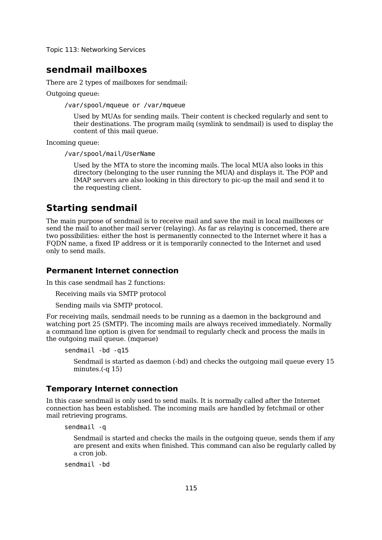### **sendmail mailboxes**

There are 2 types of mailboxes for sendmail:

Outgoing queue:

/var/spool/mqueue or /var/mqueue

Used by MUAs for sending mails. Their content is checked regularly and sent to their destinations. The program mailq (symlink to sendmail) is used to display the content of this mail queue.

Incoming queue:

/var/spool/mail/UserName

Used by the MTA to store the incoming mails. The local MUA also looks in this directory (belonging to the user running the MUA) and displays it. The POP and IMAP servers are also looking in this directory to pic-up the mail and send it to the requesting client.

## **Starting sendmail**

The main purpose of sendmail is to receive mail and save the mail in local mailboxes or send the mail to another mail server (relaying). As far as relaying is concerned, there are two possibilities: either the host is permanently connected to the Internet where it has a FQDN name, a fixed IP address or it is temporarily connected to the Internet and used only to send mails.

### **Permanent Internet connection**

In this case sendmail has 2 functions:

Receiving mails via SMTP protocol

Sending mails via SMTP protocol.

For receiving mails, sendmail needs to be running as a daemon in the background and watching port 25 (SMTP). The incoming mails are always received immediately. Normally a command line option is given for sendmail to regularly check and process the mails in the outgoing mail queue. (mqueue)

sendmail -bd -q15

Sendmail is started as daemon (-bd) and checks the outgoing mail queue every 15 minutes.(-q 15)

#### **Temporary Internet connection**

In this case sendmail is only used to send mails. It is normally called after the Internet connection has been established. The incoming mails are handled by fetchmail or other mail retrieving programs.

sendmail -q

Sendmail is started and checks the mails in the outgoing queue, sends them if any are present and exits when finished. This command can also be regularly called by a cron job.

sendmail -bd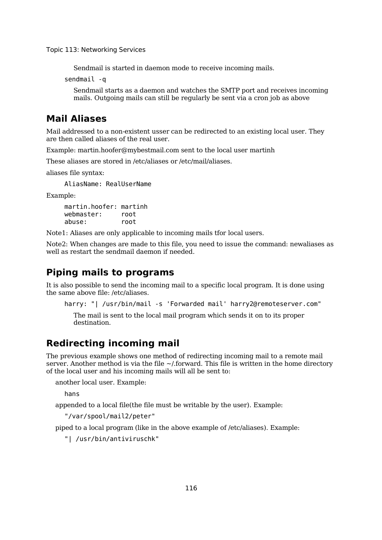Sendmail is started in daemon mode to receive incoming mails.

sendmail -q

Sendmail starts as a daemon and watches the SMTP port and receives incoming mails. Outgoing mails can still be regularly be sent via a cron job as above

## **Mail Aliases**

Mail addressed to a non-existent usser can be redirected to an existing local user. They are then called aliases of the real user.

Example: martin.hoofer@mybestmail.com sent to the local user martinh

These aliases are stored in /etc/aliases or /etc/mail/aliases.

aliases file syntax:

AliasName: RealUserName

Example:

martin.hoofer: martinh webmaster: root abuse: root

Note1: Aliases are only applicable to incoming mails tfor local users.

Note2: When changes are made to this file, you need to issue the command: newaliases as well as restart the sendmail daemon if needed.

## **Piping mails to programs**

It is also possible to send the incoming mail to a specific local program. It is done using the same above file: /etc/aliases.

harry: "| /usr/bin/mail -s 'Forwarded mail' harry2@remoteserver.com"

The mail is sent to the local mail program which sends it on to its proper destination.

## **Redirecting incoming mail**

The previous example shows one method of redirecting incoming mail to a remote mail server. Another method is via the file  $\sim$ /.forward. This file is written in the home directory of the local user and his incoming mails will all be sent to:

another local user. Example:

hans

appended to a local file(the file must be writable by the user). Example:

"/var/spool/mail2/peter"

piped to a local program (like in the above example of /etc/aliases). Example:

"| /usr/bin/antiviruschk"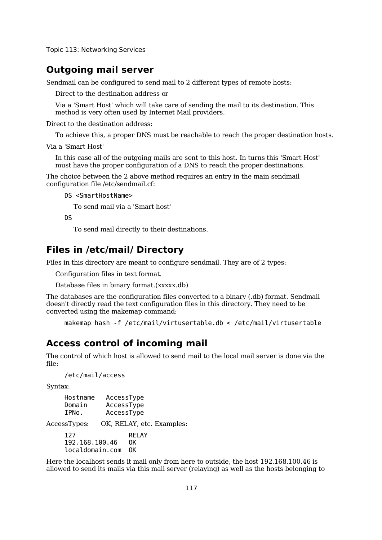## **Outgoing mail server**

Sendmail can be configured to send mail to 2 different types of remote hosts:

Direct to the destination address or

Via a 'Smart Host' which will take care of sending the mail to its destination. This method is very often used by Internet Mail providers.

Direct to the destination address:

To achieve this, a proper DNS must be reachable to reach the proper destination hosts.

Via a 'Smart Host'

In this case all of the outgoing mails are sent to this host. In turns this 'Smart Host' must have the proper configuration of a DNS to reach the proper destinations.

The choice between the 2 above method requires an entry in the main sendmail configuration file /etc/sendmail.cf:

DS <SmartHostName>

To send mail via a 'Smart host'

DS

To send mail directly to their destinations.

## **Files in /etc/mail/ Directory**

Files in this directory are meant to configure sendmail. They are of 2 types:

Configuration files in text format.

Database files in binary format.(xxxxx.db)

The databases are the configuration files converted to a binary (.db) format. Sendmail doesn't directly read the text configuration files in this directory. They need to be converted using the makemap command:

```
makemap hash -f /etc/mail/virtusertable.db < /etc/mail/virtusertable
```
### **Access control of incoming mail**

The control of which host is allowed to send mail to the local mail server is done via the file:

/etc/mail/access

Syntax:

| Hostname<br>Domain<br>IPNo. | AccessType<br>AccessType<br>AccessType |  |
|-----------------------------|----------------------------------------|--|
| AccessTypes:                | OK, RELAY, etc. Examples:              |  |
| 127                         | <b>RELAY</b>                           |  |
| 192.168.100.46              | 0K                                     |  |
| localdomain.com             | ΩK                                     |  |

Here the localhost sends it mail only from here to outside, the host 192.168.100.46 is allowed to send its mails via this mail server (relaying) as well as the hosts belonging to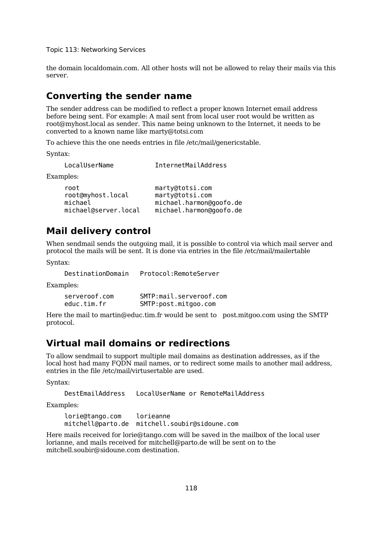the domain localdomain.com. All other hosts will not be allowed to relay their mails via this server.

## **Converting the sender name**

The sender address can be modified to reflect a proper known Internet email address before being sent. For example: A mail sent from local user root would be written as root@myhost.local as sender. This name being unknown to the Internet, it needs to be converted to a known name like marty@totsi.com

To achieve this the one needs entries in file /etc/mail/genericstable.

Syntax:

| LocalUserName                                                | InternetMailAddress                                                                      |
|--------------------------------------------------------------|------------------------------------------------------------------------------------------|
| Examples:                                                    |                                                                                          |
| root<br>root@myhost.local<br>michael<br>michael@server.local | marty@totsi.com<br>marty@totsi.com<br>michael.harmon@goofo.de<br>michael.harmon@goofo.de |

### **Mail delivery control**

When sendmail sends the outgoing mail, it is possible to control via which mail server and protocol the mails will be sent. It is done via entries in the file /etc/mail/mailertable

Syntax:

DestinationDomain Protocol:RemoteServer

Examples:

| serveroof.com | SMTP:mail.serveroof.com |
|---------------|-------------------------|
| educ.tim.fr   | SMTP:post.mitgoo.com    |

Here the mail to martin@educ.tim.fr would be sent to post.mitgoo.com using the SMTP protocol.

## **Virtual mail domains or redirections**

To allow sendmail to support multiple mail domains as destination addresses, as if the local host had many FQDN mail names, or to redirect some mails to another mail address, entries in the file /etc/mail/virtusertable are used.

Syntax:

```
DestEmailAddress LocalUserName or RemoteMailAddress
```
Examples:

lorie@tango.com lorieanne mitchell@parto.de mitchell.soubir@sidoune.com

Here mails received for lorie@tango.com will be saved in the mailbox of the local user lorianne, and mails received for mitchell@parto.de will be sent on to the mitchell.soubir@sidoune.com destination.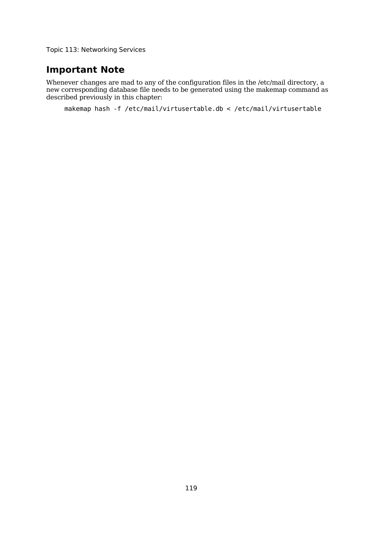## **Important Note**

Whenever changes are mad to any of the configuration files in the /etc/mail directory, a new corresponding database file needs to be generated using the makemap command as described previously in this chapter:

makemap hash -f /etc/mail/virtusertable.db < /etc/mail/virtusertable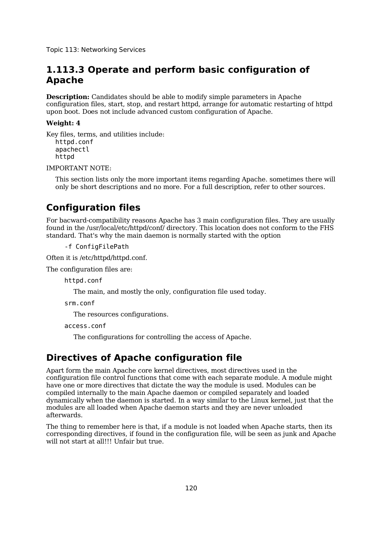## **1.113.3 Operate and perform basic configuration of Apache**

**Description:** Candidates should be able to modify simple parameters in Apache configuration files, start, stop, and restart httpd, arrange for automatic restarting of httpd upon boot. Does not include advanced custom configuration of Apache.

### **Weight: 4**

Key files, terms, and utilities include: httpd.conf apachectl httpd

IMPORTANT NOTE:

This section lists only the more important items regarding Apache. sometimes there will only be short descriptions and no more. For a full description, refer to other sources.

## **Configuration files**

For bacward-compatibility reasons Apache has 3 main configuration files. They are usually found in the /usr/local/etc/httpd/conf/ directory. This location does not conform to the FHS standard. That's why the main daemon is normally started with the option

-f ConfigFilePath

Often it is /etc/httpd/httpd.conf.

The configuration files are:

httpd.conf

The main, and mostly the only, configuration file used today.

srm.conf

The resources configurations.

access.conf

The configurations for controlling the access of Apache.

## **Directives of Apache configuration file**

Apart form the main Apache core kernel directives, most directives used in the configuration file control functions that come with each separate module. A module might have one or more directives that dictate the way the module is used. Modules can be compiled internally to the main Apache daemon or compiled separately and loaded dynamically when the daemon is started. In a way similar to the Linux kernel, just that the modules are all loaded when Apache daemon starts and they are never unloaded afterwards.

The thing to remember here is that, if a module is not loaded when Apache starts, then its corresponding directives, if found in the configuration file, will be seen as junk and Apache will not start at all!!! Unfair but true.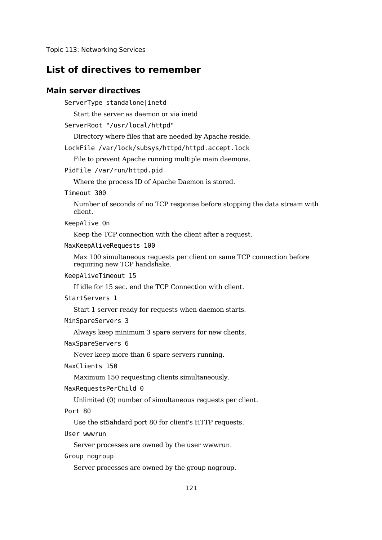## **List of directives to remember**

### **Main server directives**

ServerType standalone|inetd

Start the server as daemon or via inetd

ServerRoot "/usr/local/httpd"

Directory where files that are needed by Apache reside.

LockFile /var/lock/subsys/httpd/httpd.accept.lock

File to prevent Apache running multiple main daemons.

PidFile /var/run/httpd.pid

Where the process ID of Apache Daemon is stored.

Timeout 300

Number of seconds of no TCP response before stopping the data stream with client.

KeepAlive On

Keep the TCP connection with the client after a request.

MaxKeepAliveRequests 100

Max 100 simultaneous requests per client on same TCP connection before requiring new TCP handshake.

KeepAliveTimeout 15

If idle for 15 sec. end the TCP Connection with client.

StartServers 1

Start 1 server ready for requests when daemon starts.

MinSpareServers 3

Always keep minimum 3 spare servers for new clients.

MaxSpareServers 6

Never keep more than 6 spare servers running.

MaxClients 150

Maximum 150 requesting clients simultaneously.

MaxRequestsPerChild 0

Unlimited (0) number of simultaneous requests per client.

Port 80

Use the st5ahdard port 80 for client's HTTP requests.

User wwwrun

Server processes are owned by the user wwwrun.

Group nogroup

Server processes are owned by the group nogroup.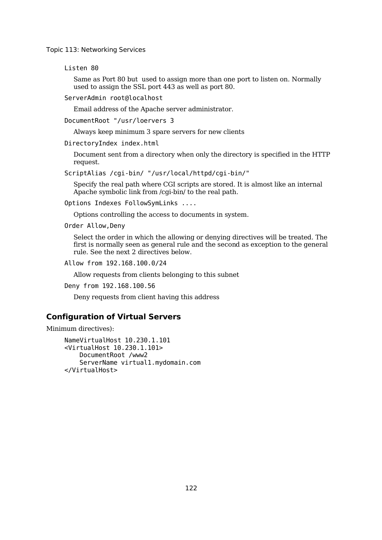Listen 80

Same as Port 80 but used to assign more than one port to listen on. Normally used to assign the SSL port 443 as well as port 80.

ServerAdmin root@localhost

Email address of the Apache server administrator.

DocumentRoot "/usr/loervers 3

Always keep minimum 3 spare servers for new clients

DirectoryIndex index.html

Document sent from a directory when only the directory is specified in the HTTP request.

ScriptAlias /cgi-bin/ "/usr/local/httpd/cgi-bin/"

Specify the real path where CGI scripts are stored. It is almost like an internal Apache symbolic link from /cgi-bin/ to the real path.

Options Indexes FollowSymLinks ....

Options controlling the access to documents in system.

Order Allow,Deny

Select the order in which the allowing or denying directives will be treated. The first is normally seen as general rule and the second as exception to the general rule. See the next 2 directives below.

Allow from 192.168.100.0/24

Allow requests from clients belonging to this subnet

Deny from 192.168.100.56

Deny requests from client having this address

#### **Configuration of Virtual Servers**

Minimum directives):

NameVirtualHost 10.230.1.101 <VirtualHost 10.230.1.101> DocumentRoot /www2 ServerName virtual1.mydomain.com </VirtualHost>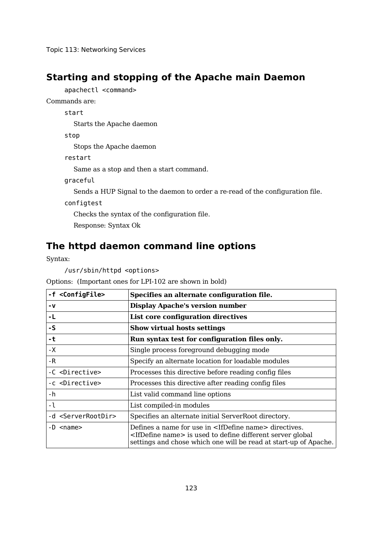## **Starting and stopping of the Apache main Daemon**

apachectl <command>

Commands are:

start

Starts the Apache daemon

stop

Stops the Apache daemon

restart

Same as a stop and then a start command.

graceful

Sends a HUP Signal to the daemon to order a re-read of the configuration file.

configtest

Checks the syntax of the configuration file.

Response: Syntax Ok

## **The httpd daemon command line options**

Syntax:

/usr/sbin/httpd <options>

Options: (Important ones for LPI-102 are shown in bold)

| -f <configfile></configfile>       | Specifies an alternate configuration file.                                                                                                                                                                           |  |  |
|------------------------------------|----------------------------------------------------------------------------------------------------------------------------------------------------------------------------------------------------------------------|--|--|
| - V                                | <b>Display Apache's version number</b>                                                                                                                                                                               |  |  |
| -L                                 | List core configuration directives                                                                                                                                                                                   |  |  |
| $-S$                               | <b>Show virtual hosts settings</b>                                                                                                                                                                                   |  |  |
| -t                                 | Run syntax test for configuration files only.                                                                                                                                                                        |  |  |
| $-X$                               | Single process foreground debugging mode                                                                                                                                                                             |  |  |
| -R                                 | Specify an alternate location for loadable modules                                                                                                                                                                   |  |  |
| -C <directive></directive>         | Processes this directive before reading config files                                                                                                                                                                 |  |  |
| -c <directive></directive>         | Processes this directive after reading config files                                                                                                                                                                  |  |  |
| - h                                | List valid command line options                                                                                                                                                                                      |  |  |
| -1                                 | List compiled-in modules                                                                                                                                                                                             |  |  |
| -d <serverrootdir></serverrootdir> | Specifies an alternate initial ServerRoot directory.                                                                                                                                                                 |  |  |
| -D <name></name>                   | Defines a name for use in <ifdefine name=""> directives.<br/><ifdefine name=""> is used to define different server global<br/>settings and chose which one will be read at start-up of Apache.</ifdefine></ifdefine> |  |  |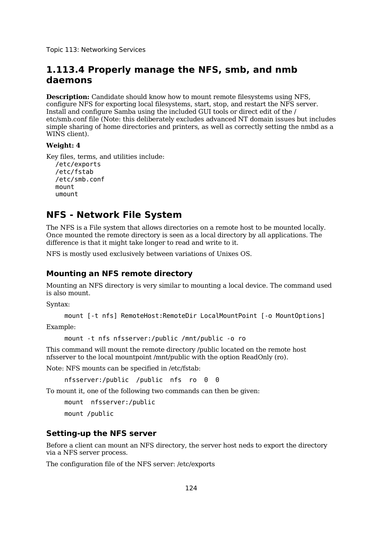## **1.113.4 Properly manage the NFS, smb, and nmb daemons**

**Description:** Candidate should know how to mount remote filesystems using NFS, configure NFS for exporting local filesystems, start, stop, and restart the NFS server. Install and configure Samba using the included GUI tools or direct edit of the / etc/smb.conf file (Note: this deliberately excludes advanced NT domain issues but includes simple sharing of home directories and printers, as well as correctly setting the nmbd as a WINS client).

### **Weight: 4**

Key files, terms, and utilities include: /etc/exports /etc/fstab /etc/smb.conf mount umount

## **NFS - Network File System**

The NFS is a File system that allows directories on a remote host to be mounted locally. Once mounted the remote directory is seen as a local directory by all applications. The difference is that it might take longer to read and write to it.

NFS is mostly used exclusively between variations of Unixes OS.

### **Mounting an NFS remote directory**

Mounting an NFS directory is very similar to mounting a local device. The command used is also mount.

Syntax:

mount [-t nfs] RemoteHost:RemoteDir LocalMountPoint [-o MountOptions]

Example:

mount -t nfs nfsserver:/public /mnt/public -o ro

This command will mount the remote directory /public located on the remote host nfsserver to the local mountpoint /mnt/public with the option ReadOnly (ro).

Note: NFS mounts can be specified in /etc/fstab:

nfsserver:/public /public nfs ro 0 0

To mount it, one of the following two commands can then be given:

mount nfsserver:/public mount /public

### **Setting-up the NFS server**

Before a client can mount an NFS directory, the server host neds to export the directory via a NFS server process.

The configuration file of the NFS server: /etc/exports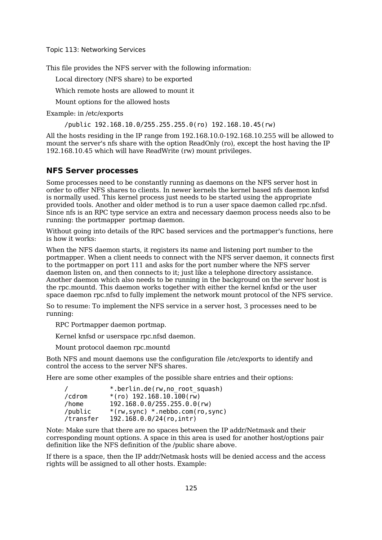This file provides the NFS server with the following information:

Local directory (NFS share) to be exported

Which remote hosts are allowed to mount it

Mount options for the allowed hosts

Example: in /etc/exports

/public 192.168.10.0/255.255.255.0(ro) 192.168.10.45(rw)

All the hosts residing in the IP range from 192.168.10.0-192.168.10.255 will be allowed to mount the server's nfs share with the option ReadOnly (ro), except the host having the IP 192.168.10.45 which will have ReadWrite (rw) mount privileges.

### **NFS Server processes**

Some processes need to be constantly running as daemons on the NFS server host in order to offer NFS shares to clients. In newer kernels the kernel based nfs daemon knfsd is normally used. This kernel process just needs to be started using the appropriate provided tools. Another and older method is to run a user space daemon called rpc.nfsd. Since nfs is an RPC type service an extra and necessary daemon process needs also to be running: the portmapper portmap daemon.

Without going into details of the RPC based services and the portmapper's functions, here is how it works:

When the NFS daemon starts, it registers its name and listening port number to the portmapper. When a client needs to connect with the NFS server daemon, it connects first to the portmapper on port 111 and asks for the port number where the NFS server daemon listen on, and then connects to it; just like a telephone directory assistance. Another daemon which also needs to be running in the background on the server host is the rpc.mountd. This daemon works together with either the kernel knfsd or the user space daemon rpc.nfsd to fully implement the network mount protocol of the NFS service.

So to resume: To implement the NFS service in a server host, 3 processes need to be running:

RPC Portmapper daemon portmap.

Kernel knfsd or userspace rpc.nfsd daemon.

Mount protocol daemon rpc.mountd

Both NFS and mount daemons use the configuration file /etc/exports to identify and control the access to the server NFS shares.

Here are some other examples of the possible share entries and their options:

|           | *.berlin.de(rw,no root squash)     |
|-----------|------------------------------------|
| /cdrom    | $*(r_0)$ 192.168.10.100(rw)        |
| /home     | 192.168.0.0/255.255.0.0(rw)        |
| /public   | $*(rw, sync) *nebbo.com(ro, sync)$ |
| /transfer | 192.168.0.0/24(ro, intr)           |

Note: Make sure that there are no spaces between the IP addr/Netmask and their corresponding mount options. A space in this area is used for another host/options pair definition like the NFS definition of the /public share above.

If there is a space, then the IP addr/Netmask hosts will be denied access and the access rights will be assigned to all other hosts. Example: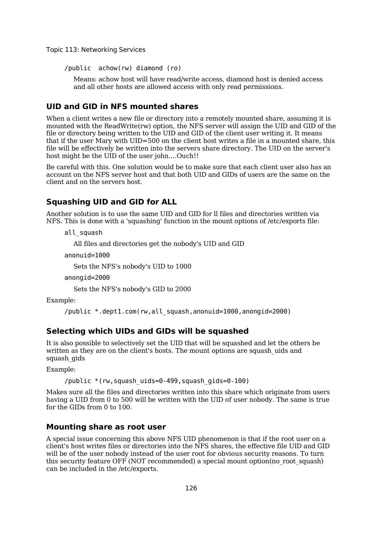/public achow(rw) diamond (ro)

Means: achow host will have read/write access, diamond host is denied access and all other hosts are allowed access with only read permissions.

### **UID and GID in NFS mounted shares**

When a client writes a new file or directory into a remotely mounted share, assuming it is mounted with the ReadWrite(rw) option, the NFS server will assign the UID and GID of the file or directory being written to the UID and GID of the client user writing it. It means that if the user Mary with UID=500 on the client host writes a file in a mounted share, this file will be effectively be written into the servers share directory. The UID on the server's host might be the UID of the user john....Ouch!!

Be careful with this. One solution would be to make sure that each client user also has an account on the NFS server host and that both UID and GIDs of users are the same on the client and on the servers host.

### **Squashing UID and GID for ALL**

Another solution is to use the same UID and GID for ll files and directories written via NFS. This is done with a 'squashing' function in the mount options of /etc/exports file:

```
all_squash
```
All files and directories get the nobody's UID and GID

```
anonuid=1000
```
Sets the NFS's nobody's UID to 1000

```
anongid=2000
```
Sets the NFS's nobody's GID to 2000

Example:

```
/public *.dept1.com(rw,all_squash,anonuid=1000,anongid=2000)
```
#### **Selecting which UIDs and GIDs will be squashed**

It is also possible to selectively set the UID that will be squashed and let the others be written as they are on the client's hosts. The mount options are squash uids and squash\_gids

Example:

```
/public *(rw,squash_uids=0-499,squash_gids=0-100)
```
Makes sure all the files and directories written into this share which originate from users having a UID from 0 to 500 will be written with the UID of user nobody. The same is true for the GIDs from 0 to 100.

### **Mounting share as root user**

A special issue concerning this above NFS UID phenomenon is that if the root user on a client's host writes files or directories into the NFS shares, the effective file UID and GID will be of the user nobody instead of the user root for obvious security reasons. To turn this security feature OFF (NOT recommended) a special mount option(no\_root\_squash) can be included in the /etc/exports.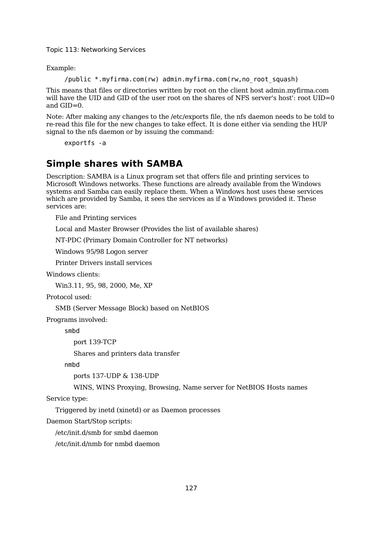Example:

```
/public *.myfirma.com(rw) admin.myfirma.com(rw,no_root_squash)
```
This means that files or directories written by root on the client host admin.myfirma.com will have the UID and GID of the user root on the shares of NFS server's host': root UID=0 and GID=0.

Note: After making any changes to the /etc/exports file, the nfs daemon needs to be told to re-read this file for the new changes to take effect. It is done either via sending the HUP signal to the nfs daemon or by issuing the command:

exportfs -a

## **Simple shares with SAMBA**

Description: SAMBA is a Linux program set that offers file and printing services to Microsoft Windows networks. These functions are already available from the Windows systems and Samba can easily replace them. When a Windows host uses these services which are provided by Samba, it sees the services as if a Windows provided it. These services are:

File and Printing services

Local and Master Browser (Provides the list of available shares)

NT-PDC (Primary Domain Controller for NT networks)

Windows 95/98 Logon server

Printer Drivers install services

Windows clients:

Win3.11, 95, 98, 2000, Me, XP

Protocol used:

SMB (Server Message Block) based on NetBIOS

Programs involved:

smbd

port 139-TCP

Shares and printers data transfer

nmbd

ports 137-UDP & 138-UDP

WINS, WINS Proxying, Browsing, Name server for NetBIOS Hosts names

Service type:

Triggered by inetd (xinetd) or as Daemon processes

Daemon Start/Stop scripts:

/etc/init.d/smb for smbd daemon

/etc/init.d/nmb for nmbd daemon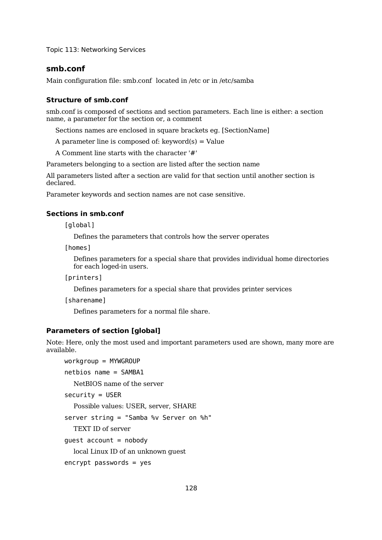### **smb.conf**

Main configuration file: smb.conf located in /etc or in /etc/samba

#### **Structure of smb.conf**

smb.conf is composed of sections and section parameters. Each line is either: a section name, a parameter for the section or, a comment

Sections names are enclosed in square brackets eg. [SectionName]

A parameter line is composed of:  $keyword(s) = Value$ 

A Comment line starts with the character '#'

Parameters belonging to a section are listed after the section name

All parameters listed after a section are valid for that section until another section is declared.

Parameter keywords and section names are not case sensitive.

### **Sections in smb.conf**

[global]

Defines the parameters that controls how the server operates

[homes]

Defines parameters for a special share that provides individual home directories for each loged-in users.

[printers]

Defines parameters for a special share that provides printer services

[sharename]

Defines parameters for a normal file share.

#### **Parameters of section [global]**

Note: Here, only the most used and important parameters used are shown, many more are available.

workgroup = MYWGROUP  $netbias name = SAMBA1$ NetBIOS name of the server security = USER Possible values: USER, server, SHARE server string = "Samba %v Server on %h" TEXT ID of server quest  $account = nobody$ local Linux ID of an unknown guest encrypt passwords = yes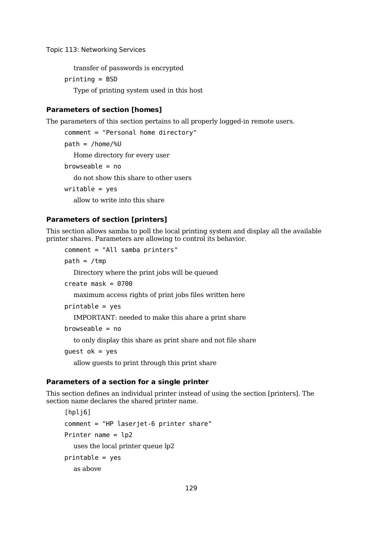transfer of passwords is encrypted

printing = BSD

Type of printing system used in this host

### **Parameters of section [homes]**

The parameters of this section pertains to all properly logged-in remote users.

```
comment = "Personal home directory"
path = /home/%U
  Home directory for every user
browseable = nodo not show this share to other users
write = yesallow to write into this share
```
#### **Parameters of section [printers]**

This section allows samba to poll the local printing system and display all the available printer shares. Parameters are allowing to control its behavior.

comment = "All samba printers"

 $path = /tmp$ 

Directory where the print jobs will be queued

```
create mask = 0700
```
maximum access rights of print jobs files written here

```
printable = yes
```
IMPORTANT: needed to make this ahare a print share

```
browseable = no
```
to only display this share as print share and not file share

quest  $ok = yes$ 

allow guests to print through this print share

#### **Parameters of a section for a single printer**

This section defines an individual printer instead of using the section [printers]. The section name declares the shared printer name.

```
[hpli6]
comment = "HP laserjet-6 printer share"
Printer name = lp2
  uses the local printer queue lp2
printable = yesas above
```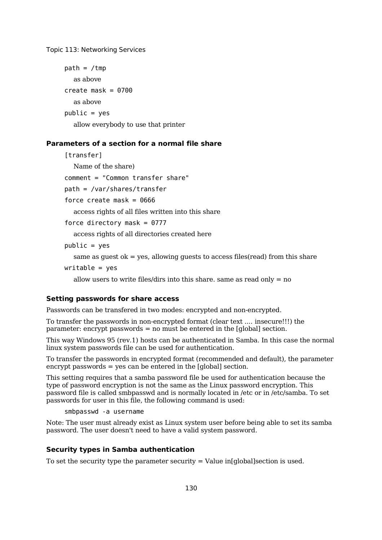```
path = /tmpas above
create mask = 0700as above
public = yes
```
allow everybody to use that printer

### **Parameters of a section for a normal file share**

[transfer]

Name of the share)

comment = "Common transfer share"

path = /var/shares/transfer

force create mask =  $0666$ 

access rights of all files written into this share

force directory mask =  $0777$ 

access rights of all directories created here

 $public = yes$ 

same as quest ok  $=$  yes, allowing quests to access files(read) from this share

 $write = yes$ 

allow users to write files/dirs into this share. same as read only  $=$  no

#### **Setting passwords for share access**

Passwords can be transfered in two modes: encrypted and non-encrypted.

To transfer the passwords in non-encrypted format (clear text .... insecure!!!) the parameter: encrypt passwords = no must be entered in the [global] section.

This way Windows 95 (rev.1) hosts can be authenticated in Samba. In this case the normal linux system passwords file can be used for authentication.

To transfer the passwords in encrypted format (recommended and default), the parameter encrypt passwords  $=$  yes can be entered in the [global] section.

This setting requires that a samba password file be used for authentication because the type of password encryption is not the same as the Linux password encryption. This password file is called smbpasswd and is normally located in /etc or in /etc/samba. To set passwords for user in this file, the following command is used:

smbpasswd -a username

Note: The user must already exist as Linux system user before being able to set its samba password. The user doesn't need to have a valid system password.

#### **Security types in Samba authentication**

To set the security type the parameter security  $=$  Value in[global]section is used.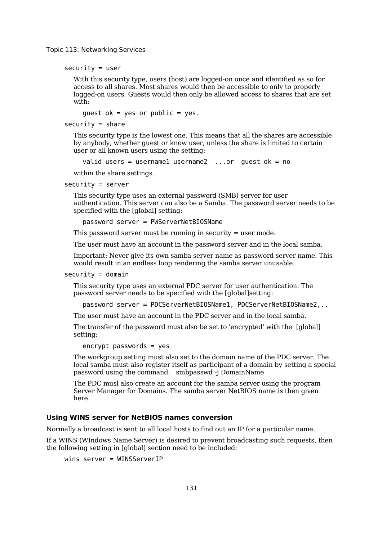security = user

With this security type, users (host) are logged-on once and identified as so for access to all shares. Most shares would then be accessible to only to properly logged-on users. Guests would then only be allowed access to shares that are set with:

guest  $ok = yes$  or public = yes.

 $security = share$ 

This security type is the lowest one. This means that all the shares are accessible by anybody, whether guest or know user, unless the share is limited to certain user or all known users using the setting:

valid users = usernamel username2 ...or guest  $ok = no$ 

within the share settings.

security = server

This security type uses an external password (SMB) server for user authentication. This server can also be a Samba. The password server needs to be specified with the [global] setting:

password server = PWServerNetBIOSName

This password server must be running in security = user mode.

The user must have an account in the password server and in the local samba.

Important: Never give its own samba server name as password server name. This would result in an endless loop rendering the samba server unusable.

#### $security = domain$

This security type uses an external PDC server for user authentication. The password server needs to be specified with the [global]setting:

password server = PDCServerNetBIOSName1, PDCServerNetBIOSName2,..

The user must have an account in the PDC server and in the local samba.

The transfer of the password must also be set to 'encrypted' with the [global] setting:

encrypt passwords = yes

The workgroup setting must also set to the domain name of the PDC server. The local samba must also register itself as participant of a domain by setting a special password using the command: smbpasswd -j DomainName

The PDC musl also create an account for the samba server using the program Server Manager for Domains. The samba server NetBIOS name is then given here.

#### **Using WINS server for NetBIOS names conversion**

Normally a broadcast is sent to all local hosts to find out an IP for a particular name.

If a WINS (WIndows Name Server) is desired to prevent broadcasting such requests, then the following setting in [global] section need to be included:

```
wins server = WINSServerIP
```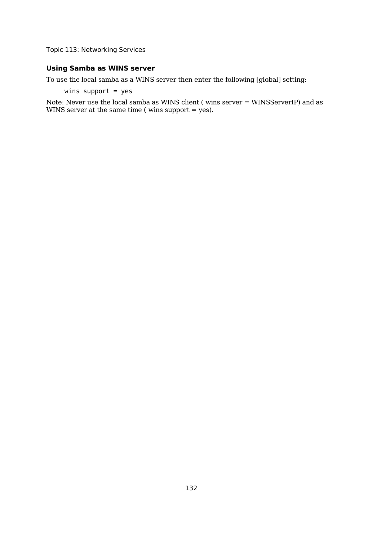## **Using Samba as WINS server**

To use the local samba as a WINS server then enter the following [global] setting:

wins support  $=$  yes

Note: Never use the local samba as WINS client ( wins server = WINSServerIP) and as WINS server at the same time ( wins support = yes).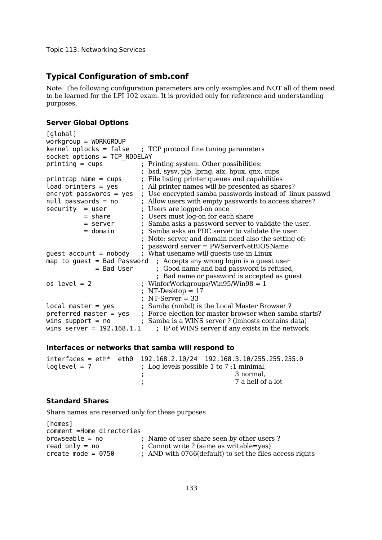## **Typical Configuration of smb.conf**

Note: The following configuration parameters are only examples and NOT all of them need to be learned for the LPI 102 exam. It is provided only for reference and understanding purposes.

#### **Server Global Options**

```
[global]
workgroup = WORKGROUP
kernel oplocks = false; TCP protocol fine tuning parameters
socket options = TCP NODELAY
printing = cups ; Printing system. Other possibilities:
                           ; bsd, sysv, plp, lprng, aix, hpux, qnx, cups
printcap name = cups; File listing printer queues and capabilities
load printers = yes ; All printer names will be presented as shares?
encrypt passwords = yes ; Use encrypted samba passwords instead of linux passwd
null passwords = no ; Allow users with empty passwords to access shares?<br>security = user ; Users are logged-on once
                          ; Users are logged-on once
          = share ; Users must log-on for each share
          = server ; Samba asks a password server to validate the user.
          = domain ; Samba asks an PDC server to validate the user.
                           ; Note: server and domain need also the setting of: 
                           ; password server = PWServerNetBIOSName
guest account = nobody ; What usename will quests use in Linux
map to guest = Bad Password ; Accepts any wrong login is a quest user
             = Bad User ; Good name and bad password is refused, 
                               ; Bad name or password is accepted as guest
os level = 2 ; WinforWorkgroups/Win95/Win98 = 1
                          ; NT-Desktop = 17
                           ; NT-Server = 33
local master = yes ; Samba (nmbd) is the Local Master Browser ?
preferred master = yes ; Force election for master browser when samba starts?
wins support = no; Samba is a WINS server ? (lmhosts contains data)
wins server = 192.168.1.1 ; IP of WINS server if any exists in the network
```
#### **Interfaces or networks that samba will respond to**

|                | $interfaces = eth*$ eth $0$ 192.168.2.10/24 192.168.3.10/255.255.255.0 |
|----------------|------------------------------------------------------------------------|
| loglevel = $7$ | ; Log levels possible 1 to $7:1$ minimal,                              |
|                | 3 normal.                                                              |
|                | 7 a hell of a lot                                                      |
|                |                                                                        |

#### **Standard Shares**

Share names are reserved only for these purposes

```
[homes]
comment =Home directories<br>browseable = no
                           ; Name of user share seen by other users ?
read only = no ; Cannot write ? (same as writable=yes)
create mode = 0750 ; AND with 0766 (default) to set the files access rights
```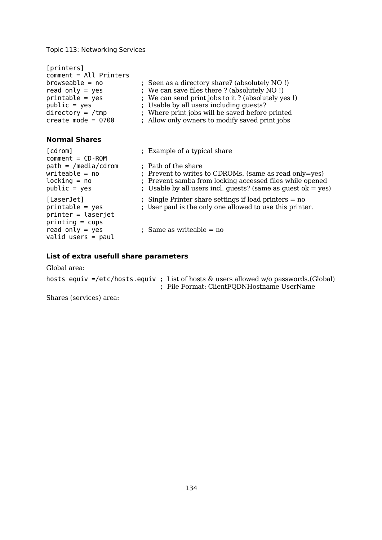| [printers]<br>$comment = All Printers$<br>$b$ rowseable = no<br>read only = $yes$<br>$printable = yes$<br>$public = yes$<br>$\text{directory} = / \text{tmp}$<br>create mode = $0700$ | ; Seen as a directory share? (absolutely NO!)<br>; We can save files there ? (absolutely NO !)<br>; We can send print jobs to it? (absolutely yes!)<br>; Usable by all users including guests?<br>; Where print jobs will be saved before printed<br>; Allow only owners to modify saved print jobs |
|---------------------------------------------------------------------------------------------------------------------------------------------------------------------------------------|-----------------------------------------------------------------------------------------------------------------------------------------------------------------------------------------------------------------------------------------------------------------------------------------------------|
| <b>Normal Shares</b>                                                                                                                                                                  |                                                                                                                                                                                                                                                                                                     |
| [cdrom]<br>$comment = CD-ROM$<br>$path = /median /cdrom$<br>writeable = no<br>$locking = no$<br>$public = yes$                                                                        | ; Example of a typical share<br>; Path of the share<br>; Prevent to writes to CDROMs. (same as read only=yes)<br>; Prevent samba from locking accessed files while opened<br>; Usable by all users incl. guests? (same as guest $ok = yes$ )                                                        |
| [LaserJet]<br>$printable = yes$<br>$printer = laserjet$<br>$printing = cups$                                                                                                          | ; Single Printer share settings if load printers $=$ no<br>; User paul is the only one allowed to use this printer.                                                                                                                                                                                 |

## **List of extra usefull share parameters**

read only = yes ; Same as writeable = no

Global area:

|  | hosts equiv =/etc/hosts.equiv ; List of hosts & users allowed w/o passwords.(Global) |  |                                               |  |  |  |
|--|--------------------------------------------------------------------------------------|--|-----------------------------------------------|--|--|--|
|  |                                                                                      |  | ; File Format: Client FQDN Hostname User Name |  |  |  |

Shares (services) area:

valid users = paul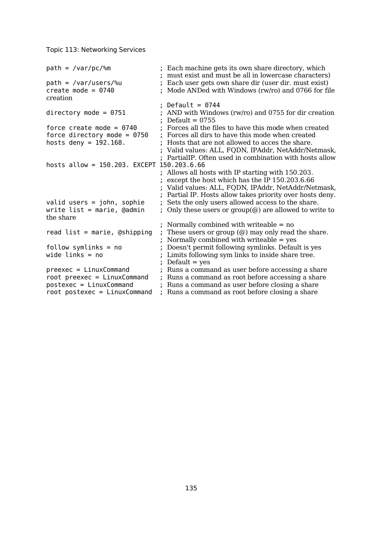| $path = /var/pc$ /%m                       | Each machine gets its own share directory, which<br>must exist and must be all in lowercase characters) |
|--------------------------------------------|---------------------------------------------------------------------------------------------------------|
| $path = /var/users/\%u$                    | Each user gets own share dir (user dir. must exist)                                                     |
| create mode = $0740$<br>creation           | Mode ANDed with Windows (rw/ro) and 0766 for file                                                       |
|                                            | Default = $0744$                                                                                        |
|                                            |                                                                                                         |
| directory mode = $0751$                    | AND with Windows (rw/ro) and 0755 for dir creation<br>Default = $0755$                                  |
| force create mode = $0740$                 | Forces all the files to have this mode when created                                                     |
| force directory mode = $0750$              | Forces all dirs to have this mode when created                                                          |
| hosts deny = $192.168$ .                   | Hosts that are not allowed to acces the share.                                                          |
|                                            | Valid values: ALL, FQDN, IPAddr, NetAddr/Netmask,                                                       |
|                                            | PartiallP. Often used in combination with hosts allow                                                   |
| hosts allow = 150.203. EXCEPT 150.203.6.66 |                                                                                                         |
|                                            | ; Allows all hosts with IP starting with 150.203.                                                       |
|                                            | except the host which has the IP 150.203.6.66                                                           |
|                                            | Valid values: ALL, FQDN, IPAddr, NetAddr/Netmask,                                                       |
|                                            | Partial IP. Hosts allow takes priority over hosts deny.                                                 |
| valid users = $john$ , sophie              | Sets the only users allowed access to the share.                                                        |
| write $list = marine, Qadmin$<br>the share | Only these users or $group(\mathcal{Q})$ are allowed to write to                                        |
|                                            | Normally combined with writeable $=$ no                                                                 |
| read $list = marine, @shipping$            | These users or group $(\omega)$ may only read the share.                                                |
|                                            | Normally combined with writeable $=$ yes                                                                |
| $follow$ symlinks = no                     | Doesn't permit following symlinks. Default is yes                                                       |
| wide links $=$ no                          | Limits following sym links to inside share tree.                                                        |
|                                            | $Default = yes$                                                                                         |
| $preexec = LinuxCommand$                   | Runs a command as user before accessing a share                                                         |
| $root$ preexec = $LinuxCommand$            | Runs a command as root before accessing a share                                                         |
| $postexec = LinuxCommand$                  | Runs a command as user before closing a share                                                           |
| $root$ postexec = $LinuxCommand$           | Runs a command as root before closing a share                                                           |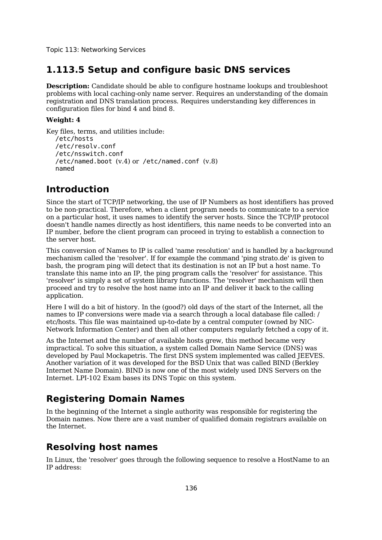# **1.113.5 Setup and configure basic DNS services**

**Description:** Candidate should be able to configure hostname lookups and troubleshoot problems with local caching-only name server. Requires an understanding of the domain registration and DNS translation process. Requires understanding key differences in configuration files for bind 4 and bind 8.

#### **Weight: 4**

```
Key files, terms, and utilities include:
  /etc/hosts
  /etc/resolv.conf
  /etc/nsswitch.conf
  /etc/named.boot (v.4) or /etc/named.conf (v.8)
  named
```
# **Introduction**

Since the start of TCP/IP networking, the use of IP Numbers as host identifiers has proved to be non-practical. Therefore, when a client program needs to communicate to a service on a particular host, it uses names to identify the server hosts. Since the TCP/IP protocol doesn't handle names directly as host identifiers, this name needs to be converted into an IP number, before the client program can proceed in trying to establish a connection to the server host.

This conversion of Names to IP is called 'name resolution' and is handled by a background mechanism called the 'resolver'. If for example the command 'ping strato.de' is given to bash, the program ping will detect that its destination is not an IP but a host name. To translate this name into an IP, the ping program calls the 'resolver' for assistance. This 'resolver' is simply a set of system library functions. The 'resolver' mechanism will then proceed and try to resolve the host name into an IP and deliver it back to the calling application.

Here I will do a bit of history. In the (good?) old days of the start of the Internet, all the names to IP conversions were made via a search through a local database file called: / etc/hosts. This file was maintained up-to-date by a central computer (owned by NIC-Network Information Center) and then all other computers regularly fetched a copy of it.

As the Internet and the number of available hosts grew, this method became very impractical. To solve this situation, a system called Domain Name Service (DNS) was developed by Paul Mockapetris. The first DNS system implemented was called JEEVES. Another variation of it was developed for the BSD Unix that was called BIND (Berkley Internet Name Domain). BIND is now one of the most widely used DNS Servers on the Internet. LPI-102 Exam bases its DNS Topic on this system.

# **Registering Domain Names**

In the beginning of the Internet a single authority was responsible for registering the Domain names. Now there are a vast number of qualified domain registrars available on the Internet.

# **Resolving host names**

In Linux, the 'resolver' goes through the following sequence to resolve a HostName to an IP address: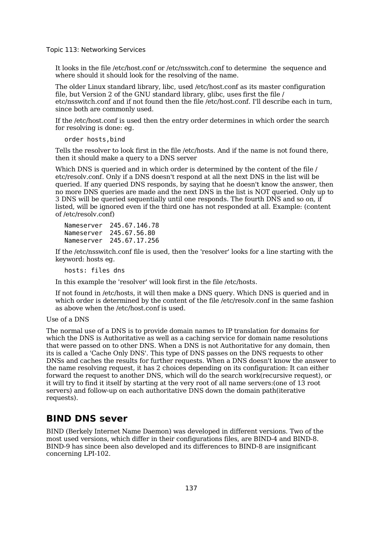It looks in the file /etc/host.conf or /etc/nsswitch.conf to determine the sequence and where should it should look for the resolving of the name.

The older Linux standard library, libc, used /etc/host.conf as its master configuration file, but Version 2 of the GNU standard library, glibc, uses first the file / etc/nsswitch.conf and if not found then the file /etc/host.conf. I'll describe each in turn, since both are commonly used.

If the /etc/host.conf is used then the entry order determines in which order the search for resolving is done: eg.

order hosts,bind

Tells the resolver to look first in the file /etc/hosts. And if the name is not found there, then it should make a query to a DNS server

Which DNS is queried and in which order is determined by the content of the file / etc/resolv.conf. Only if a DNS doesn't respond at all the next DNS in the list will be queried. If any queried DNS responds, by saying that he doesn't know the answer, then no more DNS queries are made and the next DNS in the list is NOT queried. Only up to 3 DNS will be queried sequentially until one responds. The fourth DNS and so on, if listed, will be ignored even if the third one has not responded at all. Example: (content of /etc/resolv.conf)

Nameserver 245.67.146.78 Nameserver 245.67.56.80 Nameserver 245.67.17.256

If the /etc/nsswitch.conf file is used, then the 'resolver' looks for a line starting with the keyword: hosts eg.

hosts: files dns

In this example the 'resolver' will look first in the file /etc/hosts.

If not found in /etc/hosts, it will then make a DNS query. Which DNS is queried and in which order is determined by the content of the file /etc/resolv.conf in the same fashion as above when the /etc/host.conf is used.

Use of a DNS

The normal use of a DNS is to provide domain names to IP translation for domains for which the DNS is Authoritative as well as a caching service for domain name resolutions that were passed on to other DNS. When a DNS is not Authoritative for any domain, then its is called a 'Cache Only DNS'. This type of DNS passes on the DNS requests to other DNSs and caches the results for further requests. When a DNS doesn't know the answer to the name resolving request, it has 2 choices depending on its configuration: It can either forward the request to another DNS, which will do the search work(recursive request), or it will try to find it itself by starting at the very root of all name servers:(one of 13 root servers) and follow-up on each authoritative DNS down the domain path(iterative requests).

## **BIND DNS sever**

BIND (Berkely Internet Name Daemon) was developed in different versions. Two of the most used versions, which differ in their configurations files, are BIND-4 and BIND-8. BIND-9 has since been also developed and its differences to BIND-8 are insignificant concerning LPI-102.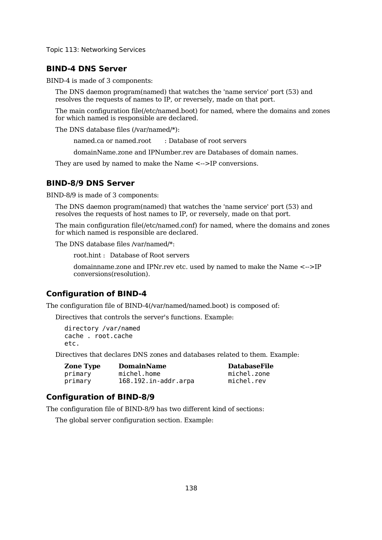## **BIND-4 DNS Server**

BIND-4 is made of 3 components:

The DNS daemon program(named) that watches the 'name service' port (53) and resolves the requests of names to IP, or reversely, made on that port.

The main configuration file(/etc/named.boot) for named, where the domains and zones for which named is responsible are declared.

The DNS database files (/var/named/\*):

named.ca or named.root : Database of root servers

domainName.zone and IPNumber.rev are Databases of domain names.

They are used by named to make the Name  $\leq$ ->IP conversions.

### **BIND-8/9 DNS Server**

BIND-8/9 is made of 3 components:

The DNS daemon program(named) that watches the 'name service' port (53) and resolves the requests of host names to IP, or reversely, made on that port.

The main configuration file(/etc/named.conf) for named, where the domains and zones for which named is responsible are declared.

The DNS database files /var/named/\*:

root.hint : Database of Root servers

domainname.zone and IPNr.rev etc. used by named to make the Name <-->IP conversions(resolution).

## **Configuration of BIND-4**

The configuration file of BIND-4(/var/named/named.boot) is composed of:

Directives that controls the server's functions. Example:

directory /var/named cache . root.cache etc.

Directives that declares DNS zones and databases related to them. Example:

| <b>Zone Type</b> | <b>DomainName</b>         | <b>DatabaseFile</b> |
|------------------|---------------------------|---------------------|
| primary          | michel.home               | michel.zone         |
| primary          | $168.192.in-addr.\narray$ | michel.rev          |

## **Configuration of BIND-8/9**

The configuration file of BIND-8/9 has two different kind of sections:

The global server configuration section. Example: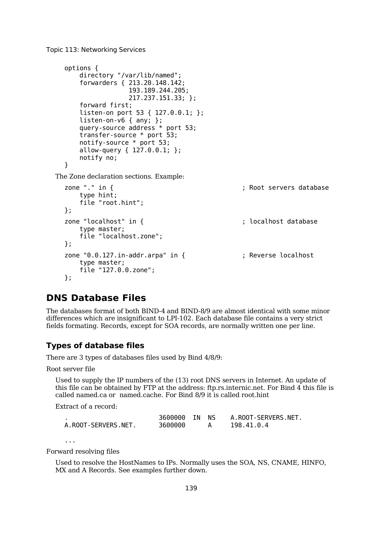```
options {
      directory "/var/lib/named";
      forwarders { 213.20.148.142;
                   193.189.244.205;
                   217.237.151.33; };
      forward first;
      listen-on port 53 { 127.0.0.1; };
      listen-on-v6 \{ any; \};query-source address * port 53;
      transfer-source * port 53;
      notify-source * port 53;
      allow-query { 127.0.0.1; };
      notify no;
  }
The Zone declaration sections. Example:
  zone "." in { \qquad \qquad ; Root servers database
      type hint;
      file "root.hint";
  };
  zone "localhost" in { \qquad \qquad ; localhost database
      type master;
      file "localhost.zone";
  };
  zone "0.0.127.in-addr.arpa" in { \qquad \qquad ; Reverse localhost
      type master;
      file "127.0.0.zone";
  };
```
# **DNS Database Files**

The databases format of both BIND-4 and BIND-8/9 are almost identical with some minor differences which are insignificant to LPI-102. Each database file contains a very strict fields formating. Records, except for SOA records, are normally written one per line.

#### **Types of database files**

There are 3 types of databases files used by Bind 4/8/9:

Root server file

Used to supply the IP numbers of the (13) root DNS servers in Internet. An update of this file can be obtained by FTP at the address: ftp.rs.internic.net. For Bind 4 this file is called named.ca or named.cache. For Bind 8/9 it is called root.hint

Extract of a record:

|                     | 3600000 IN | NS. | A.ROOT-SERVERS.NET. |
|---------------------|------------|-----|---------------------|
| A.ROOT-SERVERS.NET. | 3600000    |     | 198.41.0.4          |

...

Forward resolving files

Used to resolve the HostNames to IPs. Normally uses the SOA, NS, CNAME, HINFO, MX and A Records. See examples further down.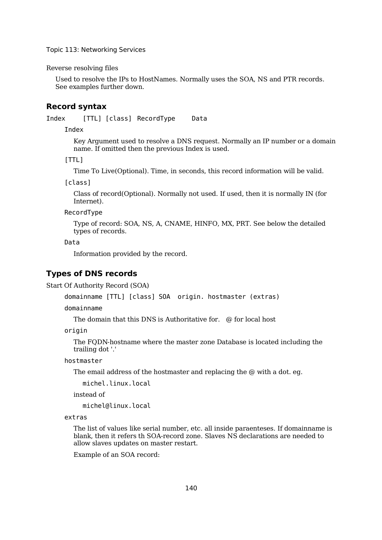Reverse resolving files

Used to resolve the IPs to HostNames. Normally uses the SOA, NS and PTR records. See examples further down.

#### **Record syntax**

Index [TTL] [class] RecordType Data

Index

Key Argument used to resolve a DNS request. Normally an IP number or a domain name. If omitted then the previous Index is used.

[TTL]

Time To Live(Optional). Time, in seconds, this record information will be valid.

[class]

Class of record(Optional). Normally not used. If used, then it is normally IN (for Internet).

RecordType

Type of record: SOA, NS, A, CNAME, HINFO, MX, PRT. See below the detailed types of records.

Data

Information provided by the record.

### **Types of DNS records**

Start Of Authority Record (SOA)

domainname [TTL] [class] SOA origin. hostmaster (extras)

domainname

The domain that this DNS is Authoritative for. @ for local host

origin

The FQDN-hostname where the master zone Database is located including the trailing dot '.'

hostmaster

The email address of the hostmaster and replacing the @ with a dot. eg.

michel.linux.local

instead of

michel@linux.local

extras

The list of values like serial number, etc. all inside paraenteses. If domainname is blank, then it refers th SOA-record zone. Slaves NS declarations are needed to allow slaves updates on master restart.

Example of an SOA record: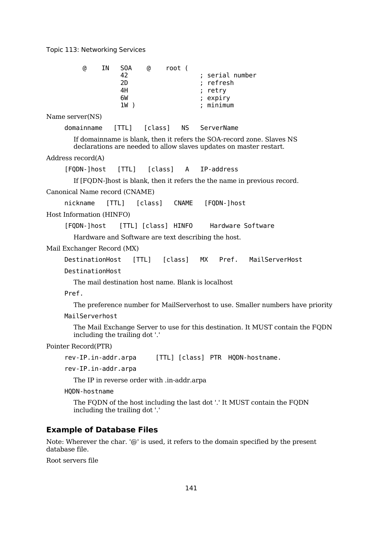|                               | G)              | ΙN | S0A<br>42<br>2D<br>4H<br>6W<br>$1W$ )               | 0             | root ( |              | retry | ; serial number<br>refresh<br>expiry<br>minimum |                                                                                                                                             |
|-------------------------------|-----------------|----|-----------------------------------------------------|---------------|--------|--------------|-------|-------------------------------------------------|---------------------------------------------------------------------------------------------------------------------------------------------|
| Name server(NS)               |                 |    |                                                     |               |        |              |       |                                                 |                                                                                                                                             |
|                               | domainname      |    | [THL]                                               | [class]       |        |              |       | NS ServerName                                   |                                                                                                                                             |
|                               |                 |    |                                                     |               |        |              |       |                                                 | If domain ame is blank, then it refers the SOA-record zone. Slaves NS<br>declarations are needed to allow slaves updates on master restart. |
| Address record(A)             |                 |    |                                                     |               |        |              |       |                                                 |                                                                                                                                             |
|                               | [FQDN-]host     |    | [TTL] [class] A IP-address                          |               |        |              |       |                                                 |                                                                                                                                             |
|                               |                 |    |                                                     |               |        |              |       |                                                 | If [FQDN-] host is blank, then it refers the the name in previous record.                                                                   |
| Canonical Name record (CNAME) |                 |    |                                                     |               |        |              |       |                                                 |                                                                                                                                             |
|                               | nickname        |    | [TTL]                                               | [class]       |        | <b>CNAME</b> |       | [FQDN-]host                                     |                                                                                                                                             |
| Host Information (HINFO)      |                 |    |                                                     |               |        |              |       |                                                 |                                                                                                                                             |
|                               | [FQDN-]host     |    | [TTL] [class] HINFO                                 |               |        |              |       |                                                 | Hardware Software                                                                                                                           |
|                               |                 |    | Hardware and Software are text describing the host. |               |        |              |       |                                                 |                                                                                                                                             |
| Mail Exchanger Record (MX)    |                 |    |                                                     |               |        |              |       |                                                 |                                                                                                                                             |
|                               | DestinationHost |    |                                                     | [TTL] [class] |        |              |       |                                                 | MX Pref. MailServerHost                                                                                                                     |
|                               | DestinationHost |    |                                                     |               |        |              |       |                                                 |                                                                                                                                             |
|                               |                 |    | The mail destination host name. Blank is localhost  |               |        |              |       |                                                 |                                                                                                                                             |
| Pref.                         |                 |    |                                                     |               |        |              |       |                                                 |                                                                                                                                             |
|                               |                 |    |                                                     |               |        |              |       |                                                 | The preference number for MailServerhost to use. Smaller numbers have priority                                                              |
|                               | MailServerhost  |    |                                                     |               |        |              |       |                                                 |                                                                                                                                             |
|                               |                 |    | including the trailing dot '.'                      |               |        |              |       |                                                 | The Mail Exchange Server to use for this destination. It MUST contain the FQDN                                                              |

Pointer Record(PTR)

```
rev-IP.in-addr.arpa [TTL] [class] PTR HQDN-hostname.
```
rev-IP.in-addr.arpa

The IP in reverse order with .in-addr.arpa

HQDN-hostname

The FQDN of the host including the last dot '.' It MUST contain the FQDN including the trailing dot '.'

## **Example of Database Files**

Note: Wherever the char. '@' is used, it refers to the domain specified by the present database file.

Root servers file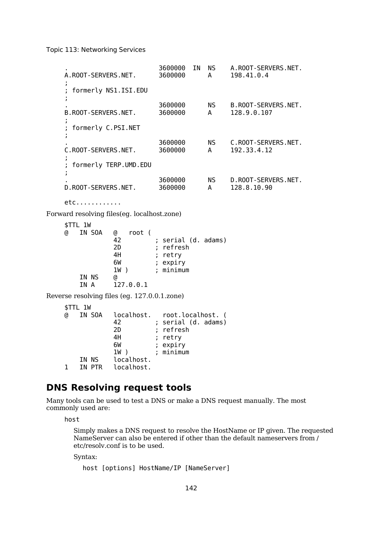. 3600000 IN NS A.ROOT-SERVERS.NET. A.ROOT-SERVERS.NET. 3600000 A 198.41.0.4 ; ; formerly NS1.ISI.EDU ; 3600000 NS B.ROOT-SERVERS.NET.<br>3600000 A 128.9.0.107 B.ROOT-SERVERS.NET. 3600000 A 128.9.0.107 ; ; formerly C.PSI.NET ; . 3600000 NS C.ROOT-SERVERS.NET. C.ROOT-SERVERS.NET. 3600000 A 192.33.4.12 ; ; formerly TERP.UMD.EDU ; . 3600000 NS D.ROOT-SERVERS.NET. D.ROOT-SERVERS.NET. 3600000 A 128.8.10.90 etc............ Forward resolving files(eg. localhost.zone) \$TTL 1W @ IN SOA @ root ( 42 ; serial (d. adams) 2D ; refresh 4H ; retry 6W ; expiry 1W ) ; minimum IN NS @<br>IN A 12  $127.0.0.1$ Reverse resolving files (eg. 127.0.0.1.zone) \$TTL 1W @ IN SOA localhost. root.localhost. ( 42 ; serial (d. adams) 2D ; refresh 4H ; retry 6W ; expiry 1W ) ; minimum IN NS localhost. 1 IN PTR localhost.

# **DNS Resolving request tools**

Many tools can be used to test a DNS or make a DNS request manually. The most commonly used are:

host

Simply makes a DNS request to resolve the HostName or IP given. The requested NameServer can also be entered if other than the default nameservers from / etc/resolv.conf is to be used.

Syntax:

```
host [options] HostName/IP [NameServer]
```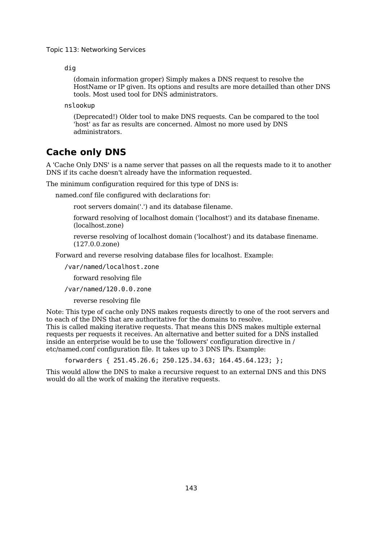dig

(domain information groper) Simply makes a DNS request to resolve the HostName or IP given. Its options and results are more detailled than other DNS tools. Most used tool for DNS administrators.

nslookup

(Deprecated!) Older tool to make DNS requests. Can be compared to the tool 'host' as far as results are concerned. Almost no more used by DNS administrators.

# **Cache only DNS**

A 'Cache Only DNS' is a name server that passes on all the requests made to it to another DNS if its cache doesn't already have the information requested.

The minimum configuration required for this type of DNS is:

named.conf file configured with declarations for:

root servers domain('.') and its database filename.

forward resolving of localhost domain ('localhost') and its database finename. (localhost.zone)

reverse resolving of localhost domain ('localhost') and its database finename. (127.0.0.zone)

Forward and reverse resolving database files for localhost. Example:

/var/named/localhost.zone

forward resolving file

/var/named/120.0.0.zone

reverse resolving file

Note: This type of cache only DNS makes requests directly to one of the root servers and to each of the DNS that are authoritative for the domains to resolve. This is called making iterative requests. That means this DNS makes multiple external requests per requests it receives. An alternative and better suited for a DNS installed inside an enterprise would be to use the 'followers' configuration directive in / etc/named.conf configuration file. It takes up to 3 DNS IPs. Example:

forwarders { 251.45.26.6; 250.125.34.63; 164.45.64.123; };

This would allow the DNS to make a recursive request to an external DNS and this DNS would do all the work of making the iterative requests.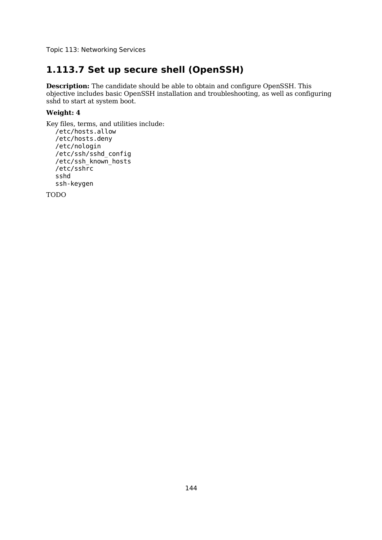# **1.113.7 Set up secure shell (OpenSSH)**

**Description:** The candidate should be able to obtain and configure OpenSSH. This objective includes basic OpenSSH installation and troubleshooting, as well as configuring sshd to start at system boot.

#### **Weight: 4**

```
Key files, terms, and utilities include:
  /etc/hosts.allow
  /etc/hosts.deny
  /etc/nologin
  /etc/ssh/sshd_config
  /etc/ssh_known_hosts
  /etc/sshrc
  sshd
  ssh-keygen
```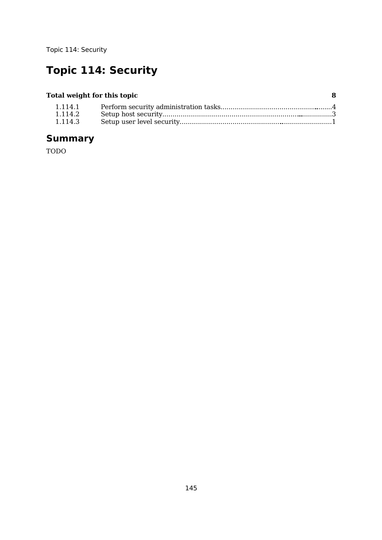# **Topic 114: Security**

# **Total weight for this topic 8**

| 1.114.2 |  |
|---------|--|
| 1.114.3 |  |

# **Summary**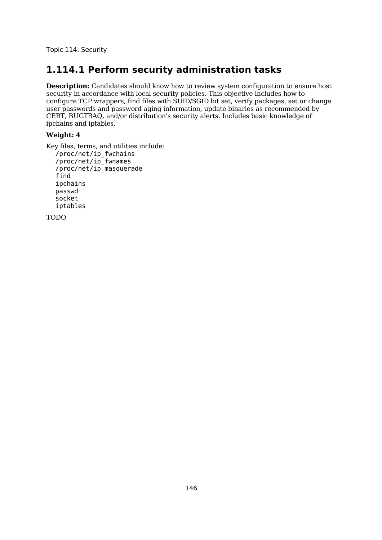# **1.114.1 Perform security administration tasks**

**Description:** Candidates should know how to review system configuration to ensure host security in accordance with local security policies. This objective includes how to configure TCP wrappers, find files with SUID/SGID bit set, verify packages, set or change user passwords and password aging information, update binaries as recommended by CERT, BUGTRAQ, and/or distribution's security alerts. Includes basic knowledge of ipchains and iptables.

## **Weight: 4**

Key files, terms, and utilities include: /proc/net/ip\_fwchains /proc/net/ip\_fwnames /proc/net/ip\_masquerade find ipchains passwd socket iptables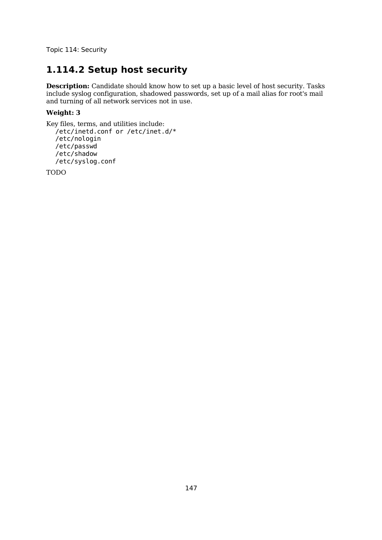# **1.114.2 Setup host security**

**Description:** Candidate should know how to set up a basic level of host security. Tasks include syslog configuration, shadowed passwords, set up of a mail alias for root's mail and turning of all network services not in use.

## **Weight: 3**

```
Key files, terms, and utilities include:
  /etc/inetd.conf or /etc/inet.d/*
  /etc/nologin
  /etc/passwd
  /etc/shadow
  /etc/syslog.conf
```